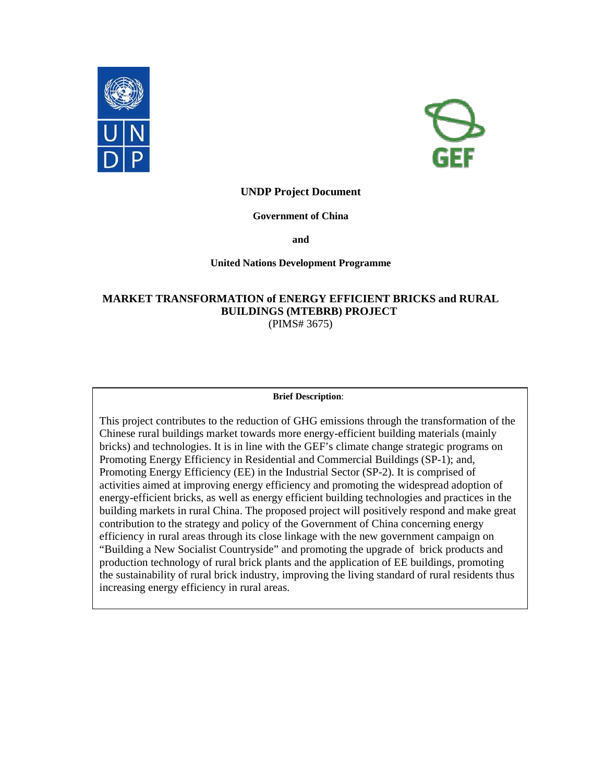



## **UNDP Project Document**

#### **Government of China**

**and** 

#### **United Nations Development Programme**

# **MARKET TRANSFORMATION of ENERGY EFFICIENT BRICKS and RURAL BUILDINGS (MTEBRB) PROJECT**  (PIMS# 3675)

#### **Brief Description**:

This project contributes to the reduction of GHG emissions through the transformation of the Chinese rural buildings market towards more energy-efficient building materials (mainly bricks) and technologies. It is in line with the GEF's climate change strategic programs on Promoting Energy Efficiency in Residential and Commercial Buildings (SP-1); and, Promoting Energy Efficiency (EE) in the Industrial Sector (SP-2). It is comprised of activities aimed at improving energy efficiency and promoting the widespread adoption of energy-efficient bricks, as well as energy efficient building technologies and practices in the building markets in rural China. The proposed project will positively respond and make great contribution to the strategy and policy of the Government of China concerning energy efficiency in rural areas through its close linkage with the new government campaign on "Building a New Socialist Countryside" and promoting the upgrade of brick products and production technology of rural brick plants and the application of EE buildings, promoting the sustainability of rural brick industry, improving the living standard of rural residents thus increasing energy efficiency in rural areas.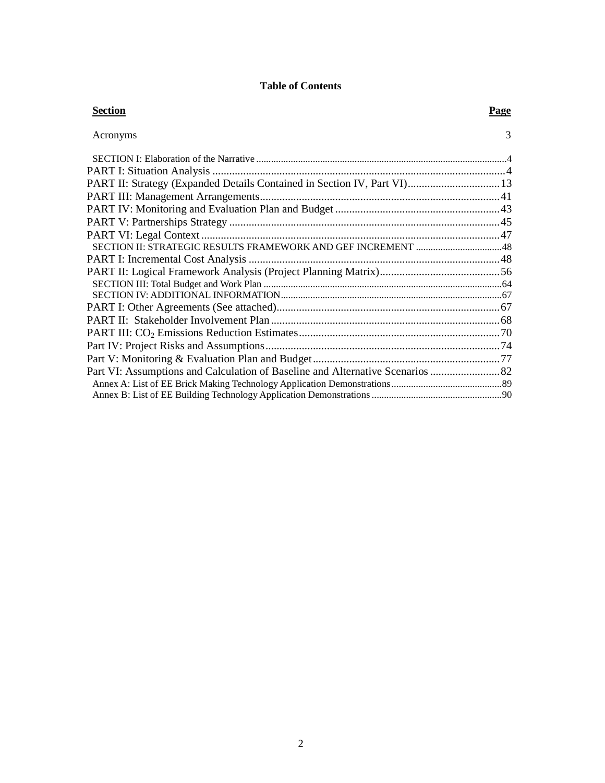# **Table of Contents**

| <b>Section</b>                                                           | Page          |
|--------------------------------------------------------------------------|---------------|
| Acronyms                                                                 | $\mathcal{R}$ |
|                                                                          |               |
|                                                                          |               |
| PART II: Strategy (Expanded Details Contained in Section IV, Part VI) 13 |               |
|                                                                          |               |
|                                                                          |               |
|                                                                          |               |
|                                                                          |               |
|                                                                          |               |
|                                                                          |               |
|                                                                          |               |
|                                                                          |               |
|                                                                          |               |
|                                                                          |               |
|                                                                          |               |
|                                                                          |               |
|                                                                          |               |
|                                                                          |               |
|                                                                          |               |
|                                                                          |               |
|                                                                          |               |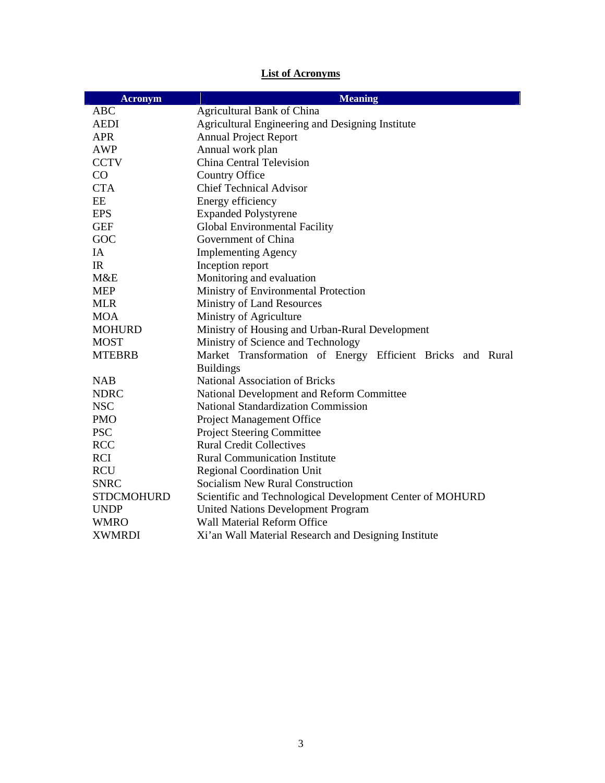# **List of Acronyms**

| <b>Acronym</b>    | <b>Meaning</b>                                             |  |
|-------------------|------------------------------------------------------------|--|
| <b>ABC</b>        | <b>Agricultural Bank of China</b>                          |  |
| <b>AEDI</b>       | Agricultural Engineering and Designing Institute           |  |
| <b>APR</b>        | <b>Annual Project Report</b>                               |  |
| <b>AWP</b>        | Annual work plan                                           |  |
| <b>CCTV</b>       | <b>China Central Television</b>                            |  |
| CO                | Country Office                                             |  |
| <b>CTA</b>        | <b>Chief Technical Advisor</b>                             |  |
| EE                | Energy efficiency                                          |  |
| <b>EPS</b>        | <b>Expanded Polystyrene</b>                                |  |
| <b>GEF</b>        | Global Environmental Facility                              |  |
| GOC               | Government of China                                        |  |
| IA                | <b>Implementing Agency</b>                                 |  |
| IR                | Inception report                                           |  |
| M&E               | Monitoring and evaluation                                  |  |
| <b>MEP</b>        | Ministry of Environmental Protection                       |  |
| <b>MLR</b>        | Ministry of Land Resources                                 |  |
| <b>MOA</b>        | Ministry of Agriculture                                    |  |
| <b>MOHURD</b>     | Ministry of Housing and Urban-Rural Development            |  |
| <b>MOST</b>       | Ministry of Science and Technology                         |  |
| <b>MTEBRB</b>     | Market Transformation of Energy Efficient Bricks and Rural |  |
|                   | <b>Buildings</b>                                           |  |
| <b>NAB</b>        | <b>National Association of Bricks</b>                      |  |
| <b>NDRC</b>       | National Development and Reform Committee                  |  |
| <b>NSC</b>        | <b>National Standardization Commission</b>                 |  |
| <b>PMO</b>        | Project Management Office                                  |  |
| <b>PSC</b>        | <b>Project Steering Committee</b>                          |  |
| <b>RCC</b>        | <b>Rural Credit Collectives</b>                            |  |
| <b>RCI</b>        | <b>Rural Communication Institute</b>                       |  |
| <b>RCU</b>        | <b>Regional Coordination Unit</b>                          |  |
| <b>SNRC</b>       | <b>Socialism New Rural Construction</b>                    |  |
| <b>STDCMOHURD</b> | Scientific and Technological Development Center of MOHURD  |  |
| <b>UNDP</b>       | <b>United Nations Development Program</b>                  |  |
| <b>WMRO</b>       | Wall Material Reform Office                                |  |
| <b>XWMRDI</b>     | Xi'an Wall Material Research and Designing Institute       |  |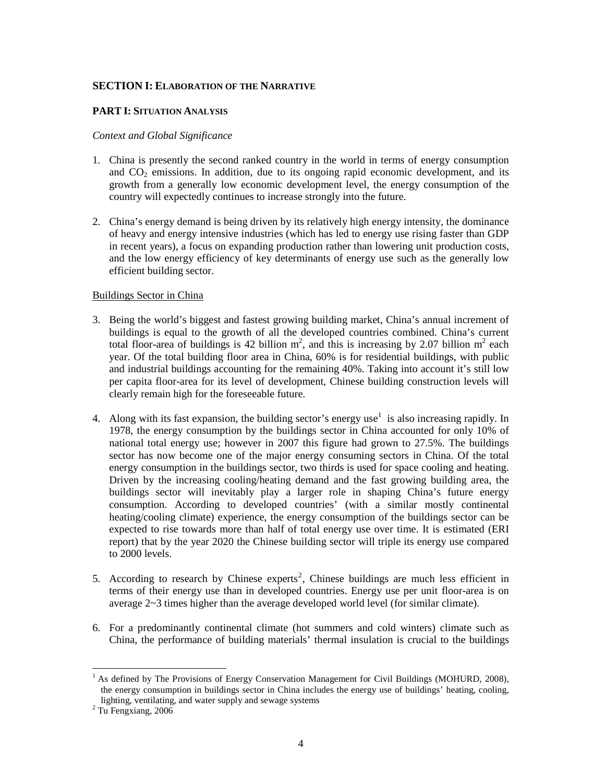#### **SECTION I: ELABORATION OF THE NARRATIVE**

#### **PART I: SITUATION ANALYSIS**

#### *Context and Global Significance*

- 1. China is presently the second ranked country in the world in terms of energy consumption and  $CO<sub>2</sub>$  emissions. In addition, due to its ongoing rapid economic development, and its growth from a generally low economic development level, the energy consumption of the country will expectedly continues to increase strongly into the future.
- 2. China's energy demand is being driven by its relatively high energy intensity, the dominance of heavy and energy intensive industries (which has led to energy use rising faster than GDP in recent years), a focus on expanding production rather than lowering unit production costs, and the low energy efficiency of key determinants of energy use such as the generally low efficient building sector.

#### Buildings Sector in China

- 3. Being the world's biggest and fastest growing building market, China's annual increment of buildings is equal to the growth of all the developed countries combined. China's current total floor-area of buildings is 42 billion  $m^2$ , and this is increasing by 2.07 billion  $m^2$  each year. Of the total building floor area in China, 60% is for residential buildings, with public and industrial buildings accounting for the remaining 40%. Taking into account it's still low per capita floor-area for its level of development, Chinese building construction levels will clearly remain high for the foreseeable future.
- 4. Along with its fast expansion, the building sector's energy use<sup>1</sup> is also increasing rapidly. In 1978, the energy consumption by the buildings sector in China accounted for only 10% of national total energy use; however in 2007 this figure had grown to 27.5%. The buildings sector has now become one of the major energy consuming sectors in China. Of the total energy consumption in the buildings sector, two thirds is used for space cooling and heating. Driven by the increasing cooling/heating demand and the fast growing building area, the buildings sector will inevitably play a larger role in shaping China's future energy consumption. According to developed countries' (with a similar mostly continental heating/cooling climate) experience, the energy consumption of the buildings sector can be expected to rise towards more than half of total energy use over time. It is estimated (ERI report) that by the year 2020 the Chinese building sector will triple its energy use compared to 2000 levels.
- 5. According to research by Chinese experts<sup>2</sup>, Chinese buildings are much less efficient in terms of their energy use than in developed countries. Energy use per unit floor-area is on average 2~3 times higher than the average developed world level (for similar climate).
- 6. For a predominantly continental climate (hot summers and cold winters) climate such as China, the performance of building materials' thermal insulation is crucial to the buildings

 $\overline{a}$ 

<sup>&</sup>lt;sup>1</sup> As defined by The Provisions of Energy Conservation Management for Civil Buildings (MOHURD, 2008), the energy consumption in buildings sector in China includes the energy use of buildings' heating, cooling, lighting, ventilating, and water supply and sewage systems

<sup>&</sup>lt;sup>2</sup> Tu Fengxiang, 2006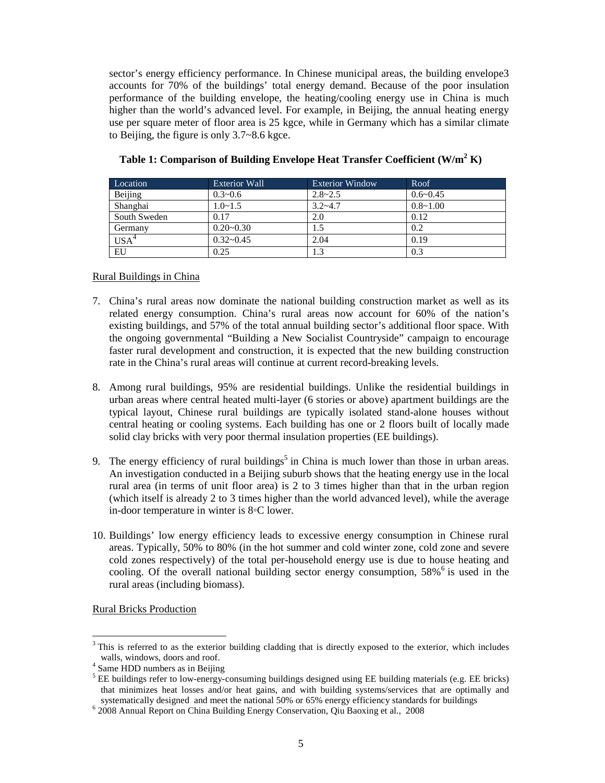sector's energy efficiency performance. In Chinese municipal areas, the building envelope3 accounts for 70% of the buildings' total energy demand. Because of the poor insulation performance of the building envelope, the heating/cooling energy use in China is much higher than the world's advanced level. For example, in Beijing, the annual heating energy use per square meter of floor area is 25 kgce, while in Germany which has a similar climate to Beijing, the figure is only 3.7~8.6 kgce.

| Location     | Exterior Wall  | <b>Exterior Window</b> | Roof         |
|--------------|----------------|------------------------|--------------|
| Beijing      | $0.3 - 0.6$    | $2.8 - 2.5$            | $0.6 - 0.45$ |
| Shanghai     | $1.0 \sim 1.5$ | $3.2 - 4.7$            | $0.8 - 1.00$ |
| South Sweden | 0.17           | 2.0                    | 0.12         |
| Germany      | $0.20 - 0.30$  |                        | 0.2          |
| $USA^4$      | $0.32 - 0.45$  | 2.04                   | 0.19         |
| EU           | 0.25           | 1.3                    | 0.3          |

# **Table 1: Comparison of Building Envelope Heat Transfer Coefficient (W/m<sup>2</sup> K)**

## Rural Buildings in China

- 7. China's rural areas now dominate the national building construction market as well as its related energy consumption. China's rural areas now account for 60% of the nation's existing buildings, and 57% of the total annual building sector's additional floor space. With the ongoing governmental "Building a New Socialist Countryside" campaign to encourage faster rural development and construction, it is expected that the new building construction rate in the China's rural areas will continue at current record-breaking levels.
- 8. Among rural buildings, 95% are residential buildings. Unlike the residential buildings in urban areas where central heated multi-layer (6 stories or above) apartment buildings are the typical layout, Chinese rural buildings are typically isolated stand-alone houses without central heating or cooling systems. Each building has one or 2 floors built of locally made solid clay bricks with very poor thermal insulation properties (EE buildings).
- 9. The energy efficiency of rural buildings<sup>5</sup> in China is much lower than those in urban areas. An investigation conducted in a Beijing suburb shows that the heating energy use in the local rural area (in terms of unit floor area) is 2 to 3 times higher than that in the urban region (which itself is already 2 to 3 times higher than the world advanced level), while the average in-door temperature in winter is 8◦C lower.
- 10. Buildings' low energy efficiency leads to excessive energy consumption in Chinese rural areas. Typically, 50% to 80% (in the hot summer and cold winter zone, cold zone and severe cold zones respectively) of the total per-household energy use is due to house heating and cooling. Of the overall national building sector energy consumption, 58%<sup>6</sup> is used in the rural areas (including biomass).

Rural Bricks Production

<sup>&</sup>lt;sup>3</sup> This is referred to as the exterior building cladding that is directly exposed to the exterior, which includes walls, windows, doors and roof.

<sup>&</sup>lt;sup>4</sup> Same HDD numbers as in Beijing

<sup>&</sup>lt;sup>5</sup> EE buildings refer to low-energy-consuming buildings designed using EE building materials (e.g. EE bricks) that minimizes heat losses and/or heat gains, and with building systems/services that are optimally and systematically designed and meet the national 50% or 65% energy efficiency standards for buildings

<sup>6</sup> 2008 Annual Report on China Building Energy Conservation, Qiu Baoxing et al., 2008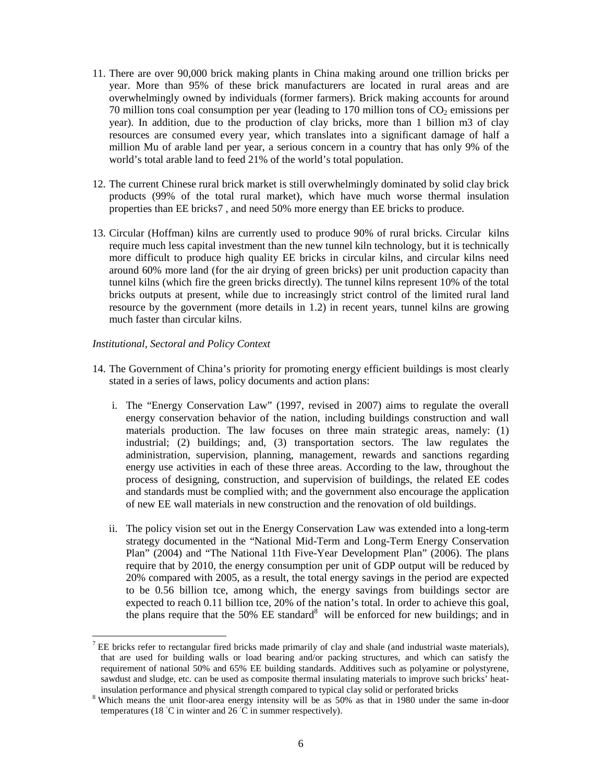- 11. There are over 90,000 brick making plants in China making around one trillion bricks per year. More than 95% of these brick manufacturers are located in rural areas and are overwhelmingly owned by individuals (former farmers). Brick making accounts for around 70 million tons coal consumption per year (leading to 170 million tons of  $CO<sub>2</sub>$  emissions per year). In addition, due to the production of clay bricks, more than 1 billion m3 of clay resources are consumed every year, which translates into a significant damage of half a million Mu of arable land per year, a serious concern in a country that has only 9% of the world's total arable land to feed 21% of the world's total population.
- 12. The current Chinese rural brick market is still overwhelmingly dominated by solid clay brick products (99% of the total rural market), which have much worse thermal insulation properties than EE bricks7 , and need 50% more energy than EE bricks to produce.
- 13. Circular (Hoffman) kilns are currently used to produce 90% of rural bricks. Circular kilns require much less capital investment than the new tunnel kiln technology, but it is technically more difficult to produce high quality EE bricks in circular kilns, and circular kilns need around 60% more land (for the air drying of green bricks) per unit production capacity than tunnel kilns (which fire the green bricks directly). The tunnel kilns represent 10% of the total bricks outputs at present, while due to increasingly strict control of the limited rural land resource by the government (more details in 1.2) in recent years, tunnel kilns are growing much faster than circular kilns.

#### *Institutional, Sectoral and Policy Context*

 $\overline{a}$ 

- 14. The Government of China's priority for promoting energy efficient buildings is most clearly stated in a series of laws, policy documents and action plans:
	- i. The "Energy Conservation Law" (1997, revised in 2007) aims to regulate the overall energy conservation behavior of the nation, including buildings construction and wall materials production. The law focuses on three main strategic areas, namely: (1) industrial; (2) buildings; and, (3) transportation sectors. The law regulates the administration, supervision, planning, management, rewards and sanctions regarding energy use activities in each of these three areas. According to the law, throughout the process of designing, construction, and supervision of buildings, the related EE codes and standards must be complied with; and the government also encourage the application of new EE wall materials in new construction and the renovation of old buildings.
	- ii. The policy vision set out in the Energy Conservation Law was extended into a long-term strategy documented in the "National Mid-Term and Long-Term Energy Conservation Plan" (2004) and "The National 11th Five-Year Development Plan" (2006). The plans require that by 2010, the energy consumption per unit of GDP output will be reduced by 20% compared with 2005, as a result, the total energy savings in the period are expected to be 0.56 billion tce, among which, the energy savings from buildings sector are expected to reach 0.11 billion tce, 20% of the nation's total. In order to achieve this goal, the plans require that the  $50\%$  EE standard<sup>8</sup> will be enforced for new buildings; and in

 $<sup>7</sup>$  EE bricks refer to rectangular fired bricks made primarily of clay and shale (and industrial waste materials),</sup> that are used for building walls or load bearing and/or packing structures, and which can satisfy the requirement of national 50% and 65% EE building standards. Additives such as polyamine or polystyrene, sawdust and sludge, etc. can be used as composite thermal insulating materials to improve such bricks' heatinsulation performance and physical strength compared to typical clay solid or perforated bricks

<sup>&</sup>lt;sup>8</sup> Which means the unit floor-area energy intensity will be as 50% as that in 1980 under the same in-door temperatures (18 ◦C in winter and 26 ◦C in summer respectively).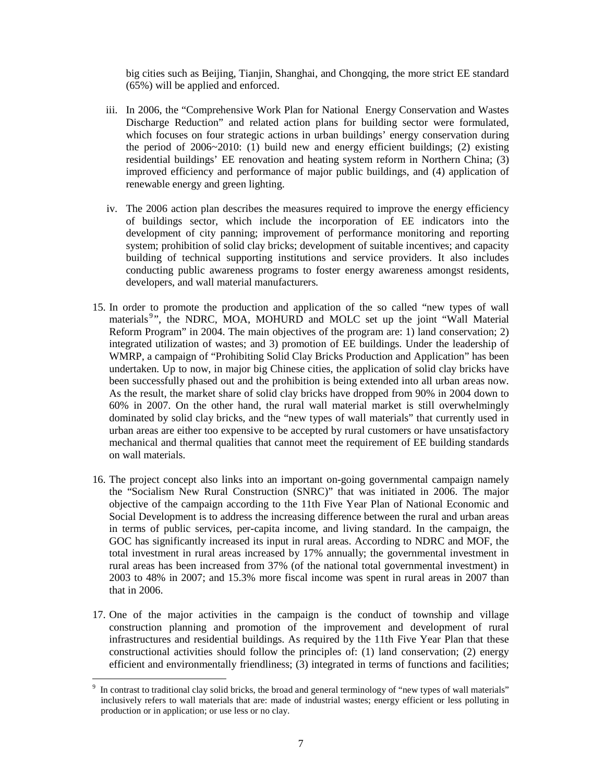big cities such as Beijing, Tianjin, Shanghai, and Chongqing, the more strict EE standard (65%) will be applied and enforced.

- iii. In 2006, the "Comprehensive Work Plan for National Energy Conservation and Wastes Discharge Reduction" and related action plans for building sector were formulated, which focuses on four strategic actions in urban buildings' energy conservation during the period of 2006~2010: (1) build new and energy efficient buildings; (2) existing residential buildings' EE renovation and heating system reform in Northern China; (3) improved efficiency and performance of major public buildings, and (4) application of renewable energy and green lighting.
- iv. The 2006 action plan describes the measures required to improve the energy efficiency of buildings sector, which include the incorporation of EE indicators into the development of city panning; improvement of performance monitoring and reporting system; prohibition of solid clay bricks; development of suitable incentives; and capacity building of technical supporting institutions and service providers. It also includes conducting public awareness programs to foster energy awareness amongst residents, developers, and wall material manufacturers.
- 15. In order to promote the production and application of the so called "new types of wall materials<sup>9</sup>", the NDRC, MOA, MOHURD and MOLC set up the joint "Wall Material Reform Program" in 2004. The main objectives of the program are: 1) land conservation; 2) integrated utilization of wastes; and 3) promotion of EE buildings. Under the leadership of WMRP, a campaign of "Prohibiting Solid Clay Bricks Production and Application" has been undertaken. Up to now, in major big Chinese cities, the application of solid clay bricks have been successfully phased out and the prohibition is being extended into all urban areas now. As the result, the market share of solid clay bricks have dropped from 90% in 2004 down to 60% in 2007. On the other hand, the rural wall material market is still overwhelmingly dominated by solid clay bricks, and the "new types of wall materials" that currently used in urban areas are either too expensive to be accepted by rural customers or have unsatisfactory mechanical and thermal qualities that cannot meet the requirement of EE building standards on wall materials.
- 16. The project concept also links into an important on-going governmental campaign namely the "Socialism New Rural Construction (SNRC)" that was initiated in 2006. The major objective of the campaign according to the 11th Five Year Plan of National Economic and Social Development is to address the increasing difference between the rural and urban areas in terms of public services, per-capita income, and living standard. In the campaign, the GOC has significantly increased its input in rural areas. According to NDRC and MOF, the total investment in rural areas increased by 17% annually; the governmental investment in rural areas has been increased from 37% (of the national total governmental investment) in 2003 to 48% in 2007; and 15.3% more fiscal income was spent in rural areas in 2007 than that in 2006.
- 17. One of the major activities in the campaign is the conduct of township and village construction planning and promotion of the improvement and development of rural infrastructures and residential buildings. As required by the 11th Five Year Plan that these constructional activities should follow the principles of: (1) land conservation; (2) energy efficient and environmentally friendliness; (3) integrated in terms of functions and facilities;

l 9 In contrast to traditional clay solid bricks, the broad and general terminology of "new types of wall materials" inclusively refers to wall materials that are: made of industrial wastes; energy efficient or less polluting in production or in application; or use less or no clay.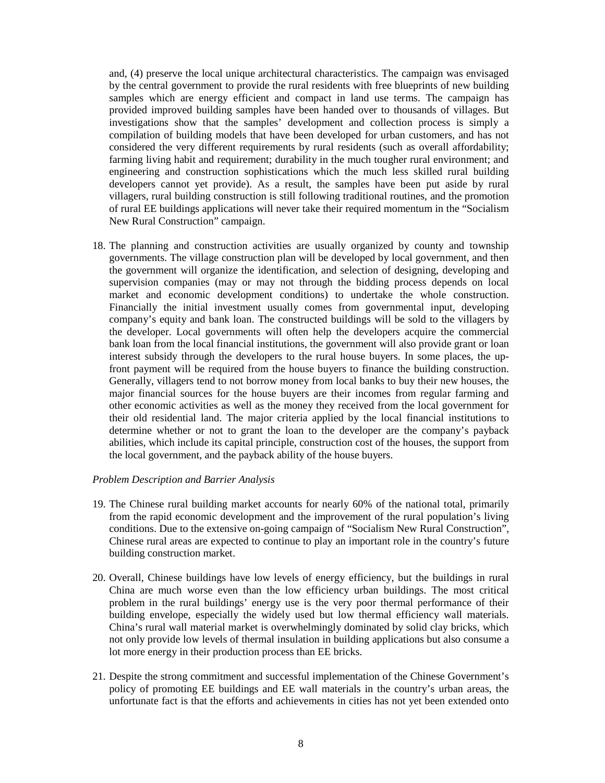and, (4) preserve the local unique architectural characteristics. The campaign was envisaged by the central government to provide the rural residents with free blueprints of new building samples which are energy efficient and compact in land use terms. The campaign has provided improved building samples have been handed over to thousands of villages. But investigations show that the samples' development and collection process is simply a compilation of building models that have been developed for urban customers, and has not considered the very different requirements by rural residents (such as overall affordability; farming living habit and requirement; durability in the much tougher rural environment; and engineering and construction sophistications which the much less skilled rural building developers cannot yet provide). As a result, the samples have been put aside by rural villagers, rural building construction is still following traditional routines, and the promotion of rural EE buildings applications will never take their required momentum in the "Socialism New Rural Construction" campaign.

18. The planning and construction activities are usually organized by county and township governments. The village construction plan will be developed by local government, and then the government will organize the identification, and selection of designing, developing and supervision companies (may or may not through the bidding process depends on local market and economic development conditions) to undertake the whole construction. Financially the initial investment usually comes from governmental input, developing company's equity and bank loan. The constructed buildings will be sold to the villagers by the developer. Local governments will often help the developers acquire the commercial bank loan from the local financial institutions, the government will also provide grant or loan interest subsidy through the developers to the rural house buyers. In some places, the upfront payment will be required from the house buyers to finance the building construction. Generally, villagers tend to not borrow money from local banks to buy their new houses, the major financial sources for the house buyers are their incomes from regular farming and other economic activities as well as the money they received from the local government for their old residential land. The major criteria applied by the local financial institutions to determine whether or not to grant the loan to the developer are the company's payback abilities, which include its capital principle, construction cost of the houses, the support from the local government, and the payback ability of the house buyers.

#### *Problem Description and Barrier Analysis*

- 19. The Chinese rural building market accounts for nearly 60% of the national total, primarily from the rapid economic development and the improvement of the rural population's living conditions. Due to the extensive on-going campaign of "Socialism New Rural Construction", Chinese rural areas are expected to continue to play an important role in the country's future building construction market.
- 20. Overall, Chinese buildings have low levels of energy efficiency, but the buildings in rural China are much worse even than the low efficiency urban buildings. The most critical problem in the rural buildings' energy use is the very poor thermal performance of their building envelope, especially the widely used but low thermal efficiency wall materials. China's rural wall material market is overwhelmingly dominated by solid clay bricks, which not only provide low levels of thermal insulation in building applications but also consume a lot more energy in their production process than EE bricks.
- 21. Despite the strong commitment and successful implementation of the Chinese Government's policy of promoting EE buildings and EE wall materials in the country's urban areas, the unfortunate fact is that the efforts and achievements in cities has not yet been extended onto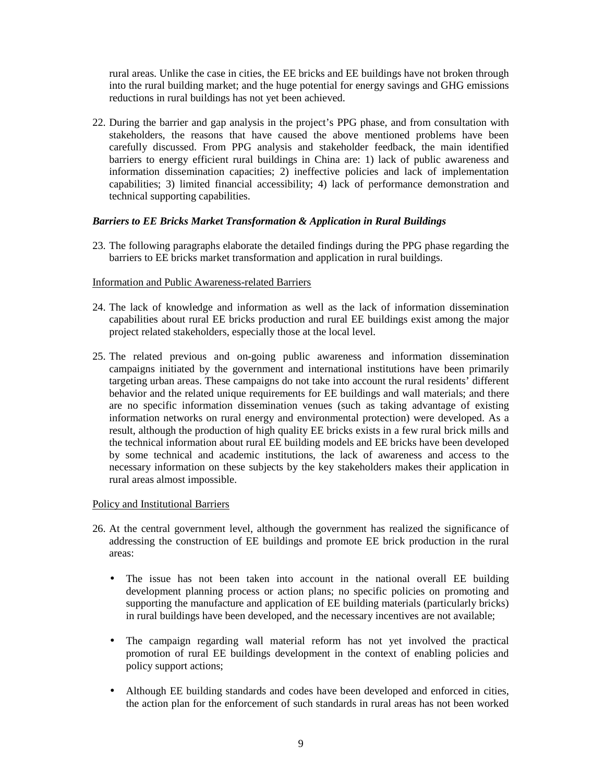rural areas. Unlike the case in cities, the EE bricks and EE buildings have not broken through into the rural building market; and the huge potential for energy savings and GHG emissions reductions in rural buildings has not yet been achieved.

22. During the barrier and gap analysis in the project's PPG phase, and from consultation with stakeholders, the reasons that have caused the above mentioned problems have been carefully discussed. From PPG analysis and stakeholder feedback, the main identified barriers to energy efficient rural buildings in China are: 1) lack of public awareness and information dissemination capacities; 2) ineffective policies and lack of implementation capabilities; 3) limited financial accessibility; 4) lack of performance demonstration and technical supporting capabilities.

## *Barriers to EE Bricks Market Transformation & Application in Rural Buildings*

23. The following paragraphs elaborate the detailed findings during the PPG phase regarding the barriers to EE bricks market transformation and application in rural buildings.

## Information and Public Awareness-related Barriers

- 24. The lack of knowledge and information as well as the lack of information dissemination capabilities about rural EE bricks production and rural EE buildings exist among the major project related stakeholders, especially those at the local level.
- 25. The related previous and on-going public awareness and information dissemination campaigns initiated by the government and international institutions have been primarily targeting urban areas. These campaigns do not take into account the rural residents' different behavior and the related unique requirements for EE buildings and wall materials; and there are no specific information dissemination venues (such as taking advantage of existing information networks on rural energy and environmental protection) were developed. As a result, although the production of high quality EE bricks exists in a few rural brick mills and the technical information about rural EE building models and EE bricks have been developed by some technical and academic institutions, the lack of awareness and access to the necessary information on these subjects by the key stakeholders makes their application in rural areas almost impossible.

#### Policy and Institutional Barriers

- 26. At the central government level, although the government has realized the significance of addressing the construction of EE buildings and promote EE brick production in the rural areas:
	- The issue has not been taken into account in the national overall EE building development planning process or action plans; no specific policies on promoting and supporting the manufacture and application of EE building materials (particularly bricks) in rural buildings have been developed, and the necessary incentives are not available;
	- The campaign regarding wall material reform has not yet involved the practical promotion of rural EE buildings development in the context of enabling policies and policy support actions;
	- Although EE building standards and codes have been developed and enforced in cities, the action plan for the enforcement of such standards in rural areas has not been worked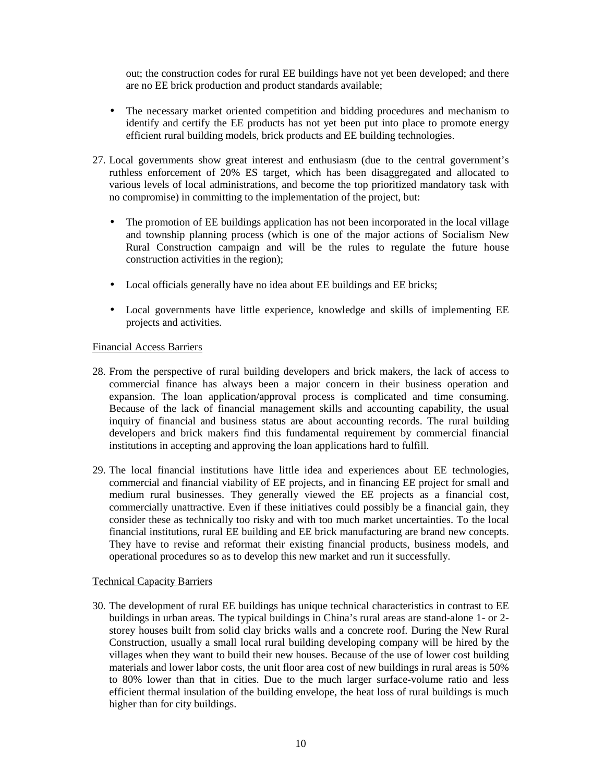out; the construction codes for rural EE buildings have not yet been developed; and there are no EE brick production and product standards available;

- The necessary market oriented competition and bidding procedures and mechanism to identify and certify the EE products has not yet been put into place to promote energy efficient rural building models, brick products and EE building technologies.
- 27. Local governments show great interest and enthusiasm (due to the central government's ruthless enforcement of 20% ES target, which has been disaggregated and allocated to various levels of local administrations, and become the top prioritized mandatory task with no compromise) in committing to the implementation of the project, but:
	- The promotion of EE buildings application has not been incorporated in the local village and township planning process (which is one of the major actions of Socialism New Rural Construction campaign and will be the rules to regulate the future house construction activities in the region);
	- Local officials generally have no idea about EE buildings and EE bricks;
	- Local governments have little experience, knowledge and skills of implementing EE projects and activities.

#### Financial Access Barriers

- 28. From the perspective of rural building developers and brick makers, the lack of access to commercial finance has always been a major concern in their business operation and expansion. The loan application/approval process is complicated and time consuming. Because of the lack of financial management skills and accounting capability, the usual inquiry of financial and business status are about accounting records. The rural building developers and brick makers find this fundamental requirement by commercial financial institutions in accepting and approving the loan applications hard to fulfill.
- 29. The local financial institutions have little idea and experiences about EE technologies, commercial and financial viability of EE projects, and in financing EE project for small and medium rural businesses. They generally viewed the EE projects as a financial cost, commercially unattractive. Even if these initiatives could possibly be a financial gain, they consider these as technically too risky and with too much market uncertainties. To the local financial institutions, rural EE building and EE brick manufacturing are brand new concepts. They have to revise and reformat their existing financial products, business models, and operational procedures so as to develop this new market and run it successfully.

#### Technical Capacity Barriers

30. The development of rural EE buildings has unique technical characteristics in contrast to EE buildings in urban areas. The typical buildings in China's rural areas are stand-alone 1- or 2 storey houses built from solid clay bricks walls and a concrete roof. During the New Rural Construction, usually a small local rural building developing company will be hired by the villages when they want to build their new houses. Because of the use of lower cost building materials and lower labor costs, the unit floor area cost of new buildings in rural areas is 50% to 80% lower than that in cities. Due to the much larger surface-volume ratio and less efficient thermal insulation of the building envelope, the heat loss of rural buildings is much higher than for city buildings.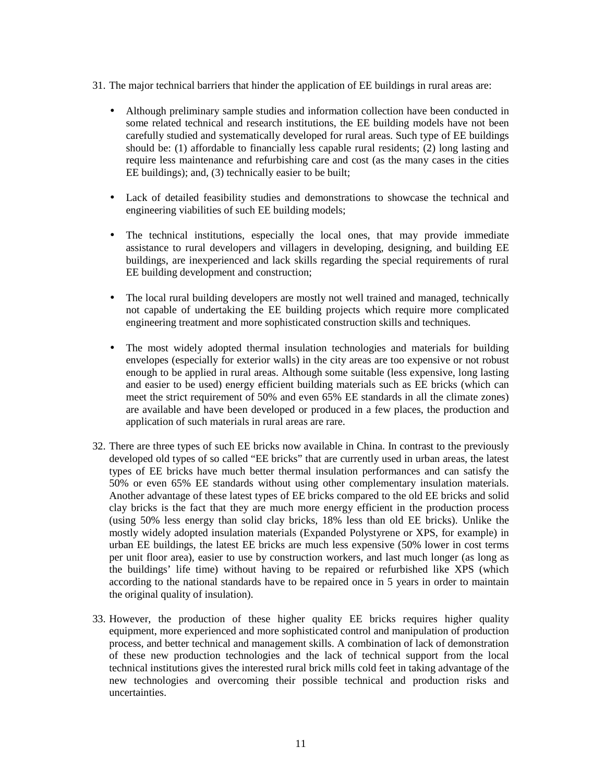- 31. The major technical barriers that hinder the application of EE buildings in rural areas are:
	- Although preliminary sample studies and information collection have been conducted in some related technical and research institutions, the EE building models have not been carefully studied and systematically developed for rural areas. Such type of EE buildings should be: (1) affordable to financially less capable rural residents; (2) long lasting and require less maintenance and refurbishing care and cost (as the many cases in the cities EE buildings); and, (3) technically easier to be built;
	- Lack of detailed feasibility studies and demonstrations to showcase the technical and engineering viabilities of such EE building models;
	- The technical institutions, especially the local ones, that may provide immediate assistance to rural developers and villagers in developing, designing, and building EE buildings, are inexperienced and lack skills regarding the special requirements of rural EE building development and construction;
	- The local rural building developers are mostly not well trained and managed, technically not capable of undertaking the EE building projects which require more complicated engineering treatment and more sophisticated construction skills and techniques.
	- The most widely adopted thermal insulation technologies and materials for building envelopes (especially for exterior walls) in the city areas are too expensive or not robust enough to be applied in rural areas. Although some suitable (less expensive, long lasting and easier to be used) energy efficient building materials such as EE bricks (which can meet the strict requirement of 50% and even 65% EE standards in all the climate zones) are available and have been developed or produced in a few places, the production and application of such materials in rural areas are rare.
- 32. There are three types of such EE bricks now available in China. In contrast to the previously developed old types of so called "EE bricks" that are currently used in urban areas, the latest types of EE bricks have much better thermal insulation performances and can satisfy the 50% or even 65% EE standards without using other complementary insulation materials. Another advantage of these latest types of EE bricks compared to the old EE bricks and solid clay bricks is the fact that they are much more energy efficient in the production process (using 50% less energy than solid clay bricks, 18% less than old EE bricks). Unlike the mostly widely adopted insulation materials (Expanded Polystyrene or XPS, for example) in urban EE buildings, the latest EE bricks are much less expensive (50% lower in cost terms per unit floor area), easier to use by construction workers, and last much longer (as long as the buildings' life time) without having to be repaired or refurbished like XPS (which according to the national standards have to be repaired once in 5 years in order to maintain the original quality of insulation).
- 33. However, the production of these higher quality EE bricks requires higher quality equipment, more experienced and more sophisticated control and manipulation of production process, and better technical and management skills. A combination of lack of demonstration of these new production technologies and the lack of technical support from the local technical institutions gives the interested rural brick mills cold feet in taking advantage of the new technologies and overcoming their possible technical and production risks and uncertainties.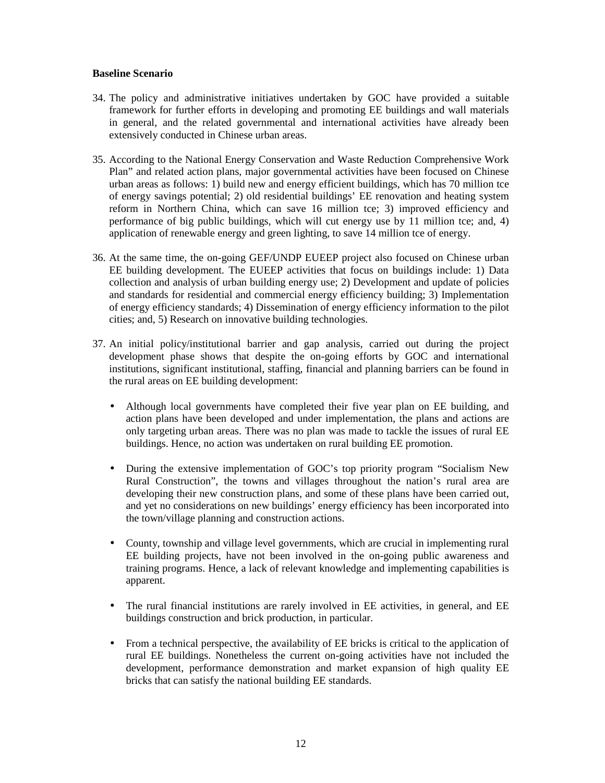## **Baseline Scenario**

- 34. The policy and administrative initiatives undertaken by GOC have provided a suitable framework for further efforts in developing and promoting EE buildings and wall materials in general, and the related governmental and international activities have already been extensively conducted in Chinese urban areas.
- 35. According to the National Energy Conservation and Waste Reduction Comprehensive Work Plan" and related action plans, major governmental activities have been focused on Chinese urban areas as follows: 1) build new and energy efficient buildings, which has 70 million tce of energy savings potential; 2) old residential buildings' EE renovation and heating system reform in Northern China, which can save 16 million tce; 3) improved efficiency and performance of big public buildings, which will cut energy use by 11 million tce; and, 4) application of renewable energy and green lighting, to save 14 million tce of energy.
- 36. At the same time, the on-going GEF/UNDP EUEEP project also focused on Chinese urban EE building development. The EUEEP activities that focus on buildings include: 1) Data collection and analysis of urban building energy use; 2) Development and update of policies and standards for residential and commercial energy efficiency building; 3) Implementation of energy efficiency standards; 4) Dissemination of energy efficiency information to the pilot cities; and, 5) Research on innovative building technologies.
- 37. An initial policy/institutional barrier and gap analysis, carried out during the project development phase shows that despite the on-going efforts by GOC and international institutions, significant institutional, staffing, financial and planning barriers can be found in the rural areas on EE building development:
	- Although local governments have completed their five year plan on EE building, and action plans have been developed and under implementation, the plans and actions are only targeting urban areas. There was no plan was made to tackle the issues of rural EE buildings. Hence, no action was undertaken on rural building EE promotion.
	- During the extensive implementation of GOC's top priority program "Socialism New Rural Construction", the towns and villages throughout the nation's rural area are developing their new construction plans, and some of these plans have been carried out, and yet no considerations on new buildings' energy efficiency has been incorporated into the town/village planning and construction actions.
	- County, township and village level governments, which are crucial in implementing rural EE building projects, have not been involved in the on-going public awareness and training programs. Hence, a lack of relevant knowledge and implementing capabilities is apparent.
	- The rural financial institutions are rarely involved in EE activities, in general, and EE buildings construction and brick production, in particular.
	- From a technical perspective, the availability of EE bricks is critical to the application of rural EE buildings. Nonetheless the current on-going activities have not included the development, performance demonstration and market expansion of high quality EE bricks that can satisfy the national building EE standards.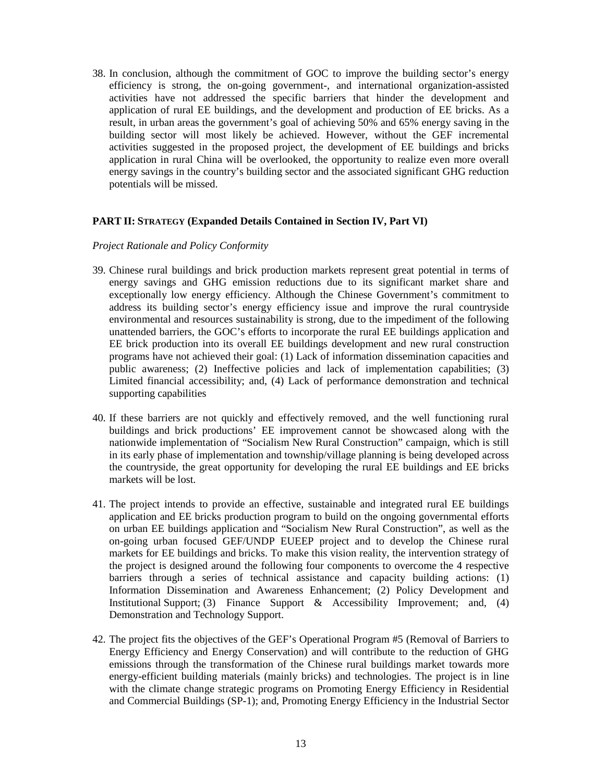38. In conclusion, although the commitment of GOC to improve the building sector's energy efficiency is strong, the on-going government-, and international organization-assisted activities have not addressed the specific barriers that hinder the development and application of rural EE buildings, and the development and production of EE bricks. As a result, in urban areas the government's goal of achieving 50% and 65% energy saving in the building sector will most likely be achieved. However, without the GEF incremental activities suggested in the proposed project, the development of EE buildings and bricks application in rural China will be overlooked, the opportunity to realize even more overall energy savings in the country's building sector and the associated significant GHG reduction potentials will be missed.

#### **PART II: STRATEGY (Expanded Details Contained in Section IV, Part VI)**

#### *Project Rationale and Policy Conformity*

- 39. Chinese rural buildings and brick production markets represent great potential in terms of energy savings and GHG emission reductions due to its significant market share and exceptionally low energy efficiency. Although the Chinese Government's commitment to address its building sector's energy efficiency issue and improve the rural countryside environmental and resources sustainability is strong, due to the impediment of the following unattended barriers, the GOC's efforts to incorporate the rural EE buildings application and EE brick production into its overall EE buildings development and new rural construction programs have not achieved their goal: (1) Lack of information dissemination capacities and public awareness; (2) Ineffective policies and lack of implementation capabilities; (3) Limited financial accessibility; and, (4) Lack of performance demonstration and technical supporting capabilities
- 40. If these barriers are not quickly and effectively removed, and the well functioning rural buildings and brick productions' EE improvement cannot be showcased along with the nationwide implementation of "Socialism New Rural Construction" campaign, which is still in its early phase of implementation and township/village planning is being developed across the countryside, the great opportunity for developing the rural EE buildings and EE bricks markets will be lost.
- 41. The project intends to provide an effective, sustainable and integrated rural EE buildings application and EE bricks production program to build on the ongoing governmental efforts on urban EE buildings application and "Socialism New Rural Construction", as well as the on-going urban focused GEF/UNDP EUEEP project and to develop the Chinese rural markets for EE buildings and bricks. To make this vision reality, the intervention strategy of the project is designed around the following four components to overcome the 4 respective barriers through a series of technical assistance and capacity building actions: (1) Information Dissemination and Awareness Enhancement; (2) Policy Development and Institutional Support; (3) Finance Support & Accessibility Improvement; and, (4) Demonstration and Technology Support.
- 42. The project fits the objectives of the GEF's Operational Program #5 (Removal of Barriers to Energy Efficiency and Energy Conservation) and will contribute to the reduction of GHG emissions through the transformation of the Chinese rural buildings market towards more energy-efficient building materials (mainly bricks) and technologies. The project is in line with the climate change strategic programs on Promoting Energy Efficiency in Residential and Commercial Buildings (SP-1); and, Promoting Energy Efficiency in the Industrial Sector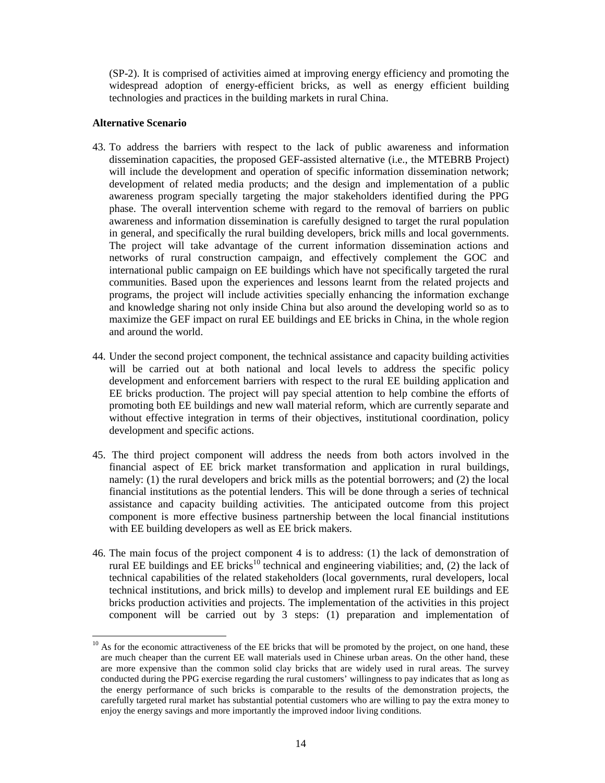(SP-2). It is comprised of activities aimed at improving energy efficiency and promoting the widespread adoption of energy-efficient bricks, as well as energy efficient building technologies and practices in the building markets in rural China.

#### **Alternative Scenario**

 $\overline{a}$ 

- 43. To address the barriers with respect to the lack of public awareness and information dissemination capacities, the proposed GEF-assisted alternative (i.e., the MTEBRB Project) will include the development and operation of specific information dissemination network; development of related media products; and the design and implementation of a public awareness program specially targeting the major stakeholders identified during the PPG phase. The overall intervention scheme with regard to the removal of barriers on public awareness and information dissemination is carefully designed to target the rural population in general, and specifically the rural building developers, brick mills and local governments. The project will take advantage of the current information dissemination actions and networks of rural construction campaign, and effectively complement the GOC and international public campaign on EE buildings which have not specifically targeted the rural communities. Based upon the experiences and lessons learnt from the related projects and programs, the project will include activities specially enhancing the information exchange and knowledge sharing not only inside China but also around the developing world so as to maximize the GEF impact on rural EE buildings and EE bricks in China, in the whole region and around the world.
- 44. Under the second project component, the technical assistance and capacity building activities will be carried out at both national and local levels to address the specific policy development and enforcement barriers with respect to the rural EE building application and EE bricks production. The project will pay special attention to help combine the efforts of promoting both EE buildings and new wall material reform, which are currently separate and without effective integration in terms of their objectives, institutional coordination, policy development and specific actions.
- 45. The third project component will address the needs from both actors involved in the financial aspect of EE brick market transformation and application in rural buildings, namely: (1) the rural developers and brick mills as the potential borrowers; and (2) the local financial institutions as the potential lenders. This will be done through a series of technical assistance and capacity building activities. The anticipated outcome from this project component is more effective business partnership between the local financial institutions with EE building developers as well as EE brick makers.
- 46. The main focus of the project component 4 is to address: (1) the lack of demonstration of rural EE buildings and EE bricks<sup>10</sup> technical and engineering viabilities; and, (2) the lack of technical capabilities of the related stakeholders (local governments, rural developers, local technical institutions, and brick mills) to develop and implement rural EE buildings and EE bricks production activities and projects. The implementation of the activities in this project component will be carried out by 3 steps: (1) preparation and implementation of

 $10$  As for the economic attractiveness of the EE bricks that will be promoted by the project, on one hand, these are much cheaper than the current EE wall materials used in Chinese urban areas. On the other hand, these are more expensive than the common solid clay bricks that are widely used in rural areas. The survey conducted during the PPG exercise regarding the rural customers' willingness to pay indicates that as long as the energy performance of such bricks is comparable to the results of the demonstration projects, the carefully targeted rural market has substantial potential customers who are willing to pay the extra money to enjoy the energy savings and more importantly the improved indoor living conditions.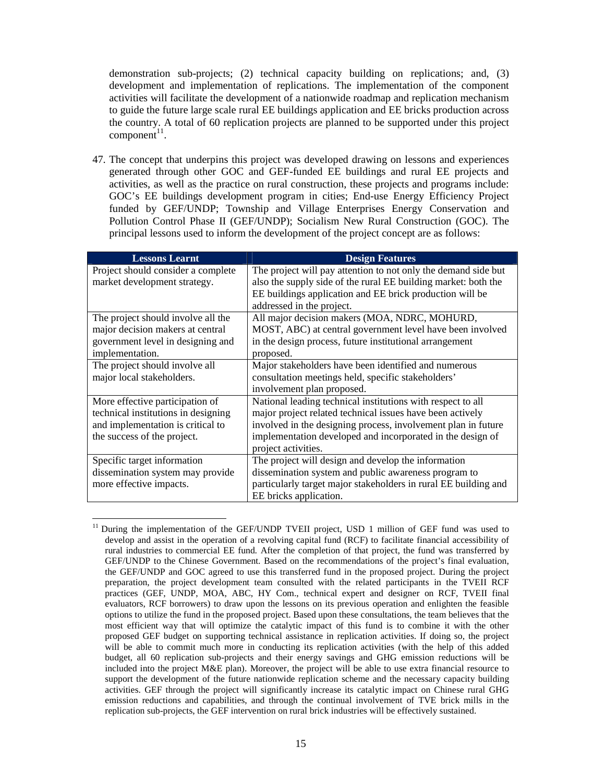demonstration sub-projects; (2) technical capacity building on replications; and, (3) development and implementation of replications. The implementation of the component activities will facilitate the development of a nationwide roadmap and replication mechanism to guide the future large scale rural EE buildings application and EE bricks production across the country. A total of 60 replication projects are planned to be supported under this project  $component<sup>11</sup>$ .

47. The concept that underpins this project was developed drawing on lessons and experiences generated through other GOC and GEF-funded EE buildings and rural EE projects and activities, as well as the practice on rural construction, these projects and programs include: GOC's EE buildings development program in cities; End-use Energy Efficiency Project funded by GEF/UNDP; Township and Village Enterprises Energy Conservation and Pollution Control Phase II (GEF/UNDP); Socialism New Rural Construction (GOC). The principal lessons used to inform the development of the project concept are as follows:

| <b>Lessons Learnt</b>               | <b>Design Features</b>                                                                                                     |
|-------------------------------------|----------------------------------------------------------------------------------------------------------------------------|
| Project should consider a complete  | The project will pay attention to not only the demand side but                                                             |
| market development strategy.        | also the supply side of the rural EE building market: both the<br>EE buildings application and EE brick production will be |
|                                     | addressed in the project.                                                                                                  |
| The project should involve all the  | All major decision makers (MOA, NDRC, MOHURD,                                                                              |
| major decision makers at central    | MOST, ABC) at central government level have been involved                                                                  |
| government level in designing and   | in the design process, future institutional arrangement                                                                    |
| implementation.                     | proposed.                                                                                                                  |
| The project should involve all      | Major stakeholders have been identified and numerous                                                                       |
| major local stakeholders.           | consultation meetings held, specific stakeholders'                                                                         |
|                                     | involvement plan proposed.                                                                                                 |
| More effective participation of     | National leading technical institutions with respect to all                                                                |
| technical institutions in designing | major project related technical issues have been actively                                                                  |
| and implementation is critical to   | involved in the designing process, involvement plan in future                                                              |
| the success of the project.         | implementation developed and incorporated in the design of                                                                 |
|                                     | project activities.                                                                                                        |
| Specific target information         | The project will design and develop the information                                                                        |
| dissemination system may provide    | dissemination system and public awareness program to                                                                       |
| more effective impacts.             | particularly target major stakeholders in rural EE building and                                                            |
|                                     | EE bricks application.                                                                                                     |

 $\overline{a}$ <sup>11</sup> During the implementation of the GEF/UNDP TVEII project, USD 1 million of GEF fund was used to develop and assist in the operation of a revolving capital fund (RCF) to facilitate financial accessibility of rural industries to commercial EE fund. After the completion of that project, the fund was transferred by GEF/UNDP to the Chinese Government. Based on the recommendations of the project's final evaluation, the GEF/UNDP and GOC agreed to use this transferred fund in the proposed project. During the project preparation, the project development team consulted with the related participants in the TVEII RCF practices (GEF, UNDP, MOA, ABC, HY Com., technical expert and designer on RCF, TVEII final evaluators, RCF borrowers) to draw upon the lessons on its previous operation and enlighten the feasible options to utilize the fund in the proposed project. Based upon these consultations, the team believes that the most efficient way that will optimize the catalytic impact of this fund is to combine it with the other proposed GEF budget on supporting technical assistance in replication activities. If doing so, the project will be able to commit much more in conducting its replication activities (with the help of this added budget, all 60 replication sub-projects and their energy savings and GHG emission reductions will be included into the project M&E plan). Moreover, the project will be able to use extra financial resource to support the development of the future nationwide replication scheme and the necessary capacity building activities. GEF through the project will significantly increase its catalytic impact on Chinese rural GHG emission reductions and capabilities, and through the continual involvement of TVE brick mills in the replication sub-projects, the GEF intervention on rural brick industries will be effectively sustained.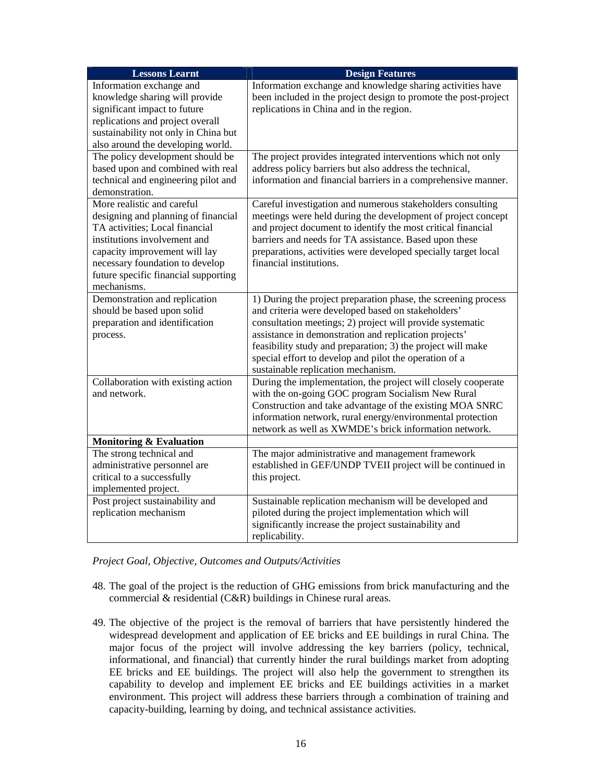| <b>Lessons Learnt</b>                                                 | <b>Design Features</b>                                                                                                   |
|-----------------------------------------------------------------------|--------------------------------------------------------------------------------------------------------------------------|
| Information exchange and                                              | Information exchange and knowledge sharing activities have                                                               |
| knowledge sharing will provide                                        | been included in the project design to promote the post-project                                                          |
| significant impact to future                                          | replications in China and in the region.                                                                                 |
| replications and project overall                                      |                                                                                                                          |
| sustainability not only in China but                                  |                                                                                                                          |
| also around the developing world.                                     |                                                                                                                          |
| The policy development should be<br>based upon and combined with real | The project provides integrated interventions which not only                                                             |
| technical and engineering pilot and                                   | address policy barriers but also address the technical,<br>information and financial barriers in a comprehensive manner. |
| demonstration.                                                        |                                                                                                                          |
| More realistic and careful                                            | Careful investigation and numerous stakeholders consulting                                                               |
| designing and planning of financial                                   | meetings were held during the development of project concept                                                             |
| TA activities; Local financial                                        | and project document to identify the most critical financial                                                             |
| institutions involvement and                                          | barriers and needs for TA assistance. Based upon these                                                                   |
| capacity improvement will lay                                         | preparations, activities were developed specially target local                                                           |
| necessary foundation to develop                                       | financial institutions.                                                                                                  |
| future specific financial supporting                                  |                                                                                                                          |
| mechanisms.                                                           |                                                                                                                          |
| Demonstration and replication                                         | 1) During the project preparation phase, the screening process                                                           |
| should be based upon solid                                            | and criteria were developed based on stakeholders'                                                                       |
| preparation and identification                                        | consultation meetings; 2) project will provide systematic                                                                |
| process.                                                              | assistance in demonstration and replication projects'                                                                    |
|                                                                       | feasibility study and preparation; 3) the project will make                                                              |
|                                                                       | special effort to develop and pilot the operation of a                                                                   |
|                                                                       | sustainable replication mechanism.                                                                                       |
| Collaboration with existing action<br>and network.                    | During the implementation, the project will closely cooperate<br>with the on-going GOC program Socialism New Rural       |
|                                                                       | Construction and take advantage of the existing MOA SNRC                                                                 |
|                                                                       | information network, rural energy/environmental protection                                                               |
|                                                                       | network as well as XWMDE's brick information network.                                                                    |
| <b>Monitoring &amp; Evaluation</b>                                    |                                                                                                                          |
| The strong technical and                                              | The major administrative and management framework                                                                        |
| administrative personnel are                                          | established in GEF/UNDP TVEII project will be continued in                                                               |
| critical to a successfully                                            | this project.                                                                                                            |
| implemented project.                                                  |                                                                                                                          |
| Post project sustainability and                                       | Sustainable replication mechanism will be developed and                                                                  |
| replication mechanism                                                 | piloted during the project implementation which will                                                                     |
|                                                                       | significantly increase the project sustainability and                                                                    |
|                                                                       | replicability.                                                                                                           |

*Project Goal, Objective, Outcomes and Outputs/Activities* 

- 48. The goal of the project is the reduction of GHG emissions from brick manufacturing and the commercial & residential (C&R) buildings in Chinese rural areas.
- 49. The objective of the project is the removal of barriers that have persistently hindered the widespread development and application of EE bricks and EE buildings in rural China. The major focus of the project will involve addressing the key barriers (policy, technical, informational, and financial) that currently hinder the rural buildings market from adopting EE bricks and EE buildings. The project will also help the government to strengthen its capability to develop and implement EE bricks and EE buildings activities in a market environment. This project will address these barriers through a combination of training and capacity-building, learning by doing, and technical assistance activities.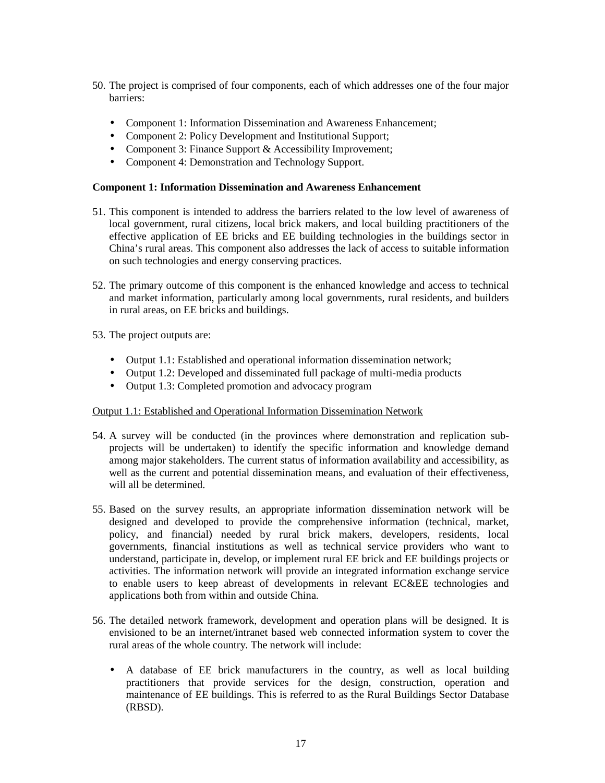- 50. The project is comprised of four components, each of which addresses one of the four major barriers:
	- Component 1: Information Dissemination and Awareness Enhancement;
	- Component 2: Policy Development and Institutional Support;
	- Component 3: Finance Support & Accessibility Improvement;
	- Component 4: Demonstration and Technology Support.

# **Component 1: Information Dissemination and Awareness Enhancement**

- 51. This component is intended to address the barriers related to the low level of awareness of local government, rural citizens, local brick makers, and local building practitioners of the effective application of EE bricks and EE building technologies in the buildings sector in China's rural areas. This component also addresses the lack of access to suitable information on such technologies and energy conserving practices.
- 52. The primary outcome of this component is the enhanced knowledge and access to technical and market information, particularly among local governments, rural residents, and builders in rural areas, on EE bricks and buildings.
- 53. The project outputs are:
	- Output 1.1: Established and operational information dissemination network;
	- Output 1.2: Developed and disseminated full package of multi-media products
	- Output 1.3: Completed promotion and advocacy program

# Output 1.1: Established and Operational Information Dissemination Network

- 54. A survey will be conducted (in the provinces where demonstration and replication subprojects will be undertaken) to identify the specific information and knowledge demand among major stakeholders. The current status of information availability and accessibility, as well as the current and potential dissemination means, and evaluation of their effectiveness, will all be determined.
- 55. Based on the survey results, an appropriate information dissemination network will be designed and developed to provide the comprehensive information (technical, market, policy, and financial) needed by rural brick makers, developers, residents, local governments, financial institutions as well as technical service providers who want to understand, participate in, develop, or implement rural EE brick and EE buildings projects or activities. The information network will provide an integrated information exchange service to enable users to keep abreast of developments in relevant EC&EE technologies and applications both from within and outside China.
- 56. The detailed network framework, development and operation plans will be designed. It is envisioned to be an internet/intranet based web connected information system to cover the rural areas of the whole country. The network will include:
	- A database of EE brick manufacturers in the country, as well as local building practitioners that provide services for the design, construction, operation and maintenance of EE buildings. This is referred to as the Rural Buildings Sector Database (RBSD).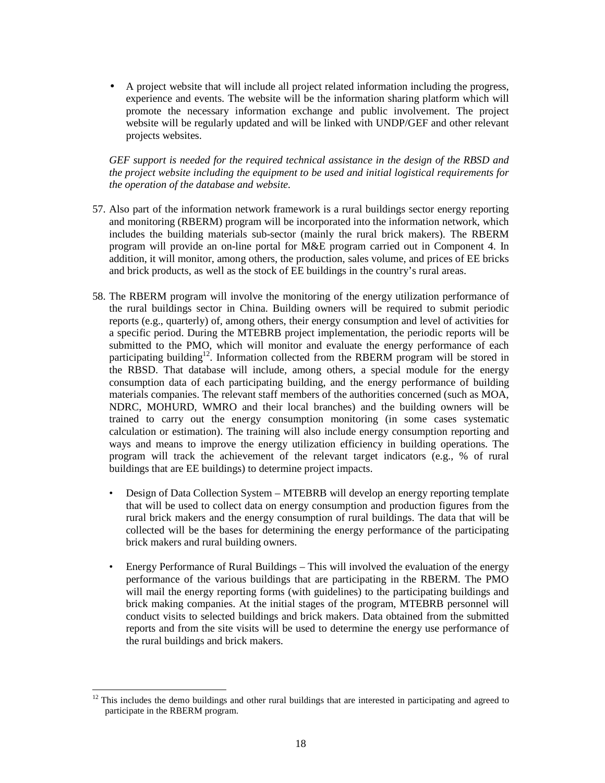• A project website that will include all project related information including the progress, experience and events. The website will be the information sharing platform which will promote the necessary information exchange and public involvement. The project website will be regularly updated and will be linked with UNDP/GEF and other relevant projects websites.

*GEF support is needed for the required technical assistance in the design of the RBSD and the project website including the equipment to be used and initial logistical requirements for the operation of the database and website.* 

- 57. Also part of the information network framework is a rural buildings sector energy reporting and monitoring (RBERM) program will be incorporated into the information network, which includes the building materials sub-sector (mainly the rural brick makers). The RBERM program will provide an on-line portal for M&E program carried out in Component 4. In addition, it will monitor, among others, the production, sales volume, and prices of EE bricks and brick products, as well as the stock of EE buildings in the country's rural areas.
- 58. The RBERM program will involve the monitoring of the energy utilization performance of the rural buildings sector in China. Building owners will be required to submit periodic reports (e.g., quarterly) of, among others, their energy consumption and level of activities for a specific period. During the MTEBRB project implementation, the periodic reports will be submitted to the PMO, which will monitor and evaluate the energy performance of each participating building<sup>12</sup>. Information collected from the RBERM program will be stored in the RBSD. That database will include, among others, a special module for the energy consumption data of each participating building, and the energy performance of building materials companies. The relevant staff members of the authorities concerned (such as MOA, NDRC, MOHURD, WMRO and their local branches) and the building owners will be trained to carry out the energy consumption monitoring (in some cases systematic calculation or estimation). The training will also include energy consumption reporting and ways and means to improve the energy utilization efficiency in building operations. The program will track the achievement of the relevant target indicators (e.g., % of rural buildings that are EE buildings) to determine project impacts.
	- Design of Data Collection System MTEBRB will develop an energy reporting template that will be used to collect data on energy consumption and production figures from the rural brick makers and the energy consumption of rural buildings. The data that will be collected will be the bases for determining the energy performance of the participating brick makers and rural building owners.
	- Energy Performance of Rural Buildings This will involved the evaluation of the energy performance of the various buildings that are participating in the RBERM. The PMO will mail the energy reporting forms (with guidelines) to the participating buildings and brick making companies. At the initial stages of the program, MTEBRB personnel will conduct visits to selected buildings and brick makers. Data obtained from the submitted reports and from the site visits will be used to determine the energy use performance of the rural buildings and brick makers.

 $\overline{a}$ 

 $12$  This includes the demo buildings and other rural buildings that are interested in participating and agreed to participate in the RBERM program.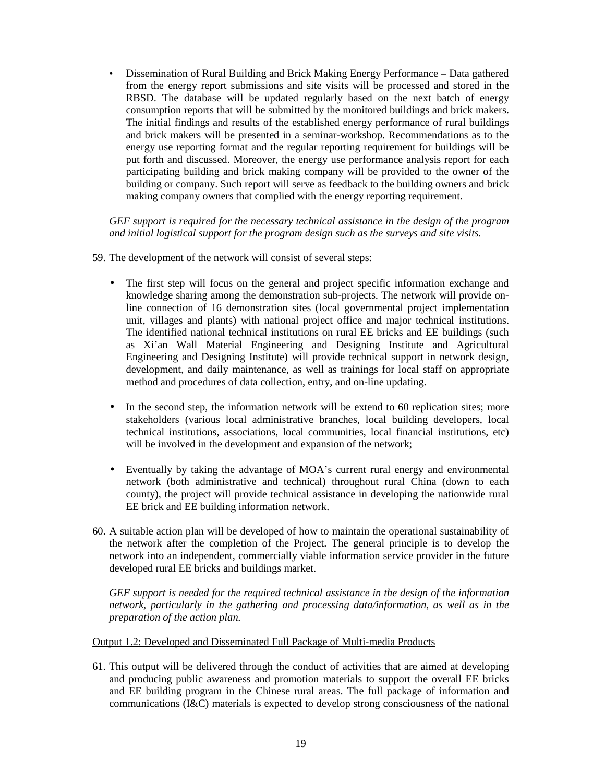• Dissemination of Rural Building and Brick Making Energy Performance – Data gathered from the energy report submissions and site visits will be processed and stored in the RBSD. The database will be updated regularly based on the next batch of energy consumption reports that will be submitted by the monitored buildings and brick makers. The initial findings and results of the established energy performance of rural buildings and brick makers will be presented in a seminar-workshop. Recommendations as to the energy use reporting format and the regular reporting requirement for buildings will be put forth and discussed. Moreover, the energy use performance analysis report for each participating building and brick making company will be provided to the owner of the building or company. Such report will serve as feedback to the building owners and brick making company owners that complied with the energy reporting requirement.

*GEF support is required for the necessary technical assistance in the design of the program and initial logistical support for the program design such as the surveys and site visits.* 

- 59. The development of the network will consist of several steps:
	- The first step will focus on the general and project specific information exchange and knowledge sharing among the demonstration sub-projects. The network will provide online connection of 16 demonstration sites (local governmental project implementation unit, villages and plants) with national project office and major technical institutions. The identified national technical institutions on rural EE bricks and EE buildings (such as Xi'an Wall Material Engineering and Designing Institute and Agricultural Engineering and Designing Institute) will provide technical support in network design, development, and daily maintenance, as well as trainings for local staff on appropriate method and procedures of data collection, entry, and on-line updating.
	- In the second step, the information network will be extend to 60 replication sites; more stakeholders (various local administrative branches, local building developers, local technical institutions, associations, local communities, local financial institutions, etc) will be involved in the development and expansion of the network;
	- Eventually by taking the advantage of MOA's current rural energy and environmental network (both administrative and technical) throughout rural China (down to each county), the project will provide technical assistance in developing the nationwide rural EE brick and EE building information network.
- 60. A suitable action plan will be developed of how to maintain the operational sustainability of the network after the completion of the Project. The general principle is to develop the network into an independent, commercially viable information service provider in the future developed rural EE bricks and buildings market.

*GEF support is needed for the required technical assistance in the design of the information network, particularly in the gathering and processing data/information, as well as in the preparation of the action plan.* 

#### Output 1.2: Developed and Disseminated Full Package of Multi-media Products

61. This output will be delivered through the conduct of activities that are aimed at developing and producing public awareness and promotion materials to support the overall EE bricks and EE building program in the Chinese rural areas. The full package of information and communications (I&C) materials is expected to develop strong consciousness of the national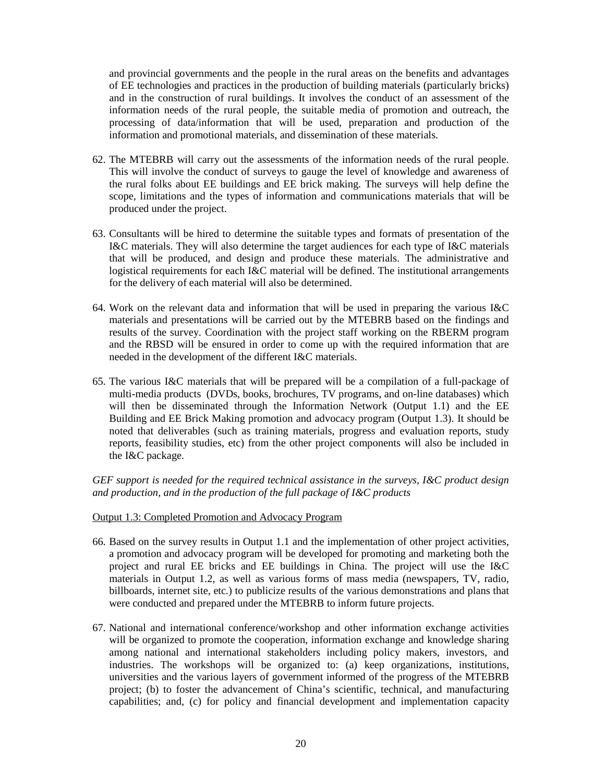and provincial governments and the people in the rural areas on the benefits and advantages of EE technologies and practices in the production of building materials (particularly bricks) and in the construction of rural buildings. It involves the conduct of an assessment of the information needs of the rural people, the suitable media of promotion and outreach, the processing of data/information that will be used, preparation and production of the information and promotional materials, and dissemination of these materials.

- 62. The MTEBRB will carry out the assessments of the information needs of the rural people. This will involve the conduct of surveys to gauge the level of knowledge and awareness of the rural folks about EE buildings and EE brick making. The surveys will help define the scope, limitations and the types of information and communications materials that will be produced under the project.
- 63. Consultants will be hired to determine the suitable types and formats of presentation of the I&C materials. They will also determine the target audiences for each type of I&C materials that will be produced, and design and produce these materials. The administrative and logistical requirements for each I&C material will be defined. The institutional arrangements for the delivery of each material will also be determined.
- 64. Work on the relevant data and information that will be used in preparing the various I&C materials and presentations will be carried out by the MTEBRB based on the findings and results of the survey. Coordination with the project staff working on the RBERM program and the RBSD will be ensured in order to come up with the required information that are needed in the development of the different I&C materials.
- 65. The various I&C materials that will be prepared will be a compilation of a full-package of multi-media products (DVDs, books, brochures, TV programs, and on-line databases) which will then be disseminated through the Information Network (Output 1.1) and the EE Building and EE Brick Making promotion and advocacy program (Output 1.3). It should be noted that deliverables (such as training materials, progress and evaluation reports, study reports, feasibility studies, etc) from the other project components will also be included in the I&C package.

*GEF support is needed for the required technical assistance in the surveys, I&C product design and production, and in the production of the full package of I&C products* 

#### Output 1.3: Completed Promotion and Advocacy Program

- 66. Based on the survey results in Output 1.1 and the implementation of other project activities, a promotion and advocacy program will be developed for promoting and marketing both the project and rural EE bricks and EE buildings in China. The project will use the I&C materials in Output 1.2, as well as various forms of mass media (newspapers, TV, radio, billboards, internet site, etc.) to publicize results of the various demonstrations and plans that were conducted and prepared under the MTEBRB to inform future projects.
- 67. National and international conference/workshop and other information exchange activities will be organized to promote the cooperation, information exchange and knowledge sharing among national and international stakeholders including policy makers, investors, and industries. The workshops will be organized to: (a) keep organizations, institutions, universities and the various layers of government informed of the progress of the MTEBRB project; (b) to foster the advancement of China's scientific, technical, and manufacturing capabilities; and, (c) for policy and financial development and implementation capacity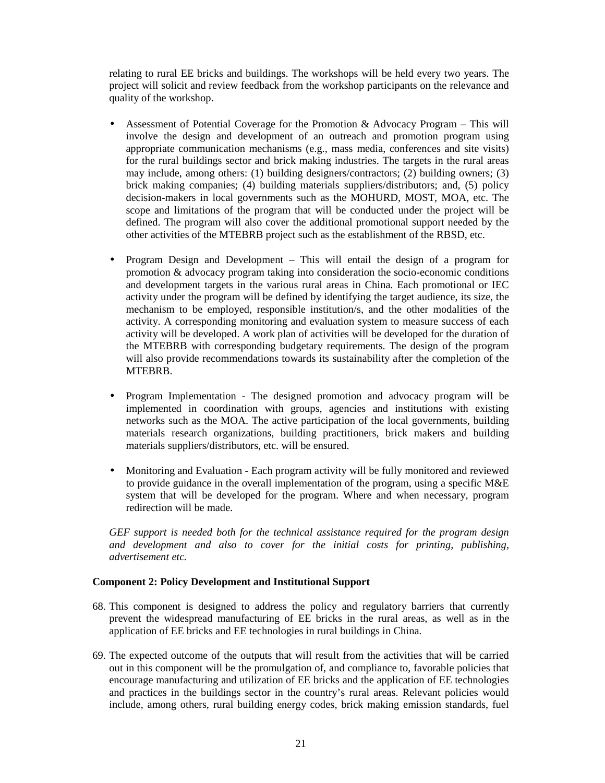relating to rural EE bricks and buildings. The workshops will be held every two years. The project will solicit and review feedback from the workshop participants on the relevance and quality of the workshop.

- Assessment of Potential Coverage for the Promotion & Advocacy Program This will involve the design and development of an outreach and promotion program using appropriate communication mechanisms (e.g., mass media, conferences and site visits) for the rural buildings sector and brick making industries. The targets in the rural areas may include, among others: (1) building designers/contractors; (2) building owners; (3) brick making companies; (4) building materials suppliers/distributors; and, (5) policy decision-makers in local governments such as the MOHURD, MOST, MOA, etc. The scope and limitations of the program that will be conducted under the project will be defined. The program will also cover the additional promotional support needed by the other activities of the MTEBRB project such as the establishment of the RBSD, etc.
- Program Design and Development This will entail the design of a program for promotion & advocacy program taking into consideration the socio-economic conditions and development targets in the various rural areas in China. Each promotional or IEC activity under the program will be defined by identifying the target audience, its size, the mechanism to be employed, responsible institution/s, and the other modalities of the activity. A corresponding monitoring and evaluation system to measure success of each activity will be developed. A work plan of activities will be developed for the duration of the MTEBRB with corresponding budgetary requirements. The design of the program will also provide recommendations towards its sustainability after the completion of the MTEBRB.
- Program Implementation The designed promotion and advocacy program will be implemented in coordination with groups, agencies and institutions with existing networks such as the MOA. The active participation of the local governments, building materials research organizations, building practitioners, brick makers and building materials suppliers/distributors, etc. will be ensured.
- Monitoring and Evaluation Each program activity will be fully monitored and reviewed to provide guidance in the overall implementation of the program, using a specific M&E system that will be developed for the program. Where and when necessary, program redirection will be made.

*GEF support is needed both for the technical assistance required for the program design and development and also to cover for the initial costs for printing, publishing, advertisement etc.*

## **Component 2: Policy Development and Institutional Support**

- 68. This component is designed to address the policy and regulatory barriers that currently prevent the widespread manufacturing of EE bricks in the rural areas, as well as in the application of EE bricks and EE technologies in rural buildings in China.
- 69. The expected outcome of the outputs that will result from the activities that will be carried out in this component will be the promulgation of, and compliance to, favorable policies that encourage manufacturing and utilization of EE bricks and the application of EE technologies and practices in the buildings sector in the country's rural areas. Relevant policies would include, among others, rural building energy codes, brick making emission standards, fuel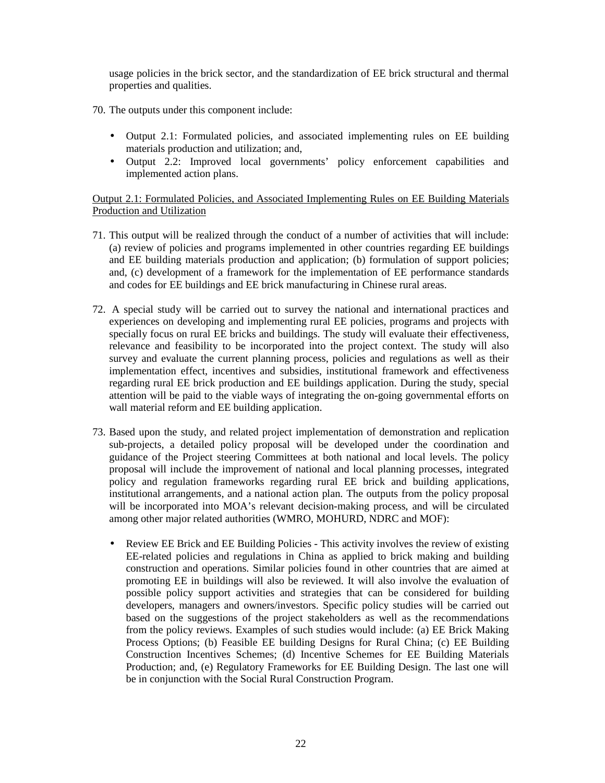usage policies in the brick sector, and the standardization of EE brick structural and thermal properties and qualities.

70. The outputs under this component include:

- Output 2.1: Formulated policies, and associated implementing rules on EE building materials production and utilization; and,
- Output 2.2: Improved local governments' policy enforcement capabilities and implemented action plans.

Output 2.1: Formulated Policies, and Associated Implementing Rules on EE Building Materials Production and Utilization

- 71. This output will be realized through the conduct of a number of activities that will include: (a) review of policies and programs implemented in other countries regarding EE buildings and EE building materials production and application; (b) formulation of support policies; and, (c) development of a framework for the implementation of EE performance standards and codes for EE buildings and EE brick manufacturing in Chinese rural areas.
- 72. A special study will be carried out to survey the national and international practices and experiences on developing and implementing rural EE policies, programs and projects with specially focus on rural EE bricks and buildings. The study will evaluate their effectiveness, relevance and feasibility to be incorporated into the project context. The study will also survey and evaluate the current planning process, policies and regulations as well as their implementation effect, incentives and subsidies, institutional framework and effectiveness regarding rural EE brick production and EE buildings application. During the study, special attention will be paid to the viable ways of integrating the on-going governmental efforts on wall material reform and EE building application.
- 73. Based upon the study, and related project implementation of demonstration and replication sub-projects, a detailed policy proposal will be developed under the coordination and guidance of the Project steering Committees at both national and local levels. The policy proposal will include the improvement of national and local planning processes, integrated policy and regulation frameworks regarding rural EE brick and building applications, institutional arrangements, and a national action plan. The outputs from the policy proposal will be incorporated into MOA's relevant decision-making process, and will be circulated among other major related authorities (WMRO, MOHURD, NDRC and MOF):
	- Review EE Brick and EE Building Policies This activity involves the review of existing EE-related policies and regulations in China as applied to brick making and building construction and operations. Similar policies found in other countries that are aimed at promoting EE in buildings will also be reviewed. It will also involve the evaluation of possible policy support activities and strategies that can be considered for building developers, managers and owners/investors. Specific policy studies will be carried out based on the suggestions of the project stakeholders as well as the recommendations from the policy reviews. Examples of such studies would include: (a) EE Brick Making Process Options; (b) Feasible EE building Designs for Rural China; (c) EE Building Construction Incentives Schemes; (d) Incentive Schemes for EE Building Materials Production; and, (e) Regulatory Frameworks for EE Building Design. The last one will be in conjunction with the Social Rural Construction Program.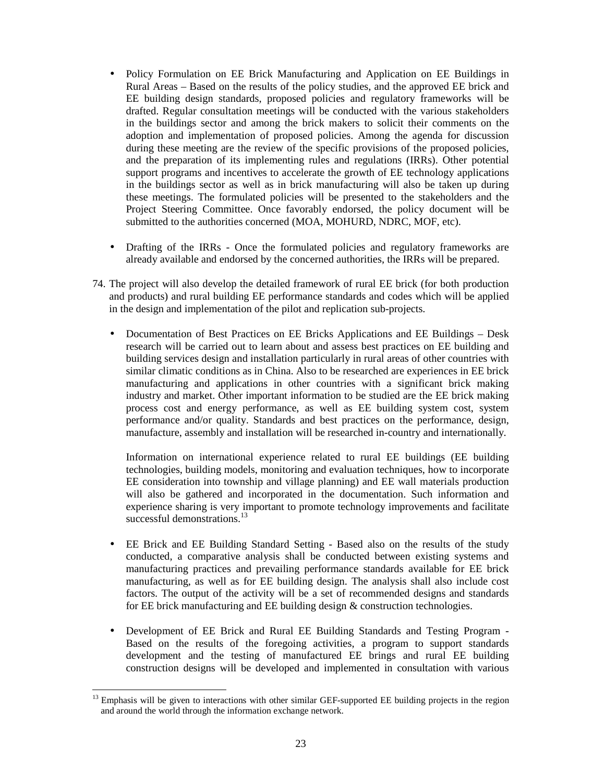- Policy Formulation on EE Brick Manufacturing and Application on EE Buildings in Rural Areas – Based on the results of the policy studies, and the approved EE brick and EE building design standards, proposed policies and regulatory frameworks will be drafted. Regular consultation meetings will be conducted with the various stakeholders in the buildings sector and among the brick makers to solicit their comments on the adoption and implementation of proposed policies. Among the agenda for discussion during these meeting are the review of the specific provisions of the proposed policies, and the preparation of its implementing rules and regulations (IRRs). Other potential support programs and incentives to accelerate the growth of EE technology applications in the buildings sector as well as in brick manufacturing will also be taken up during these meetings. The formulated policies will be presented to the stakeholders and the Project Steering Committee. Once favorably endorsed, the policy document will be submitted to the authorities concerned (MOA, MOHURD, NDRC, MOF, etc).
- Drafting of the IRRs Once the formulated policies and regulatory frameworks are already available and endorsed by the concerned authorities, the IRRs will be prepared.
- 74. The project will also develop the detailed framework of rural EE brick (for both production and products) and rural building EE performance standards and codes which will be applied in the design and implementation of the pilot and replication sub-projects.
	- Documentation of Best Practices on EE Bricks Applications and EE Buildings Desk research will be carried out to learn about and assess best practices on EE building and building services design and installation particularly in rural areas of other countries with similar climatic conditions as in China. Also to be researched are experiences in EE brick manufacturing and applications in other countries with a significant brick making industry and market. Other important information to be studied are the EE brick making process cost and energy performance, as well as EE building system cost, system performance and/or quality. Standards and best practices on the performance, design, manufacture, assembly and installation will be researched in-country and internationally.

Information on international experience related to rural EE buildings (EE building technologies, building models, monitoring and evaluation techniques, how to incorporate EE consideration into township and village planning) and EE wall materials production will also be gathered and incorporated in the documentation. Such information and experience sharing is very important to promote technology improvements and facilitate successful demonstrations.<sup>13</sup>

- EE Brick and EE Building Standard Setting Based also on the results of the study conducted, a comparative analysis shall be conducted between existing systems and manufacturing practices and prevailing performance standards available for EE brick manufacturing, as well as for EE building design. The analysis shall also include cost factors. The output of the activity will be a set of recommended designs and standards for EE brick manufacturing and EE building design & construction technologies.
- Development of EE Brick and Rural EE Building Standards and Testing Program Based on the results of the foregoing activities, a program to support standards development and the testing of manufactured EE brings and rural EE building construction designs will be developed and implemented in consultation with various

<sup>13</sup> Emphasis will be given to interactions with other similar GEF-supported EE building projects in the region and around the world through the information exchange network.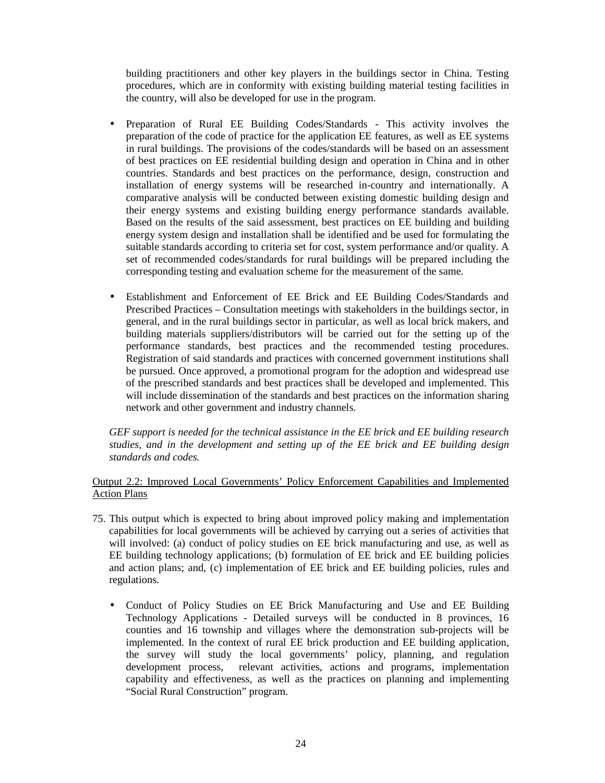building practitioners and other key players in the buildings sector in China. Testing procedures, which are in conformity with existing building material testing facilities in the country, will also be developed for use in the program.

- Preparation of Rural EE Building Codes/Standards This activity involves the preparation of the code of practice for the application EE features, as well as EE systems in rural buildings. The provisions of the codes/standards will be based on an assessment of best practices on EE residential building design and operation in China and in other countries. Standards and best practices on the performance, design, construction and installation of energy systems will be researched in-country and internationally. A comparative analysis will be conducted between existing domestic building design and their energy systems and existing building energy performance standards available. Based on the results of the said assessment, best practices on EE building and building energy system design and installation shall be identified and be used for formulating the suitable standards according to criteria set for cost, system performance and/or quality. A set of recommended codes/standards for rural buildings will be prepared including the corresponding testing and evaluation scheme for the measurement of the same.
- Establishment and Enforcement of EE Brick and EE Building Codes/Standards and Prescribed Practices – Consultation meetings with stakeholders in the buildings sector, in general, and in the rural buildings sector in particular, as well as local brick makers, and building materials suppliers/distributors will be carried out for the setting up of the performance standards, best practices and the recommended testing procedures. Registration of said standards and practices with concerned government institutions shall be pursued. Once approved, a promotional program for the adoption and widespread use of the prescribed standards and best practices shall be developed and implemented. This will include dissemination of the standards and best practices on the information sharing network and other government and industry channels.

*GEF support is needed for the technical assistance in the EE brick and EE building research studies, and in the development and setting up of the EE brick and EE building design standards and codes.* 

# Output 2.2: Improved Local Governments' Policy Enforcement Capabilities and Implemented Action Plans

- 75. This output which is expected to bring about improved policy making and implementation capabilities for local governments will be achieved by carrying out a series of activities that will involved: (a) conduct of policy studies on EE brick manufacturing and use, as well as EE building technology applications; (b) formulation of EE brick and EE building policies and action plans; and, (c) implementation of EE brick and EE building policies, rules and regulations.
	- Conduct of Policy Studies on EE Brick Manufacturing and Use and EE Building Technology Applications - Detailed surveys will be conducted in 8 provinces, 16 counties and 16 township and villages where the demonstration sub-projects will be implemented. In the context of rural EE brick production and EE building application, the survey will study the local governments' policy, planning, and regulation development process, relevant activities, actions and programs, implementation capability and effectiveness, as well as the practices on planning and implementing "Social Rural Construction" program.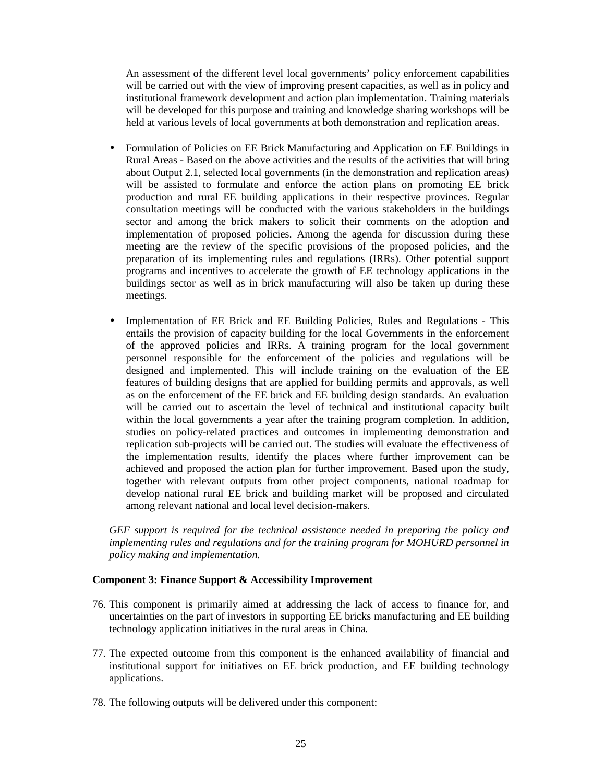An assessment of the different level local governments' policy enforcement capabilities will be carried out with the view of improving present capacities, as well as in policy and institutional framework development and action plan implementation. Training materials will be developed for this purpose and training and knowledge sharing workshops will be held at various levels of local governments at both demonstration and replication areas.

- Formulation of Policies on EE Brick Manufacturing and Application on EE Buildings in Rural Areas - Based on the above activities and the results of the activities that will bring about Output 2.1, selected local governments (in the demonstration and replication areas) will be assisted to formulate and enforce the action plans on promoting EE brick production and rural EE building applications in their respective provinces. Regular consultation meetings will be conducted with the various stakeholders in the buildings sector and among the brick makers to solicit their comments on the adoption and implementation of proposed policies. Among the agenda for discussion during these meeting are the review of the specific provisions of the proposed policies, and the preparation of its implementing rules and regulations (IRRs). Other potential support programs and incentives to accelerate the growth of EE technology applications in the buildings sector as well as in brick manufacturing will also be taken up during these meetings.
- Implementation of EE Brick and EE Building Policies, Rules and Regulations This entails the provision of capacity building for the local Governments in the enforcement of the approved policies and IRRs. A training program for the local government personnel responsible for the enforcement of the policies and regulations will be designed and implemented. This will include training on the evaluation of the EE features of building designs that are applied for building permits and approvals, as well as on the enforcement of the EE brick and EE building design standards. An evaluation will be carried out to ascertain the level of technical and institutional capacity built within the local governments a year after the training program completion. In addition, studies on policy-related practices and outcomes in implementing demonstration and replication sub-projects will be carried out. The studies will evaluate the effectiveness of the implementation results, identify the places where further improvement can be achieved and proposed the action plan for further improvement. Based upon the study, together with relevant outputs from other project components, national roadmap for develop national rural EE brick and building market will be proposed and circulated among relevant national and local level decision-makers.

*GEF support is required for the technical assistance needed in preparing the policy and implementing rules and regulations and for the training program for MOHURD personnel in policy making and implementation.*

#### **Component 3: Finance Support & Accessibility Improvement**

- 76. This component is primarily aimed at addressing the lack of access to finance for, and uncertainties on the part of investors in supporting EE bricks manufacturing and EE building technology application initiatives in the rural areas in China.
- 77. The expected outcome from this component is the enhanced availability of financial and institutional support for initiatives on EE brick production, and EE building technology applications.
- 78. The following outputs will be delivered under this component: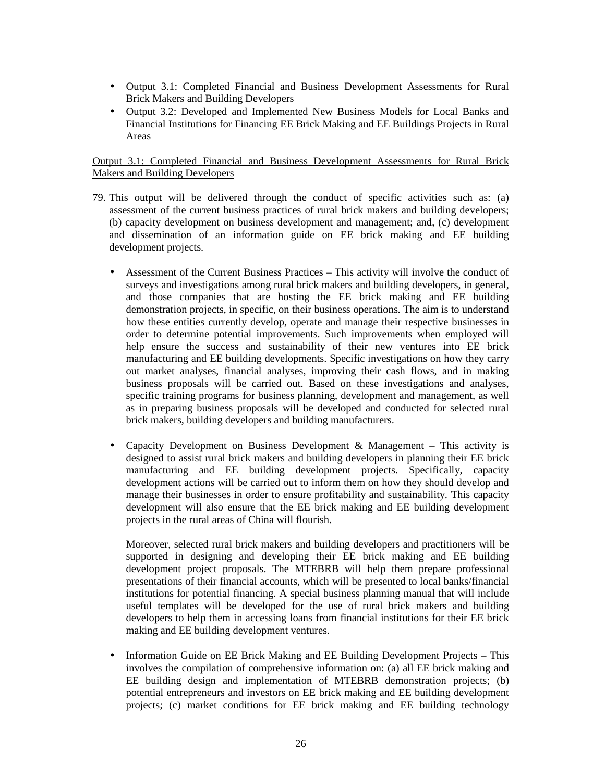- Output 3.1: Completed Financial and Business Development Assessments for Rural Brick Makers and Building Developers
- Output 3.2: Developed and Implemented New Business Models for Local Banks and Financial Institutions for Financing EE Brick Making and EE Buildings Projects in Rural Areas

# Output 3.1: Completed Financial and Business Development Assessments for Rural Brick Makers and Building Developers

- 79. This output will be delivered through the conduct of specific activities such as: (a) assessment of the current business practices of rural brick makers and building developers; (b) capacity development on business development and management; and, (c) development and dissemination of an information guide on EE brick making and EE building development projects.
	- Assessment of the Current Business Practices This activity will involve the conduct of surveys and investigations among rural brick makers and building developers, in general, and those companies that are hosting the EE brick making and EE building demonstration projects, in specific, on their business operations. The aim is to understand how these entities currently develop, operate and manage their respective businesses in order to determine potential improvements. Such improvements when employed will help ensure the success and sustainability of their new ventures into EE brick manufacturing and EE building developments. Specific investigations on how they carry out market analyses, financial analyses, improving their cash flows, and in making business proposals will be carried out. Based on these investigations and analyses, specific training programs for business planning, development and management, as well as in preparing business proposals will be developed and conducted for selected rural brick makers, building developers and building manufacturers.
	- Capacity Development on Business Development & Management This activity is designed to assist rural brick makers and building developers in planning their EE brick manufacturing and EE building development projects. Specifically, capacity development actions will be carried out to inform them on how they should develop and manage their businesses in order to ensure profitability and sustainability. This capacity development will also ensure that the EE brick making and EE building development projects in the rural areas of China will flourish.

Moreover, selected rural brick makers and building developers and practitioners will be supported in designing and developing their EE brick making and EE building development project proposals. The MTEBRB will help them prepare professional presentations of their financial accounts, which will be presented to local banks/financial institutions for potential financing. A special business planning manual that will include useful templates will be developed for the use of rural brick makers and building developers to help them in accessing loans from financial institutions for their EE brick making and EE building development ventures.

• Information Guide on EE Brick Making and EE Building Development Projects – This involves the compilation of comprehensive information on: (a) all EE brick making and EE building design and implementation of MTEBRB demonstration projects; (b) potential entrepreneurs and investors on EE brick making and EE building development projects; (c) market conditions for EE brick making and EE building technology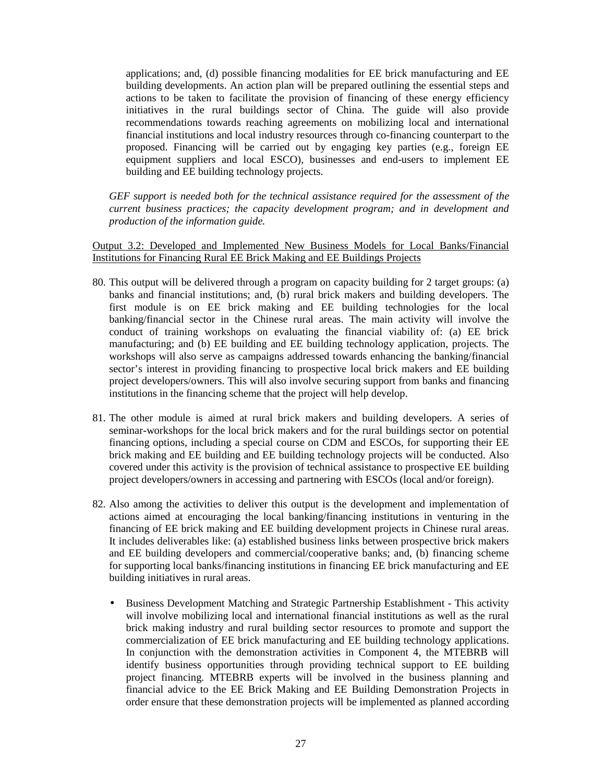applications; and, (d) possible financing modalities for EE brick manufacturing and EE building developments. An action plan will be prepared outlining the essential steps and actions to be taken to facilitate the provision of financing of these energy efficiency initiatives in the rural buildings sector of China. The guide will also provide recommendations towards reaching agreements on mobilizing local and international financial institutions and local industry resources through co-financing counterpart to the proposed. Financing will be carried out by engaging key parties (e.g., foreign EE equipment suppliers and local ESCO), businesses and end-users to implement EE building and EE building technology projects.

*GEF support is needed both for the technical assistance required for the assessment of the current business practices; the capacity development program; and in development and production of the information guide.* 

Output 3.2: Developed and Implemented New Business Models for Local Banks/Financial Institutions for Financing Rural EE Brick Making and EE Buildings Projects

- 80. This output will be delivered through a program on capacity building for 2 target groups: (a) banks and financial institutions; and, (b) rural brick makers and building developers. The first module is on EE brick making and EE building technologies for the local banking/financial sector in the Chinese rural areas. The main activity will involve the conduct of training workshops on evaluating the financial viability of: (a) EE brick manufacturing; and (b) EE building and EE building technology application, projects. The workshops will also serve as campaigns addressed towards enhancing the banking/financial sector's interest in providing financing to prospective local brick makers and EE building project developers/owners. This will also involve securing support from banks and financing institutions in the financing scheme that the project will help develop.
- 81. The other module is aimed at rural brick makers and building developers. A series of seminar-workshops for the local brick makers and for the rural buildings sector on potential financing options, including a special course on CDM and ESCOs, for supporting their EE brick making and EE building and EE building technology projects will be conducted. Also covered under this activity is the provision of technical assistance to prospective EE building project developers/owners in accessing and partnering with ESCOs (local and/or foreign).
- 82. Also among the activities to deliver this output is the development and implementation of actions aimed at encouraging the local banking/financing institutions in venturing in the financing of EE brick making and EE building development projects in Chinese rural areas. It includes deliverables like: (a) established business links between prospective brick makers and EE building developers and commercial/cooperative banks; and, (b) financing scheme for supporting local banks/financing institutions in financing EE brick manufacturing and EE building initiatives in rural areas.
	- Business Development Matching and Strategic Partnership Establishment This activity will involve mobilizing local and international financial institutions as well as the rural brick making industry and rural building sector resources to promote and support the commercialization of EE brick manufacturing and EE building technology applications. In conjunction with the demonstration activities in Component 4, the MTEBRB will identify business opportunities through providing technical support to EE building project financing. MTEBRB experts will be involved in the business planning and financial advice to the EE Brick Making and EE Building Demonstration Projects in order ensure that these demonstration projects will be implemented as planned according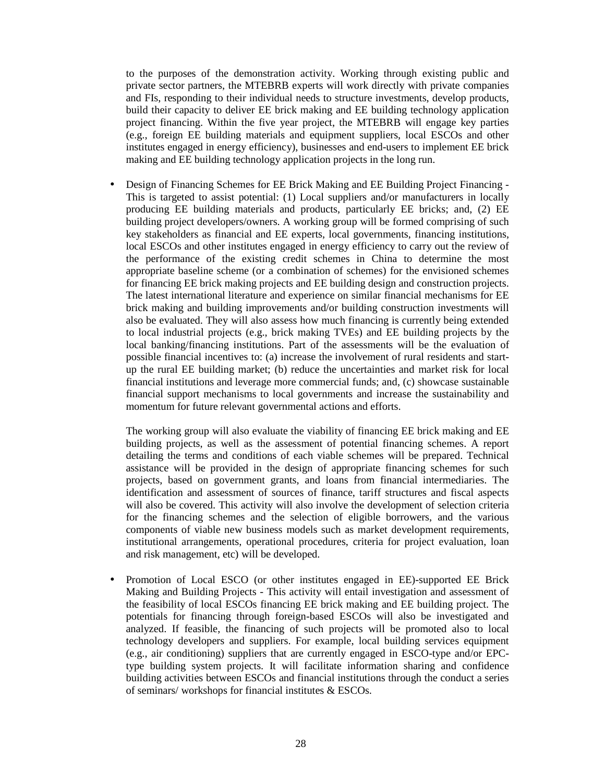to the purposes of the demonstration activity. Working through existing public and private sector partners, the MTEBRB experts will work directly with private companies and FIs, responding to their individual needs to structure investments, develop products, build their capacity to deliver EE brick making and EE building technology application project financing. Within the five year project, the MTEBRB will engage key parties (e.g., foreign EE building materials and equipment suppliers, local ESCOs and other institutes engaged in energy efficiency), businesses and end-users to implement EE brick making and EE building technology application projects in the long run.

• Design of Financing Schemes for EE Brick Making and EE Building Project Financing - This is targeted to assist potential: (1) Local suppliers and/or manufacturers in locally producing EE building materials and products, particularly EE bricks; and, (2) EE building project developers/owners. A working group will be formed comprising of such key stakeholders as financial and EE experts, local governments, financing institutions, local ESCOs and other institutes engaged in energy efficiency to carry out the review of the performance of the existing credit schemes in China to determine the most appropriate baseline scheme (or a combination of schemes) for the envisioned schemes for financing EE brick making projects and EE building design and construction projects. The latest international literature and experience on similar financial mechanisms for EE brick making and building improvements and/or building construction investments will also be evaluated. They will also assess how much financing is currently being extended to local industrial projects (e.g., brick making TVEs) and EE building projects by the local banking/financing institutions. Part of the assessments will be the evaluation of possible financial incentives to: (a) increase the involvement of rural residents and startup the rural EE building market; (b) reduce the uncertainties and market risk for local financial institutions and leverage more commercial funds; and, (c) showcase sustainable financial support mechanisms to local governments and increase the sustainability and momentum for future relevant governmental actions and efforts.

The working group will also evaluate the viability of financing EE brick making and EE building projects, as well as the assessment of potential financing schemes. A report detailing the terms and conditions of each viable schemes will be prepared. Technical assistance will be provided in the design of appropriate financing schemes for such projects, based on government grants, and loans from financial intermediaries. The identification and assessment of sources of finance, tariff structures and fiscal aspects will also be covered. This activity will also involve the development of selection criteria for the financing schemes and the selection of eligible borrowers, and the various components of viable new business models such as market development requirements, institutional arrangements, operational procedures, criteria for project evaluation, loan and risk management, etc) will be developed.

• Promotion of Local ESCO (or other institutes engaged in EE)-supported EE Brick Making and Building Projects - This activity will entail investigation and assessment of the feasibility of local ESCOs financing EE brick making and EE building project. The potentials for financing through foreign-based ESCOs will also be investigated and analyzed. If feasible, the financing of such projects will be promoted also to local technology developers and suppliers. For example, local building services equipment (e.g., air conditioning) suppliers that are currently engaged in ESCO-type and/or EPCtype building system projects. It will facilitate information sharing and confidence building activities between ESCOs and financial institutions through the conduct a series of seminars/ workshops for financial institutes & ESCOs.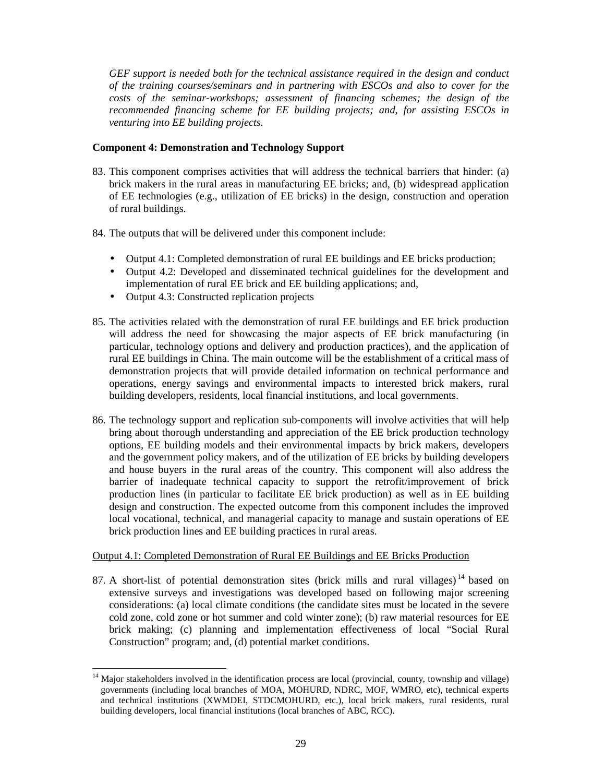*GEF support is needed both for the technical assistance required in the design and conduct of the training courses/seminars and in partnering with ESCOs and also to cover for the costs of the seminar-workshops; assessment of financing schemes; the design of the recommended financing scheme for EE building projects; and, for assisting ESCOs in venturing into EE building projects.* 

## **Component 4: Demonstration and Technology Support**

- 83. This component comprises activities that will address the technical barriers that hinder: (a) brick makers in the rural areas in manufacturing EE bricks; and, (b) widespread application of EE technologies (e.g., utilization of EE bricks) in the design, construction and operation of rural buildings.
- 84. The outputs that will be delivered under this component include:
	- Output 4.1: Completed demonstration of rural EE buildings and EE bricks production;
	- Output 4.2: Developed and disseminated technical guidelines for the development and implementation of rural EE brick and EE building applications; and,
	- Output 4.3: Constructed replication projects
- 85. The activities related with the demonstration of rural EE buildings and EE brick production will address the need for showcasing the major aspects of EE brick manufacturing (in particular, technology options and delivery and production practices), and the application of rural EE buildings in China. The main outcome will be the establishment of a critical mass of demonstration projects that will provide detailed information on technical performance and operations, energy savings and environmental impacts to interested brick makers, rural building developers, residents, local financial institutions, and local governments.
- 86. The technology support and replication sub-components will involve activities that will help bring about thorough understanding and appreciation of the EE brick production technology options, EE building models and their environmental impacts by brick makers, developers and the government policy makers, and of the utilization of EE bricks by building developers and house buyers in the rural areas of the country. This component will also address the barrier of inadequate technical capacity to support the retrofit/improvement of brick production lines (in particular to facilitate EE brick production) as well as in EE building design and construction. The expected outcome from this component includes the improved local vocational, technical, and managerial capacity to manage and sustain operations of EE brick production lines and EE building practices in rural areas.

# Output 4.1: Completed Demonstration of Rural EE Buildings and EE Bricks Production

87. A short-list of potential demonstration sites (brick mills and rural villages)<sup>14</sup> based on extensive surveys and investigations was developed based on following major screening considerations: (a) local climate conditions (the candidate sites must be located in the severe cold zone, cold zone or hot summer and cold winter zone); (b) raw material resources for EE brick making; (c) planning and implementation effectiveness of local "Social Rural Construction" program; and, (d) potential market conditions.

 $\overline{a}$ <sup>14</sup> Major stakeholders involved in the identification process are local (provincial, county, township and village) governments (including local branches of MOA, MOHURD, NDRC, MOF, WMRO, etc), technical experts and technical institutions (XWMDEI, STDCMOHURD, etc.), local brick makers, rural residents, rural building developers, local financial institutions (local branches of ABC, RCC).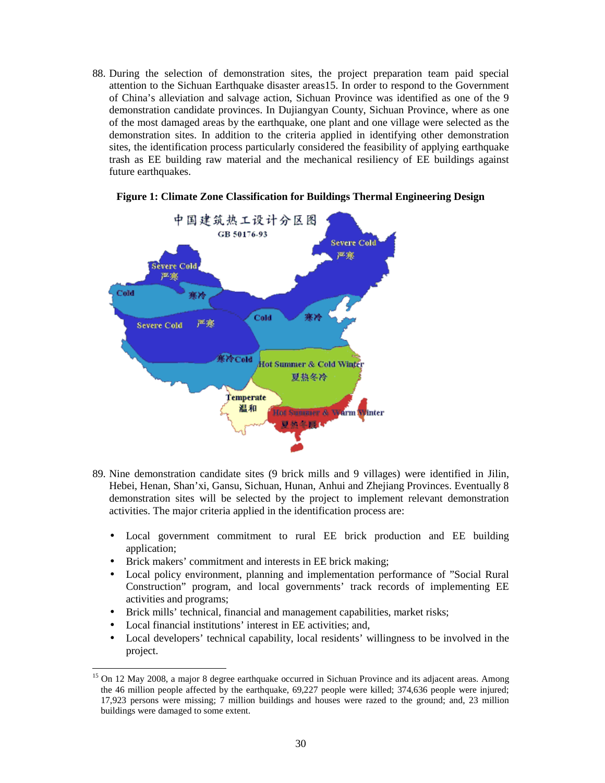88. During the selection of demonstration sites, the project preparation team paid special attention to the Sichuan Earthquake disaster areas15. In order to respond to the Government of China's alleviation and salvage action, Sichuan Province was identified as one of the 9 demonstration candidate provinces. In Dujiangyan County, Sichuan Province, where as one of the most damaged areas by the earthquake, one plant and one village were selected as the demonstration sites. In addition to the criteria applied in identifying other demonstration sites, the identification process particularly considered the feasibility of applying earthquake trash as EE building raw material and the mechanical resiliency of EE buildings against future earthquakes.



#### **Figure 1: Climate Zone Classification for Buildings Thermal Engineering Design**

- 89. Nine demonstration candidate sites (9 brick mills and 9 villages) were identified in Jilin, Hebei, Henan, Shan'xi, Gansu, Sichuan, Hunan, Anhui and Zhejiang Provinces. Eventually 8 demonstration sites will be selected by the project to implement relevant demonstration activities. The major criteria applied in the identification process are:
	- Local government commitment to rural EE brick production and EE building application;
	- Brick makers' commitment and interests in EE brick making:
	- Local policy environment, planning and implementation performance of "Social Rural Construction" program, and local governments' track records of implementing EE activities and programs;
	- Brick mills' technical, financial and management capabilities, market risks;
	- Local financial institutions' interest in EE activities; and,

 $\overline{a}$ 

• Local developers' technical capability, local residents' willingness to be involved in the project.

<sup>15</sup> On 12 May 2008, a major 8 degree earthquake occurred in Sichuan Province and its adjacent areas. Among the 46 million people affected by the earthquake, 69,227 people were killed; 374,636 people were injured; 17,923 persons were missing; 7 million buildings and houses were razed to the ground; and, 23 million buildings were damaged to some extent.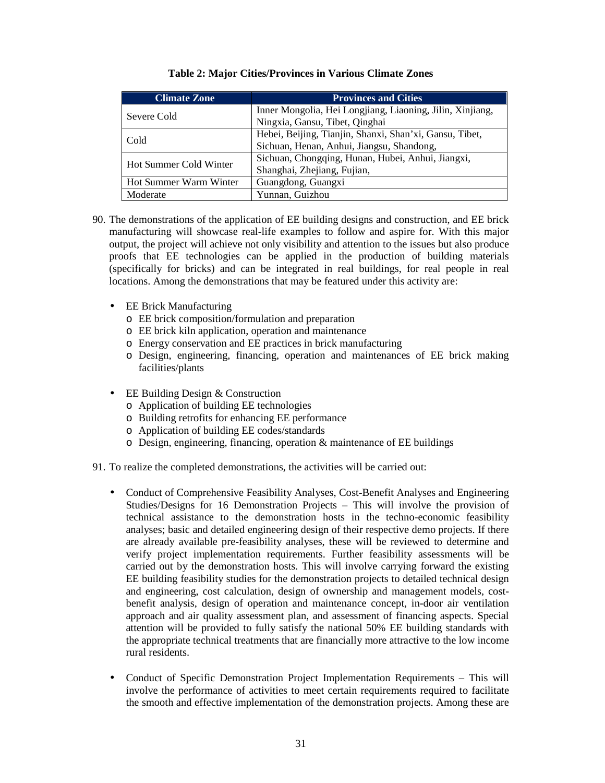| <b>Climate Zone</b>    | <b>Provinces and Cities</b>                               |
|------------------------|-----------------------------------------------------------|
| Severe Cold            | Inner Mongolia, Hei Longjiang, Liaoning, Jilin, Xinjiang, |
|                        | Ningxia, Gansu, Tibet, Qinghai                            |
| Cold                   | Hebei, Beijing, Tianjin, Shanxi, Shan'xi, Gansu, Tibet,   |
|                        | Sichuan, Henan, Anhui, Jiangsu, Shandong,                 |
| Hot Summer Cold Winter | Sichuan, Chongqing, Hunan, Hubei, Anhui, Jiangxi,         |
|                        | Shanghai, Zhejiang, Fujian,                               |
| Hot Summer Warm Winter | Guangdong, Guangxi                                        |
| Moderate               | Yunnan, Guizhou                                           |

# **Table 2: Major Cities/Provinces in Various Climate Zones**

- 90. The demonstrations of the application of EE building designs and construction, and EE brick manufacturing will showcase real-life examples to follow and aspire for. With this major output, the project will achieve not only visibility and attention to the issues but also produce proofs that EE technologies can be applied in the production of building materials (specifically for bricks) and can be integrated in real buildings, for real people in real locations. Among the demonstrations that may be featured under this activity are:
	- EE Brick Manufacturing
		- o EE brick composition/formulation and preparation
		- o EE brick kiln application, operation and maintenance
		- o Energy conservation and EE practices in brick manufacturing
		- o Design, engineering, financing, operation and maintenances of EE brick making facilities/plants
	- EE Building Design & Construction
		- o Application of building EE technologies
		- o Building retrofits for enhancing EE performance
		- o Application of building EE codes/standards
		- $\circ$  Design, engineering, financing, operation & maintenance of EE buildings
- 91. To realize the completed demonstrations, the activities will be carried out:
	- Conduct of Comprehensive Feasibility Analyses, Cost-Benefit Analyses and Engineering Studies/Designs for 16 Demonstration Projects – This will involve the provision of technical assistance to the demonstration hosts in the techno-economic feasibility analyses; basic and detailed engineering design of their respective demo projects. If there are already available pre-feasibility analyses, these will be reviewed to determine and verify project implementation requirements. Further feasibility assessments will be carried out by the demonstration hosts. This will involve carrying forward the existing EE building feasibility studies for the demonstration projects to detailed technical design and engineering, cost calculation, design of ownership and management models, costbenefit analysis, design of operation and maintenance concept, in-door air ventilation approach and air quality assessment plan, and assessment of financing aspects. Special attention will be provided to fully satisfy the national 50% EE building standards with the appropriate technical treatments that are financially more attractive to the low income rural residents.
	- Conduct of Specific Demonstration Project Implementation Requirements This will involve the performance of activities to meet certain requirements required to facilitate the smooth and effective implementation of the demonstration projects. Among these are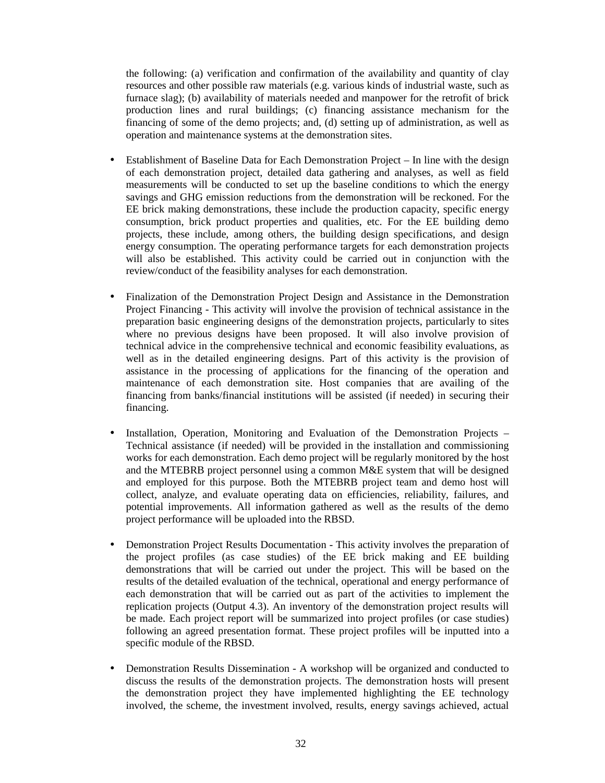the following: (a) verification and confirmation of the availability and quantity of clay resources and other possible raw materials (e.g. various kinds of industrial waste, such as furnace slag); (b) availability of materials needed and manpower for the retrofit of brick production lines and rural buildings; (c) financing assistance mechanism for the financing of some of the demo projects; and, (d) setting up of administration, as well as operation and maintenance systems at the demonstration sites.

- Establishment of Baseline Data for Each Demonstration Project In line with the design of each demonstration project, detailed data gathering and analyses, as well as field measurements will be conducted to set up the baseline conditions to which the energy savings and GHG emission reductions from the demonstration will be reckoned. For the EE brick making demonstrations, these include the production capacity, specific energy consumption, brick product properties and qualities, etc. For the EE building demo projects, these include, among others, the building design specifications, and design energy consumption. The operating performance targets for each demonstration projects will also be established. This activity could be carried out in conjunction with the review/conduct of the feasibility analyses for each demonstration.
- Finalization of the Demonstration Project Design and Assistance in the Demonstration Project Financing - This activity will involve the provision of technical assistance in the preparation basic engineering designs of the demonstration projects, particularly to sites where no previous designs have been proposed. It will also involve provision of technical advice in the comprehensive technical and economic feasibility evaluations, as well as in the detailed engineering designs. Part of this activity is the provision of assistance in the processing of applications for the financing of the operation and maintenance of each demonstration site. Host companies that are availing of the financing from banks/financial institutions will be assisted (if needed) in securing their financing.
- Installation, Operation, Monitoring and Evaluation of the Demonstration Projects Technical assistance (if needed) will be provided in the installation and commissioning works for each demonstration. Each demo project will be regularly monitored by the host and the MTEBRB project personnel using a common M&E system that will be designed and employed for this purpose. Both the MTEBRB project team and demo host will collect, analyze, and evaluate operating data on efficiencies, reliability, failures, and potential improvements. All information gathered as well as the results of the demo project performance will be uploaded into the RBSD.
- Demonstration Project Results Documentation This activity involves the preparation of the project profiles (as case studies) of the EE brick making and EE building demonstrations that will be carried out under the project. This will be based on the results of the detailed evaluation of the technical, operational and energy performance of each demonstration that will be carried out as part of the activities to implement the replication projects (Output 4.3). An inventory of the demonstration project results will be made. Each project report will be summarized into project profiles (or case studies) following an agreed presentation format. These project profiles will be inputted into a specific module of the RBSD.
- Demonstration Results Dissemination A workshop will be organized and conducted to discuss the results of the demonstration projects. The demonstration hosts will present the demonstration project they have implemented highlighting the EE technology involved, the scheme, the investment involved, results, energy savings achieved, actual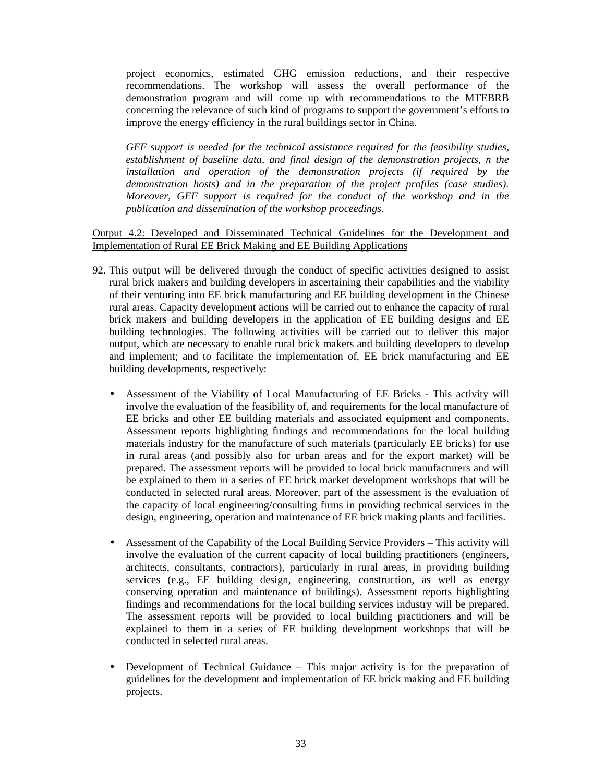project economics, estimated GHG emission reductions, and their respective recommendations. The workshop will assess the overall performance of the demonstration program and will come up with recommendations to the MTEBRB concerning the relevance of such kind of programs to support the government's efforts to improve the energy efficiency in the rural buildings sector in China.

*GEF support is needed for the technical assistance required for the feasibility studies, establishment of baseline data, and final design of the demonstration projects, n the installation and operation of the demonstration projects (if required by the demonstration hosts) and in the preparation of the project profiles (case studies). Moreover, GEF support is required for the conduct of the workshop and in the publication and dissemination of the workshop proceedings.*

Output 4.2: Developed and Disseminated Technical Guidelines for the Development and Implementation of Rural EE Brick Making and EE Building Applications

- 92. This output will be delivered through the conduct of specific activities designed to assist rural brick makers and building developers in ascertaining their capabilities and the viability of their venturing into EE brick manufacturing and EE building development in the Chinese rural areas. Capacity development actions will be carried out to enhance the capacity of rural brick makers and building developers in the application of EE building designs and EE building technologies. The following activities will be carried out to deliver this major output, which are necessary to enable rural brick makers and building developers to develop and implement; and to facilitate the implementation of, EE brick manufacturing and EE building developments, respectively:
	- Assessment of the Viability of Local Manufacturing of EE Bricks This activity will involve the evaluation of the feasibility of, and requirements for the local manufacture of EE bricks and other EE building materials and associated equipment and components. Assessment reports highlighting findings and recommendations for the local building materials industry for the manufacture of such materials (particularly EE bricks) for use in rural areas (and possibly also for urban areas and for the export market) will be prepared. The assessment reports will be provided to local brick manufacturers and will be explained to them in a series of EE brick market development workshops that will be conducted in selected rural areas. Moreover, part of the assessment is the evaluation of the capacity of local engineering/consulting firms in providing technical services in the design, engineering, operation and maintenance of EE brick making plants and facilities.
	- Assessment of the Capability of the Local Building Service Providers This activity will involve the evaluation of the current capacity of local building practitioners (engineers, architects, consultants, contractors), particularly in rural areas, in providing building services (e.g., EE building design, engineering, construction, as well as energy conserving operation and maintenance of buildings). Assessment reports highlighting findings and recommendations for the local building services industry will be prepared. The assessment reports will be provided to local building practitioners and will be explained to them in a series of EE building development workshops that will be conducted in selected rural areas.
	- Development of Technical Guidance This major activity is for the preparation of guidelines for the development and implementation of EE brick making and EE building projects.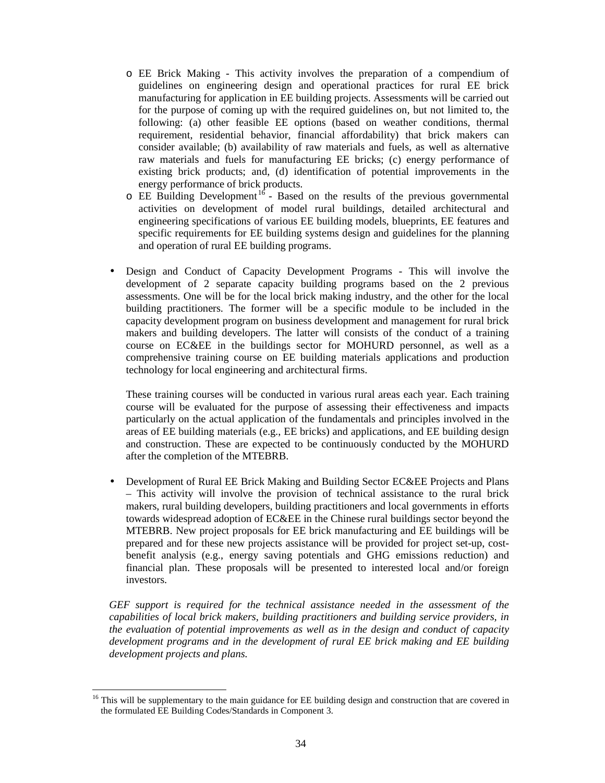- o EE Brick Making This activity involves the preparation of a compendium of guidelines on engineering design and operational practices for rural EE brick manufacturing for application in EE building projects. Assessments will be carried out for the purpose of coming up with the required guidelines on, but not limited to, the following: (a) other feasible EE options (based on weather conditions, thermal requirement, residential behavior, financial affordability) that brick makers can consider available; (b) availability of raw materials and fuels, as well as alternative raw materials and fuels for manufacturing EE bricks; (c) energy performance of existing brick products; and, (d) identification of potential improvements in the energy performance of brick products.
- $\circ$  EE Building Development<sup>16</sup> Based on the results of the previous governmental activities on development of model rural buildings, detailed architectural and engineering specifications of various EE building models, blueprints, EE features and specific requirements for EE building systems design and guidelines for the planning and operation of rural EE building programs.
- Design and Conduct of Capacity Development Programs This will involve the development of 2 separate capacity building programs based on the 2 previous assessments. One will be for the local brick making industry, and the other for the local building practitioners. The former will be a specific module to be included in the capacity development program on business development and management for rural brick makers and building developers. The latter will consists of the conduct of a training course on EC&EE in the buildings sector for MOHURD personnel, as well as a comprehensive training course on EE building materials applications and production technology for local engineering and architectural firms.

These training courses will be conducted in various rural areas each year. Each training course will be evaluated for the purpose of assessing their effectiveness and impacts particularly on the actual application of the fundamentals and principles involved in the areas of EE building materials (e.g., EE bricks) and applications, and EE building design and construction. These are expected to be continuously conducted by the MOHURD after the completion of the MTEBRB.

• Development of Rural EE Brick Making and Building Sector EC&EE Projects and Plans – This activity will involve the provision of technical assistance to the rural brick makers, rural building developers, building practitioners and local governments in efforts towards widespread adoption of EC&EE in the Chinese rural buildings sector beyond the MTEBRB. New project proposals for EE brick manufacturing and EE buildings will be prepared and for these new projects assistance will be provided for project set-up, costbenefit analysis (e.g., energy saving potentials and GHG emissions reduction) and financial plan. These proposals will be presented to interested local and/or foreign investors.

*GEF support is required for the technical assistance needed in the assessment of the capabilities of local brick makers, building practitioners and building service providers, in the evaluation of potential improvements as well as in the design and conduct of capacity development programs and in the development of rural EE brick making and EE building development projects and plans.*

<sup>16</sup> This will be supplementary to the main guidance for EE building design and construction that are covered in the formulated EE Building Codes/Standards in Component 3.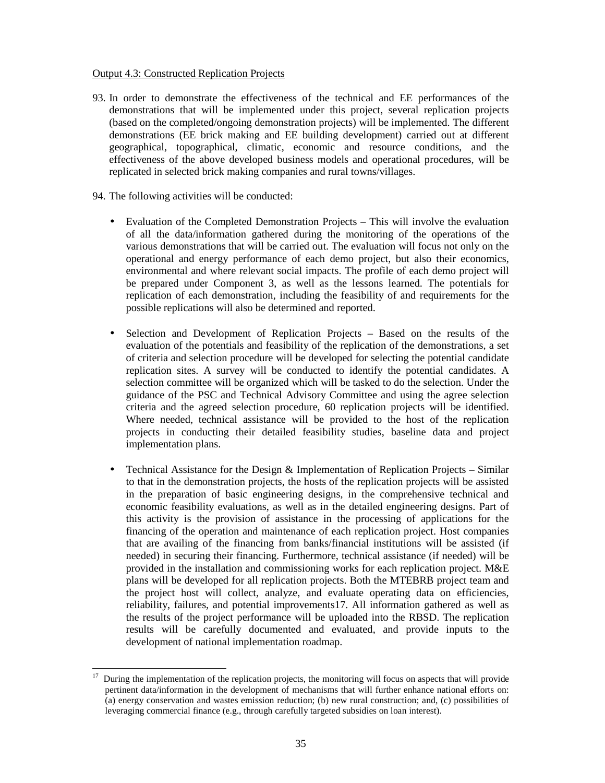# Output 4.3: Constructed Replication Projects

- 93. In order to demonstrate the effectiveness of the technical and EE performances of the demonstrations that will be implemented under this project, several replication projects (based on the completed/ongoing demonstration projects) will be implemented. The different demonstrations (EE brick making and EE building development) carried out at different geographical, topographical, climatic, economic and resource conditions, and the effectiveness of the above developed business models and operational procedures, will be replicated in selected brick making companies and rural towns/villages.
- 94. The following activities will be conducted:
	- Evaluation of the Completed Demonstration Projects This will involve the evaluation of all the data/information gathered during the monitoring of the operations of the various demonstrations that will be carried out. The evaluation will focus not only on the operational and energy performance of each demo project, but also their economics, environmental and where relevant social impacts. The profile of each demo project will be prepared under Component 3, as well as the lessons learned. The potentials for replication of each demonstration, including the feasibility of and requirements for the possible replications will also be determined and reported.
	- Selection and Development of Replication Projects Based on the results of the evaluation of the potentials and feasibility of the replication of the demonstrations, a set of criteria and selection procedure will be developed for selecting the potential candidate replication sites. A survey will be conducted to identify the potential candidates. A selection committee will be organized which will be tasked to do the selection. Under the guidance of the PSC and Technical Advisory Committee and using the agree selection criteria and the agreed selection procedure, 60 replication projects will be identified. Where needed, technical assistance will be provided to the host of the replication projects in conducting their detailed feasibility studies, baseline data and project implementation plans.
	- Technical Assistance for the Design & Implementation of Replication Projects Similar to that in the demonstration projects, the hosts of the replication projects will be assisted in the preparation of basic engineering designs, in the comprehensive technical and economic feasibility evaluations, as well as in the detailed engineering designs. Part of this activity is the provision of assistance in the processing of applications for the financing of the operation and maintenance of each replication project. Host companies that are availing of the financing from banks/financial institutions will be assisted (if needed) in securing their financing. Furthermore, technical assistance (if needed) will be provided in the installation and commissioning works for each replication project. M&E plans will be developed for all replication projects. Both the MTEBRB project team and the project host will collect, analyze, and evaluate operating data on efficiencies, reliability, failures, and potential improvements17. All information gathered as well as the results of the project performance will be uploaded into the RBSD. The replication results will be carefully documented and evaluated, and provide inputs to the development of national implementation roadmap.

 $\overline{a}$ <sup>17</sup> During the implementation of the replication projects, the monitoring will focus on aspects that will provide pertinent data/information in the development of mechanisms that will further enhance national efforts on: (a) energy conservation and wastes emission reduction; (b) new rural construction; and, (c) possibilities of leveraging commercial finance (e.g., through carefully targeted subsidies on loan interest).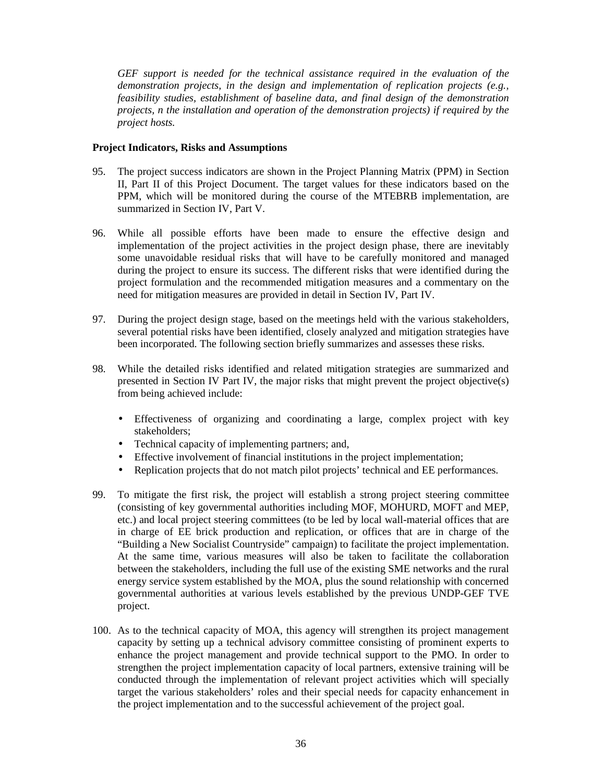*GEF support is needed for the technical assistance required in the evaluation of the demonstration projects, in the design and implementation of replication projects (e.g., feasibility studies, establishment of baseline data, and final design of the demonstration projects, n the installation and operation of the demonstration projects) if required by the project hosts.* 

## **Project Indicators, Risks and Assumptions**

- 95. The project success indicators are shown in the Project Planning Matrix (PPM) in Section II, Part II of this Project Document. The target values for these indicators based on the PPM, which will be monitored during the course of the MTEBRB implementation, are summarized in Section IV, Part V.
- 96. While all possible efforts have been made to ensure the effective design and implementation of the project activities in the project design phase, there are inevitably some unavoidable residual risks that will have to be carefully monitored and managed during the project to ensure its success. The different risks that were identified during the project formulation and the recommended mitigation measures and a commentary on the need for mitigation measures are provided in detail in Section IV, Part IV.
- 97. During the project design stage, based on the meetings held with the various stakeholders, several potential risks have been identified, closely analyzed and mitigation strategies have been incorporated. The following section briefly summarizes and assesses these risks.
- 98. While the detailed risks identified and related mitigation strategies are summarized and presented in Section IV Part IV, the major risks that might prevent the project objective(s) from being achieved include:
	- Effectiveness of organizing and coordinating a large, complex project with key stakeholders;
	- Technical capacity of implementing partners; and,
	- Effective involvement of financial institutions in the project implementation;
	- Replication projects that do not match pilot projects' technical and EE performances.
- 99. To mitigate the first risk, the project will establish a strong project steering committee (consisting of key governmental authorities including MOF, MOHURD, MOFT and MEP, etc.) and local project steering committees (to be led by local wall-material offices that are in charge of EE brick production and replication, or offices that are in charge of the "Building a New Socialist Countryside" campaign) to facilitate the project implementation. At the same time, various measures will also be taken to facilitate the collaboration between the stakeholders, including the full use of the existing SME networks and the rural energy service system established by the MOA, plus the sound relationship with concerned governmental authorities at various levels established by the previous UNDP-GEF TVE project.
- 100. As to the technical capacity of MOA, this agency will strengthen its project management capacity by setting up a technical advisory committee consisting of prominent experts to enhance the project management and provide technical support to the PMO. In order to strengthen the project implementation capacity of local partners, extensive training will be conducted through the implementation of relevant project activities which will specially target the various stakeholders' roles and their special needs for capacity enhancement in the project implementation and to the successful achievement of the project goal.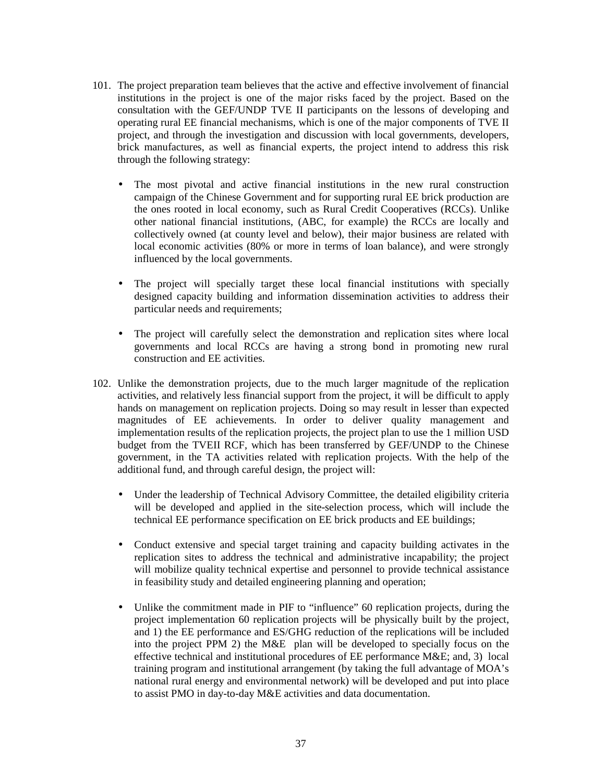- 101. The project preparation team believes that the active and effective involvement of financial institutions in the project is one of the major risks faced by the project. Based on the consultation with the GEF/UNDP TVE II participants on the lessons of developing and operating rural EE financial mechanisms, which is one of the major components of TVE II project, and through the investigation and discussion with local governments, developers, brick manufactures, as well as financial experts, the project intend to address this risk through the following strategy:
	- The most pivotal and active financial institutions in the new rural construction campaign of the Chinese Government and for supporting rural EE brick production are the ones rooted in local economy, such as Rural Credit Cooperatives (RCCs). Unlike other national financial institutions, (ABC, for example) the RCCs are locally and collectively owned (at county level and below), their major business are related with local economic activities (80% or more in terms of loan balance), and were strongly influenced by the local governments.
	- The project will specially target these local financial institutions with specially designed capacity building and information dissemination activities to address their particular needs and requirements;
	- The project will carefully select the demonstration and replication sites where local governments and local RCCs are having a strong bond in promoting new rural construction and EE activities.
- 102. Unlike the demonstration projects, due to the much larger magnitude of the replication activities, and relatively less financial support from the project, it will be difficult to apply hands on management on replication projects. Doing so may result in lesser than expected magnitudes of EE achievements. In order to deliver quality management and implementation results of the replication projects, the project plan to use the 1 million USD budget from the TVEII RCF, which has been transferred by GEF/UNDP to the Chinese government, in the TA activities related with replication projects. With the help of the additional fund, and through careful design, the project will:
	- Under the leadership of Technical Advisory Committee, the detailed eligibility criteria will be developed and applied in the site-selection process, which will include the technical EE performance specification on EE brick products and EE buildings;
	- Conduct extensive and special target training and capacity building activates in the replication sites to address the technical and administrative incapability; the project will mobilize quality technical expertise and personnel to provide technical assistance in feasibility study and detailed engineering planning and operation;
	- Unlike the commitment made in PIF to "influence" 60 replication projects, during the project implementation 60 replication projects will be physically built by the project, and 1) the EE performance and ES/GHG reduction of the replications will be included into the project PPM 2) the M&E plan will be developed to specially focus on the effective technical and institutional procedures of EE performance M&E; and, 3) local training program and institutional arrangement (by taking the full advantage of MOA's national rural energy and environmental network) will be developed and put into place to assist PMO in day-to-day M&E activities and data documentation.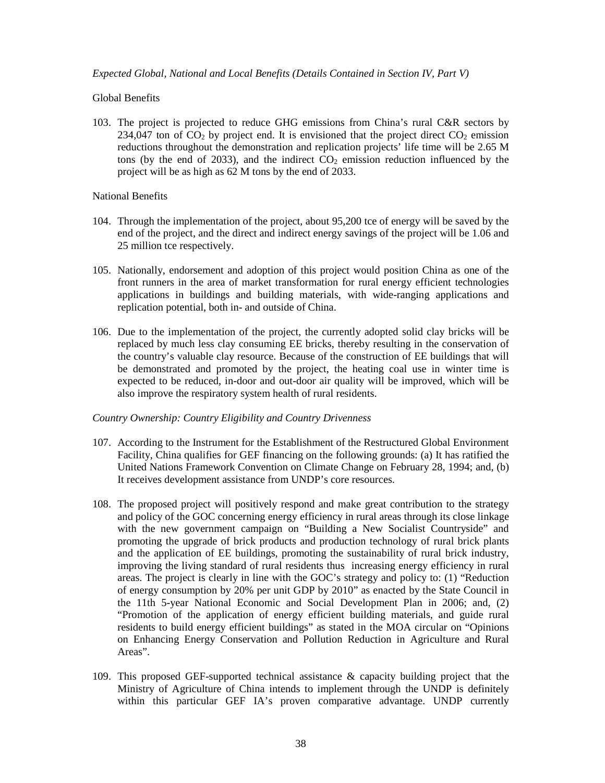#### *Expected Global, National and Local Benefits (Details Contained in Section IV, Part V)*

#### Global Benefits

103. The project is projected to reduce GHG emissions from China's rural C&R sectors by 234,047 ton of  $CO_2$  by project end. It is envisioned that the project direct  $CO_2$  emission reductions throughout the demonstration and replication projects' life time will be 2.65 M tons (by the end of 2033), and the indirect  $CO<sub>2</sub>$  emission reduction influenced by the project will be as high as 62 M tons by the end of 2033.

#### National Benefits

- 104. Through the implementation of the project, about 95,200 tce of energy will be saved by the end of the project, and the direct and indirect energy savings of the project will be 1.06 and 25 million tce respectively.
- 105. Nationally, endorsement and adoption of this project would position China as one of the front runners in the area of market transformation for rural energy efficient technologies applications in buildings and building materials, with wide-ranging applications and replication potential, both in- and outside of China.
- 106. Due to the implementation of the project, the currently adopted solid clay bricks will be replaced by much less clay consuming EE bricks, thereby resulting in the conservation of the country's valuable clay resource. Because of the construction of EE buildings that will be demonstrated and promoted by the project, the heating coal use in winter time is expected to be reduced, in-door and out-door air quality will be improved, which will be also improve the respiratory system health of rural residents.

#### *Country Ownership: Country Eligibility and Country Drivenness*

- 107. According to the Instrument for the Establishment of the Restructured Global Environment Facility, China qualifies for GEF financing on the following grounds: (a) It has ratified the United Nations Framework Convention on Climate Change on February 28, 1994; and, (b) It receives development assistance from UNDP's core resources.
- 108. The proposed project will positively respond and make great contribution to the strategy and policy of the GOC concerning energy efficiency in rural areas through its close linkage with the new government campaign on "Building a New Socialist Countryside" and promoting the upgrade of brick products and production technology of rural brick plants and the application of EE buildings, promoting the sustainability of rural brick industry, improving the living standard of rural residents thus increasing energy efficiency in rural areas. The project is clearly in line with the GOC's strategy and policy to: (1) "Reduction of energy consumption by 20% per unit GDP by 2010" as enacted by the State Council in the 11th 5-year National Economic and Social Development Plan in 2006; and, (2) "Promotion of the application of energy efficient building materials, and guide rural residents to build energy efficient buildings" as stated in the MOA circular on "Opinions on Enhancing Energy Conservation and Pollution Reduction in Agriculture and Rural Areas".
- 109. This proposed GEF-supported technical assistance & capacity building project that the Ministry of Agriculture of China intends to implement through the UNDP is definitely within this particular GEF IA's proven comparative advantage. UNDP currently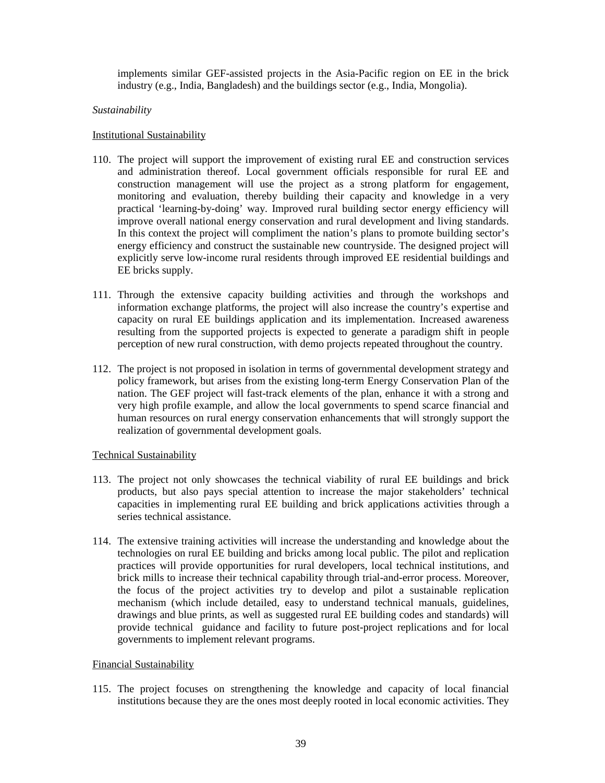implements similar GEF-assisted projects in the Asia-Pacific region on EE in the brick industry (e.g., India, Bangladesh) and the buildings sector (e.g., India, Mongolia).

#### *Sustainability*

#### Institutional Sustainability

- 110. The project will support the improvement of existing rural EE and construction services and administration thereof. Local government officials responsible for rural EE and construction management will use the project as a strong platform for engagement, monitoring and evaluation, thereby building their capacity and knowledge in a very practical 'learning-by-doing' way. Improved rural building sector energy efficiency will improve overall national energy conservation and rural development and living standards. In this context the project will compliment the nation's plans to promote building sector's energy efficiency and construct the sustainable new countryside. The designed project will explicitly serve low-income rural residents through improved EE residential buildings and EE bricks supply.
- 111. Through the extensive capacity building activities and through the workshops and information exchange platforms, the project will also increase the country's expertise and capacity on rural EE buildings application and its implementation. Increased awareness resulting from the supported projects is expected to generate a paradigm shift in people perception of new rural construction, with demo projects repeated throughout the country.
- 112. The project is not proposed in isolation in terms of governmental development strategy and policy framework, but arises from the existing long-term Energy Conservation Plan of the nation. The GEF project will fast-track elements of the plan, enhance it with a strong and very high profile example, and allow the local governments to spend scarce financial and human resources on rural energy conservation enhancements that will strongly support the realization of governmental development goals.

#### Technical Sustainability

- 113. The project not only showcases the technical viability of rural EE buildings and brick products, but also pays special attention to increase the major stakeholders' technical capacities in implementing rural EE building and brick applications activities through a series technical assistance.
- 114. The extensive training activities will increase the understanding and knowledge about the technologies on rural EE building and bricks among local public. The pilot and replication practices will provide opportunities for rural developers, local technical institutions, and brick mills to increase their technical capability through trial-and-error process. Moreover, the focus of the project activities try to develop and pilot a sustainable replication mechanism (which include detailed, easy to understand technical manuals, guidelines, drawings and blue prints, as well as suggested rural EE building codes and standards) will provide technical guidance and facility to future post-project replications and for local governments to implement relevant programs.

#### Financial Sustainability

115. The project focuses on strengthening the knowledge and capacity of local financial institutions because they are the ones most deeply rooted in local economic activities. They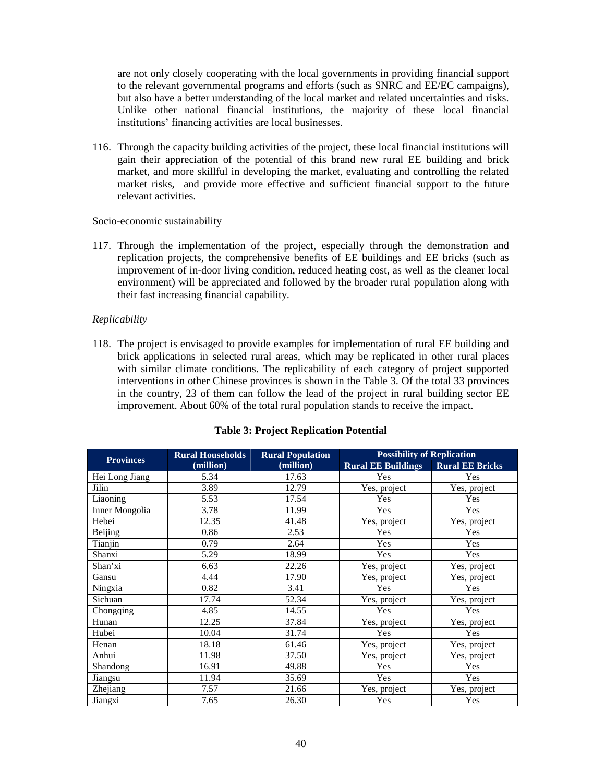are not only closely cooperating with the local governments in providing financial support to the relevant governmental programs and efforts (such as SNRC and EE/EC campaigns), but also have a better understanding of the local market and related uncertainties and risks. Unlike other national financial institutions, the majority of these local financial institutions' financing activities are local businesses.

116. Through the capacity building activities of the project, these local financial institutions will gain their appreciation of the potential of this brand new rural EE building and brick market, and more skillful in developing the market, evaluating and controlling the related market risks, and provide more effective and sufficient financial support to the future relevant activities.

#### Socio-economic sustainability

117. Through the implementation of the project, especially through the demonstration and replication projects, the comprehensive benefits of EE buildings and EE bricks (such as improvement of in-door living condition, reduced heating cost, as well as the cleaner local environment) will be appreciated and followed by the broader rural population along with their fast increasing financial capability.

#### *Replicability*

118. The project is envisaged to provide examples for implementation of rural EE building and brick applications in selected rural areas, which may be replicated in other rural places with similar climate conditions. The replicability of each category of project supported interventions in other Chinese provinces is shown in the Table 3. Of the total 33 provinces in the country, 23 of them can follow the lead of the project in rural building sector EE improvement. About 60% of the total rural population stands to receive the impact.

| <b>Provinces</b> | <b>Rural Households</b> | <b>Rural Population</b> | <b>Possibility of Replication</b> |                        |
|------------------|-------------------------|-------------------------|-----------------------------------|------------------------|
|                  | (million)               | (million)               | <b>Rural EE Buildings</b>         | <b>Rural EE Bricks</b> |
| Hei Long Jiang   | 5.34                    | 17.63                   | Yes                               | Yes                    |
| Jilin            | 3.89                    | 12.79                   | Yes, project                      | Yes, project           |
| Liaoning         | 5.53                    | 17.54                   | Yes                               | Yes                    |
| Inner Mongolia   | 3.78                    | 11.99                   | Yes                               | Yes                    |
| Hebei            | 12.35                   | 41.48                   | Yes, project                      | Yes, project           |
| Beijing          | 0.86                    | 2.53                    | Yes                               | Yes                    |
| Tianjin          | 0.79                    | 2.64                    | Yes                               | Yes                    |
| Shanxi           | 5.29                    | 18.99                   | Yes                               | Yes                    |
| Shan'xi          | 6.63                    | 22.26                   | Yes, project                      | Yes, project           |
| Gansu            | 4.44                    | 17.90                   | Yes, project                      | Yes, project           |
| Ningxia          | 0.82                    | 3.41                    | Yes                               | Yes                    |
| Sichuan          | 17.74                   | 52.34                   | Yes, project                      | Yes, project           |
| Chongqing        | 4.85                    | 14.55                   | Yes                               | Yes                    |
| Hunan            | 12.25                   | 37.84                   | Yes, project                      | Yes, project           |
| Hubei            | 10.04                   | 31.74                   | Yes                               | Yes                    |
| Henan            | 18.18                   | 61.46                   | Yes, project                      | Yes, project           |
| Anhui            | 11.98                   | 37.50                   | Yes, project                      | Yes, project           |
| Shandong         | 16.91                   | 49.88                   | Yes                               | Yes                    |
| Jiangsu          | 11.94                   | 35.69                   | Yes                               | Yes                    |
| Zhejiang         | 7.57                    | 21.66                   | Yes, project                      | Yes, project           |
| Jiangxi          | 7.65                    | 26.30                   | Yes                               | Yes                    |

#### **Table 3: Project Replication Potential**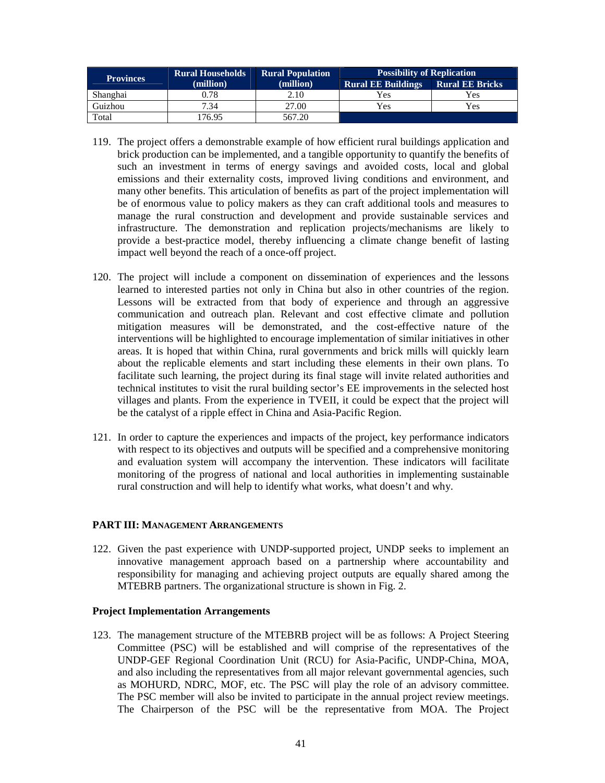| <b>Provinces</b> | <b>Rural Households</b> | <b>Rural Population</b> | <b>Possibility of Replication</b>                   |     |  |
|------------------|-------------------------|-------------------------|-----------------------------------------------------|-----|--|
|                  | (million)               | (million)               | <b>Rural EE Buildings</b><br><b>Rural EE Bricks</b> |     |  |
| Shanghai         | 0.78                    | 2.10                    | Yes                                                 | Yes |  |
| Guizhou          | 7.34                    | 27.00                   | Yes                                                 | Yes |  |
| Total            | 76.95                   | 567.20                  |                                                     |     |  |

- 119. The project offers a demonstrable example of how efficient rural buildings application and brick production can be implemented, and a tangible opportunity to quantify the benefits of such an investment in terms of energy savings and avoided costs, local and global emissions and their externality costs, improved living conditions and environment, and many other benefits. This articulation of benefits as part of the project implementation will be of enormous value to policy makers as they can craft additional tools and measures to manage the rural construction and development and provide sustainable services and infrastructure. The demonstration and replication projects/mechanisms are likely to provide a best-practice model, thereby influencing a climate change benefit of lasting impact well beyond the reach of a once-off project.
- 120. The project will include a component on dissemination of experiences and the lessons learned to interested parties not only in China but also in other countries of the region. Lessons will be extracted from that body of experience and through an aggressive communication and outreach plan. Relevant and cost effective climate and pollution mitigation measures will be demonstrated, and the cost-effective nature of the interventions will be highlighted to encourage implementation of similar initiatives in other areas. It is hoped that within China, rural governments and brick mills will quickly learn about the replicable elements and start including these elements in their own plans. To facilitate such learning, the project during its final stage will invite related authorities and technical institutes to visit the rural building sector's EE improvements in the selected host villages and plants. From the experience in TVEII, it could be expect that the project will be the catalyst of a ripple effect in China and Asia-Pacific Region.
- 121. In order to capture the experiences and impacts of the project, key performance indicators with respect to its objectives and outputs will be specified and a comprehensive monitoring and evaluation system will accompany the intervention. These indicators will facilitate monitoring of the progress of national and local authorities in implementing sustainable rural construction and will help to identify what works, what doesn't and why.

#### **PART III: MANAGEMENT ARRANGEMENTS**

122. Given the past experience with UNDP-supported project, UNDP seeks to implement an innovative management approach based on a partnership where accountability and responsibility for managing and achieving project outputs are equally shared among the MTEBRB partners. The organizational structure is shown in Fig. 2.

#### **Project Implementation Arrangements**

123. The management structure of the MTEBRB project will be as follows: A Project Steering Committee (PSC) will be established and will comprise of the representatives of the UNDP-GEF Regional Coordination Unit (RCU) for Asia-Pacific, UNDP-China, MOA, and also including the representatives from all major relevant governmental agencies, such as MOHURD, NDRC, MOF, etc. The PSC will play the role of an advisory committee. The PSC member will also be invited to participate in the annual project review meetings. The Chairperson of the PSC will be the representative from MOA. The Project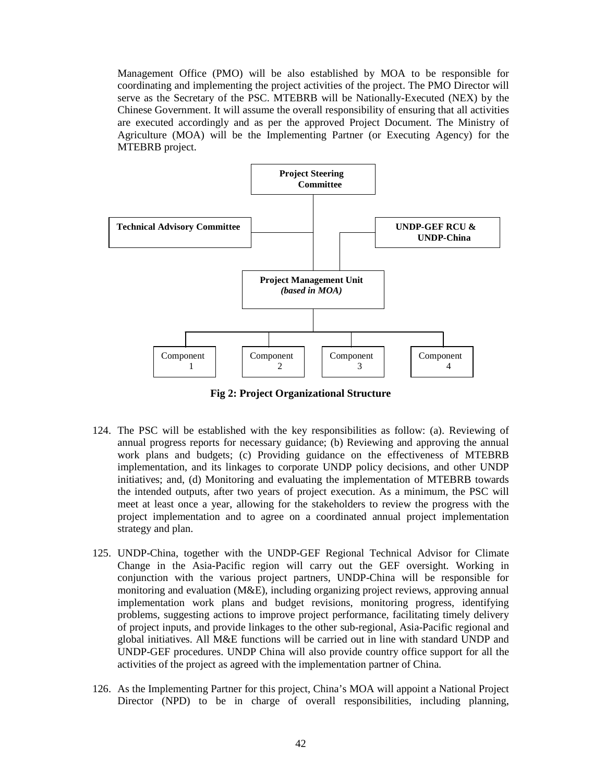Management Office (PMO) will be also established by MOA to be responsible for coordinating and implementing the project activities of the project. The PMO Director will serve as the Secretary of the PSC. MTEBRB will be Nationally-Executed (NEX) by the Chinese Government. It will assume the overall responsibility of ensuring that all activities are executed accordingly and as per the approved Project Document. The Ministry of Agriculture (MOA) will be the Implementing Partner (or Executing Agency) for the MTEBRB project.



**Fig 2: Project Organizational Structure** 

- 124. The PSC will be established with the key responsibilities as follow: (a). Reviewing of annual progress reports for necessary guidance; (b) Reviewing and approving the annual work plans and budgets; (c) Providing guidance on the effectiveness of MTEBRB implementation, and its linkages to corporate UNDP policy decisions, and other UNDP initiatives; and, (d) Monitoring and evaluating the implementation of MTEBRB towards the intended outputs, after two years of project execution. As a minimum, the PSC will meet at least once a year, allowing for the stakeholders to review the progress with the project implementation and to agree on a coordinated annual project implementation strategy and plan.
- 125. UNDP-China, together with the UNDP-GEF Regional Technical Advisor for Climate Change in the Asia-Pacific region will carry out the GEF oversight. Working in conjunction with the various project partners, UNDP-China will be responsible for monitoring and evaluation (M&E), including organizing project reviews, approving annual implementation work plans and budget revisions, monitoring progress, identifying problems, suggesting actions to improve project performance, facilitating timely delivery of project inputs, and provide linkages to the other sub-regional, Asia-Pacific regional and global initiatives. All M&E functions will be carried out in line with standard UNDP and UNDP-GEF procedures. UNDP China will also provide country office support for all the activities of the project as agreed with the implementation partner of China.
- 126. As the Implementing Partner for this project, China's MOA will appoint a National Project Director (NPD) to be in charge of overall responsibilities, including planning,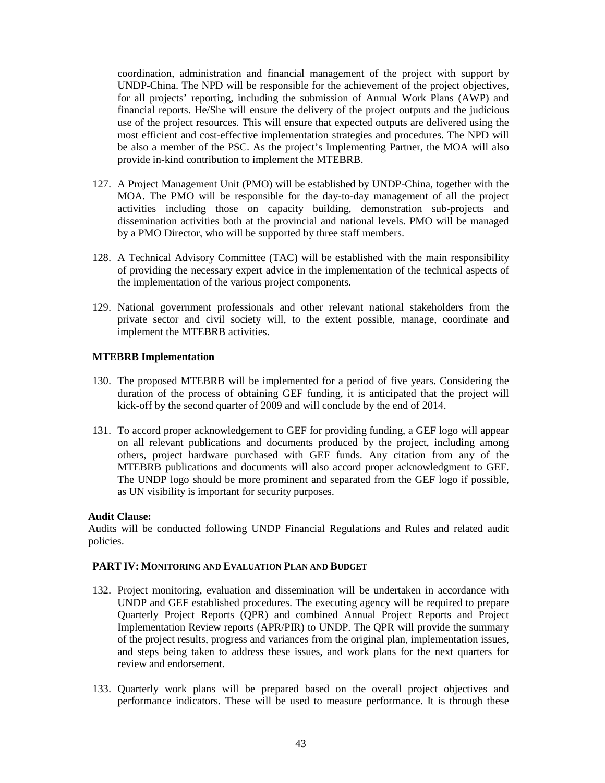coordination, administration and financial management of the project with support by UNDP-China. The NPD will be responsible for the achievement of the project objectives, for all projects' reporting, including the submission of Annual Work Plans (AWP) and financial reports. He/She will ensure the delivery of the project outputs and the judicious use of the project resources. This will ensure that expected outputs are delivered using the most efficient and cost-effective implementation strategies and procedures. The NPD will be also a member of the PSC. As the project's Implementing Partner, the MOA will also provide in-kind contribution to implement the MTEBRB.

- 127. A Project Management Unit (PMO) will be established by UNDP-China, together with the MOA. The PMO will be responsible for the day-to-day management of all the project activities including those on capacity building, demonstration sub-projects and dissemination activities both at the provincial and national levels. PMO will be managed by a PMO Director, who will be supported by three staff members.
- 128. A Technical Advisory Committee (TAC) will be established with the main responsibility of providing the necessary expert advice in the implementation of the technical aspects of the implementation of the various project components.
- 129. National government professionals and other relevant national stakeholders from the private sector and civil society will, to the extent possible, manage, coordinate and implement the MTEBRB activities.

#### **MTEBRB Implementation**

- 130. The proposed MTEBRB will be implemented for a period of five years. Considering the duration of the process of obtaining GEF funding, it is anticipated that the project will kick-off by the second quarter of 2009 and will conclude by the end of 2014.
- 131. To accord proper acknowledgement to GEF for providing funding, a GEF logo will appear on all relevant publications and documents produced by the project, including among others, project hardware purchased with GEF funds. Any citation from any of the MTEBRB publications and documents will also accord proper acknowledgment to GEF. The UNDP logo should be more prominent and separated from the GEF logo if possible, as UN visibility is important for security purposes.

#### **Audit Clause:**

Audits will be conducted following UNDP Financial Regulations and Rules and related audit policies.

#### **PART IV: MONITORING AND EVALUATION PLAN AND BUDGET**

- 132. Project monitoring, evaluation and dissemination will be undertaken in accordance with UNDP and GEF established procedures. The executing agency will be required to prepare Quarterly Project Reports (QPR) and combined Annual Project Reports and Project Implementation Review reports (APR/PIR) to UNDP. The QPR will provide the summary of the project results, progress and variances from the original plan, implementation issues, and steps being taken to address these issues, and work plans for the next quarters for review and endorsement.
- 133. Quarterly work plans will be prepared based on the overall project objectives and performance indicators. These will be used to measure performance. It is through these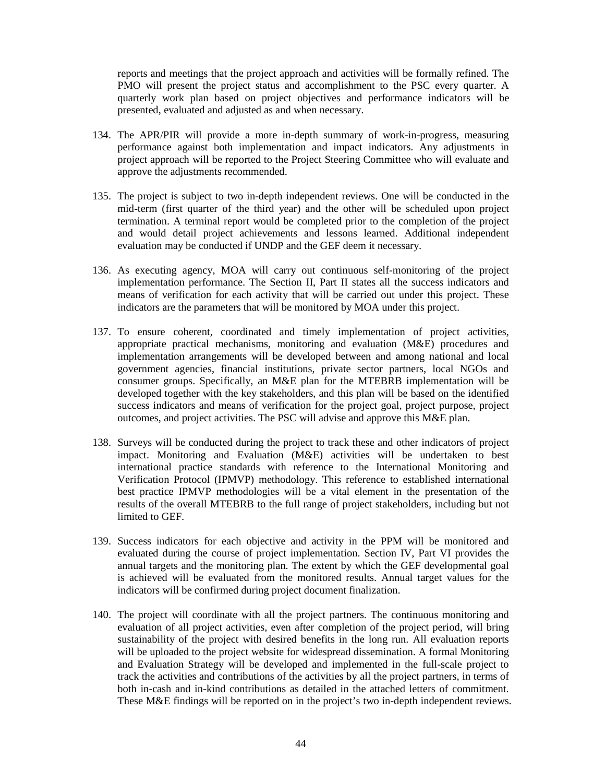reports and meetings that the project approach and activities will be formally refined. The PMO will present the project status and accomplishment to the PSC every quarter. A quarterly work plan based on project objectives and performance indicators will be presented, evaluated and adjusted as and when necessary.

- 134. The APR/PIR will provide a more in-depth summary of work-in-progress, measuring performance against both implementation and impact indicators. Any adjustments in project approach will be reported to the Project Steering Committee who will evaluate and approve the adjustments recommended.
- 135. The project is subject to two in-depth independent reviews. One will be conducted in the mid-term (first quarter of the third year) and the other will be scheduled upon project termination. A terminal report would be completed prior to the completion of the project and would detail project achievements and lessons learned. Additional independent evaluation may be conducted if UNDP and the GEF deem it necessary.
- 136. As executing agency, MOA will carry out continuous self-monitoring of the project implementation performance. The Section II, Part II states all the success indicators and means of verification for each activity that will be carried out under this project. These indicators are the parameters that will be monitored by MOA under this project.
- 137. To ensure coherent, coordinated and timely implementation of project activities, appropriate practical mechanisms, monitoring and evaluation (M&E) procedures and implementation arrangements will be developed between and among national and local government agencies, financial institutions, private sector partners, local NGOs and consumer groups. Specifically, an M&E plan for the MTEBRB implementation will be developed together with the key stakeholders, and this plan will be based on the identified success indicators and means of verification for the project goal, project purpose, project outcomes, and project activities. The PSC will advise and approve this M&E plan.
- 138. Surveys will be conducted during the project to track these and other indicators of project impact. Monitoring and Evaluation (M&E) activities will be undertaken to best international practice standards with reference to the International Monitoring and Verification Protocol (IPMVP) methodology. This reference to established international best practice IPMVP methodologies will be a vital element in the presentation of the results of the overall MTEBRB to the full range of project stakeholders, including but not limited to GEF.
- 139. Success indicators for each objective and activity in the PPM will be monitored and evaluated during the course of project implementation. Section IV, Part VI provides the annual targets and the monitoring plan. The extent by which the GEF developmental goal is achieved will be evaluated from the monitored results. Annual target values for the indicators will be confirmed during project document finalization.
- 140. The project will coordinate with all the project partners. The continuous monitoring and evaluation of all project activities, even after completion of the project period, will bring sustainability of the project with desired benefits in the long run. All evaluation reports will be uploaded to the project website for widespread dissemination. A formal Monitoring and Evaluation Strategy will be developed and implemented in the full-scale project to track the activities and contributions of the activities by all the project partners, in terms of both in-cash and in-kind contributions as detailed in the attached letters of commitment. These M&E findings will be reported on in the project's two in-depth independent reviews.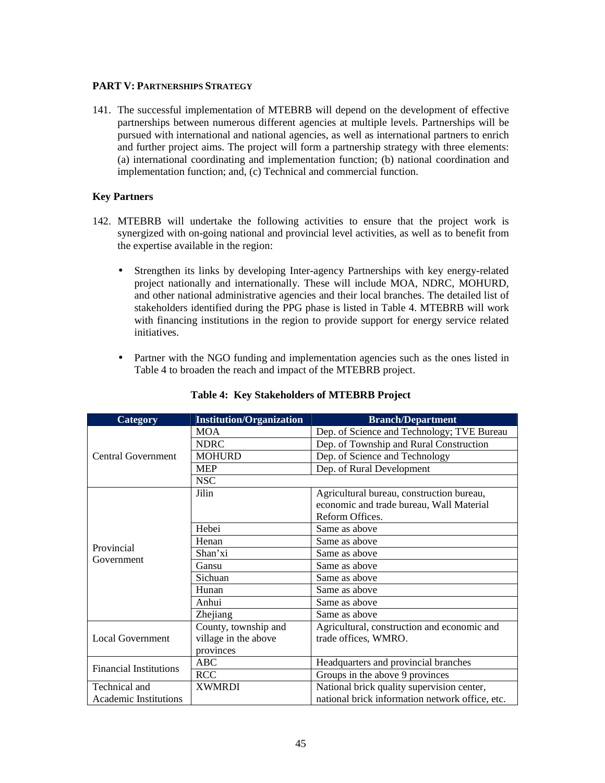#### **PART V: PARTNERSHIPS STRATEGY**

141. The successful implementation of MTEBRB will depend on the development of effective partnerships between numerous different agencies at multiple levels. Partnerships will be pursued with international and national agencies, as well as international partners to enrich and further project aims. The project will form a partnership strategy with three elements: (a) international coordinating and implementation function; (b) national coordination and implementation function; and, (c) Technical and commercial function.

#### **Key Partners**

- 142. MTEBRB will undertake the following activities to ensure that the project work is synergized with on-going national and provincial level activities, as well as to benefit from the expertise available in the region:
	- Strengthen its links by developing Inter-agency Partnerships with key energy-related project nationally and internationally. These will include MOA, NDRC, MOHURD, and other national administrative agencies and their local branches. The detailed list of stakeholders identified during the PPG phase is listed in Table 4. MTEBRB will work with financing institutions in the region to provide support for energy service related initiatives.
	- Partner with the NGO funding and implementation agencies such as the ones listed in Table 4 to broaden the reach and impact of the MTEBRB project.

| Category                      | <b>Institution/Organization</b> | <b>Branch/Department</b>                        |
|-------------------------------|---------------------------------|-------------------------------------------------|
|                               | <b>MOA</b>                      | Dep. of Science and Technology; TVE Bureau      |
|                               | <b>NDRC</b>                     | Dep. of Township and Rural Construction         |
| <b>Central Government</b>     | <b>MOHURD</b>                   | Dep. of Science and Technology                  |
|                               | <b>MEP</b>                      | Dep. of Rural Development                       |
|                               | <b>NSC</b>                      |                                                 |
|                               | Jilin                           | Agricultural bureau, construction bureau,       |
|                               |                                 | economic and trade bureau, Wall Material        |
|                               |                                 | Reform Offices.                                 |
|                               | Hebei                           | Same as above                                   |
| Provincial                    | Henan                           | Same as above                                   |
|                               | Shan'xi                         | Same as above                                   |
| Government                    | Gansu                           | Same as above                                   |
|                               | Sichuan                         | Same as above                                   |
|                               | Hunan                           | Same as above                                   |
|                               | Anhui                           | Same as above                                   |
|                               | Zhejiang                        | Same as above                                   |
|                               | County, township and            | Agricultural, construction and economic and     |
| <b>Local Government</b>       | village in the above            | trade offices, WMRO.                            |
|                               | provinces                       |                                                 |
| <b>Financial Institutions</b> | <b>ABC</b>                      | Headquarters and provincial branches            |
|                               | <b>RCC</b>                      | Groups in the above 9 provinces                 |
| Technical and                 | <b>XWMRDI</b>                   | National brick quality supervision center,      |
| Academic Institutions         |                                 | national brick information network office, etc. |

### **Table 4: Key Stakeholders of MTEBRB Project**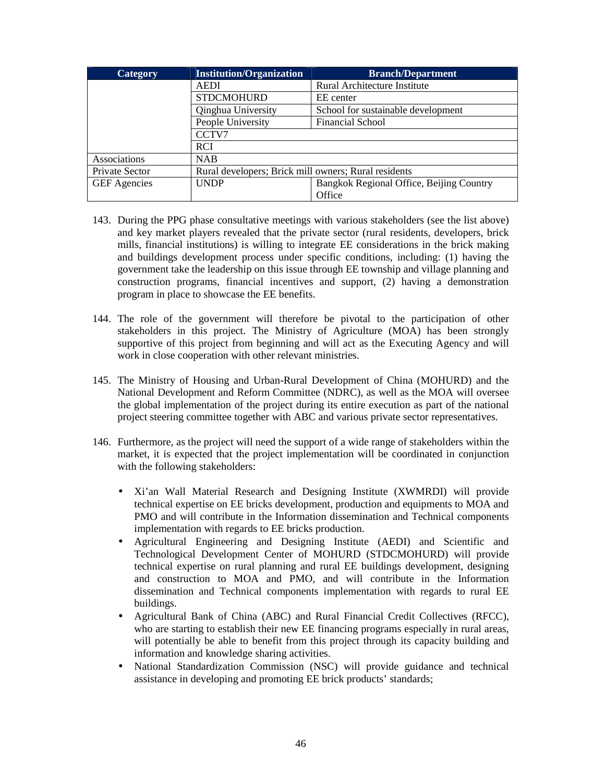| Category            | <b>Institution/Organization</b>                      | <b>Branch/Department</b>                 |
|---------------------|------------------------------------------------------|------------------------------------------|
|                     | <b>AEDI</b>                                          | Rural Architecture Institute             |
|                     | <b>STDCMOHURD</b>                                    | EE center                                |
|                     | Qinghua University                                   | School for sustainable development       |
|                     | People University                                    | <b>Financial School</b>                  |
|                     | CCTV7                                                |                                          |
|                     | <b>RCI</b>                                           |                                          |
| Associations        | <b>NAB</b>                                           |                                          |
| Private Sector      | Rural developers; Brick mill owners; Rural residents |                                          |
| <b>GEF</b> Agencies | <b>UNDP</b>                                          | Bangkok Regional Office, Beijing Country |
|                     |                                                      | Office                                   |

- 143. During the PPG phase consultative meetings with various stakeholders (see the list above) and key market players revealed that the private sector (rural residents, developers, brick mills, financial institutions) is willing to integrate EE considerations in the brick making and buildings development process under specific conditions, including: (1) having the government take the leadership on this issue through EE township and village planning and construction programs, financial incentives and support, (2) having a demonstration program in place to showcase the EE benefits.
- 144. The role of the government will therefore be pivotal to the participation of other stakeholders in this project. The Ministry of Agriculture (MOA) has been strongly supportive of this project from beginning and will act as the Executing Agency and will work in close cooperation with other relevant ministries.
- 145. The Ministry of Housing and Urban-Rural Development of China (MOHURD) and the National Development and Reform Committee (NDRC), as well as the MOA will oversee the global implementation of the project during its entire execution as part of the national project steering committee together with ABC and various private sector representatives.
- 146. Furthermore, as the project will need the support of a wide range of stakeholders within the market, it is expected that the project implementation will be coordinated in conjunction with the following stakeholders:
	- Xi'an Wall Material Research and Designing Institute (XWMRDI) will provide technical expertise on EE bricks development, production and equipments to MOA and PMO and will contribute in the Information dissemination and Technical components implementation with regards to EE bricks production.
	- Agricultural Engineering and Designing Institute (AEDI) and Scientific and Technological Development Center of MOHURD (STDCMOHURD) will provide technical expertise on rural planning and rural EE buildings development, designing and construction to MOA and PMO, and will contribute in the Information dissemination and Technical components implementation with regards to rural EE buildings.
	- Agricultural Bank of China (ABC) and Rural Financial Credit Collectives (RFCC), who are starting to establish their new EE financing programs especially in rural areas, will potentially be able to benefit from this project through its capacity building and information and knowledge sharing activities.
	- National Standardization Commission (NSC) will provide guidance and technical assistance in developing and promoting EE brick products' standards;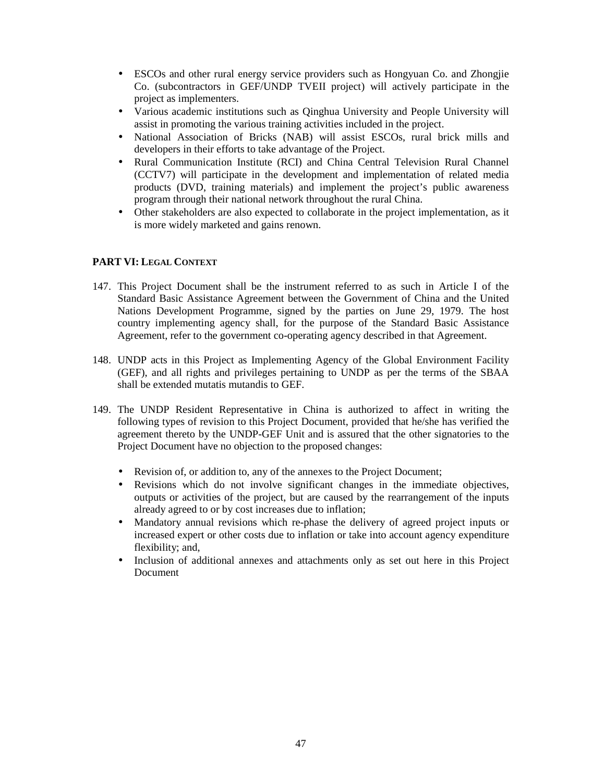- ESCOs and other rural energy service providers such as Hongyuan Co. and Zhongjie Co. (subcontractors in GEF/UNDP TVEII project) will actively participate in the project as implementers.
- Various academic institutions such as Qinghua University and People University will assist in promoting the various training activities included in the project.
- National Association of Bricks (NAB) will assist ESCOs, rural brick mills and developers in their efforts to take advantage of the Project.
- Rural Communication Institute (RCI) and China Central Television Rural Channel (CCTV7) will participate in the development and implementation of related media products (DVD, training materials) and implement the project's public awareness program through their national network throughout the rural China.
- Other stakeholders are also expected to collaborate in the project implementation, as it is more widely marketed and gains renown.

#### **PART VI: LEGAL CONTEXT**

- 147. This Project Document shall be the instrument referred to as such in Article I of the Standard Basic Assistance Agreement between the Government of China and the United Nations Development Programme, signed by the parties on June 29, 1979. The host country implementing agency shall, for the purpose of the Standard Basic Assistance Agreement, refer to the government co-operating agency described in that Agreement.
- 148. UNDP acts in this Project as Implementing Agency of the Global Environment Facility (GEF), and all rights and privileges pertaining to UNDP as per the terms of the SBAA shall be extended mutatis mutandis to GEF.
- 149. The UNDP Resident Representative in China is authorized to affect in writing the following types of revision to this Project Document, provided that he/she has verified the agreement thereto by the UNDP-GEF Unit and is assured that the other signatories to the Project Document have no objection to the proposed changes:
	- Revision of, or addition to, any of the annexes to the Project Document;
	- Revisions which do not involve significant changes in the immediate objectives, outputs or activities of the project, but are caused by the rearrangement of the inputs already agreed to or by cost increases due to inflation;
	- Mandatory annual revisions which re-phase the delivery of agreed project inputs or increased expert or other costs due to inflation or take into account agency expenditure flexibility; and,
	- Inclusion of additional annexes and attachments only as set out here in this Project Document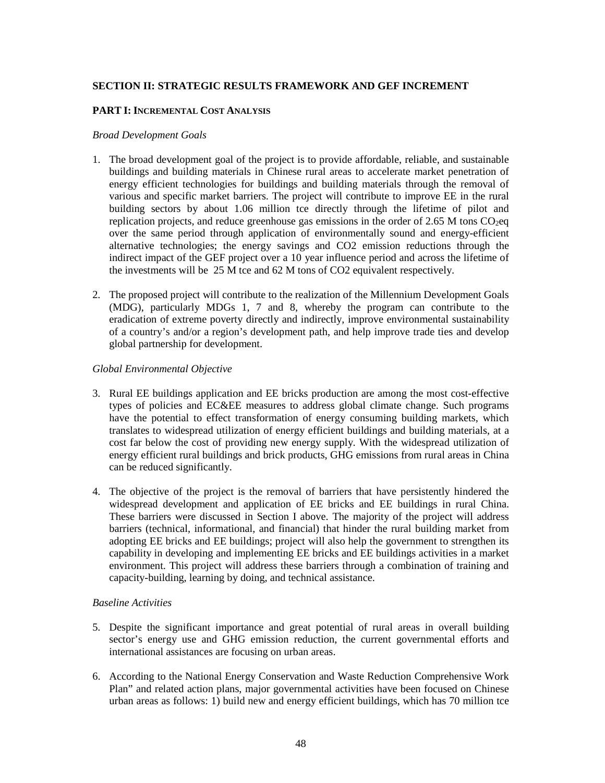#### **SECTION II: STRATEGIC RESULTS FRAMEWORK AND GEF INCREMENT**

#### **PART I: INCREMENTAL COST ANALYSIS**

#### *Broad Development Goals*

- 1. The broad development goal of the project is to provide affordable, reliable, and sustainable buildings and building materials in Chinese rural areas to accelerate market penetration of energy efficient technologies for buildings and building materials through the removal of various and specific market barriers. The project will contribute to improve EE in the rural building sectors by about 1.06 million tce directly through the lifetime of pilot and replication projects, and reduce greenhouse gas emissions in the order of 2.65 M tons  $CO<sub>2</sub>$ eq over the same period through application of environmentally sound and energy-efficient alternative technologies; the energy savings and CO2 emission reductions through the indirect impact of the GEF project over a 10 year influence period and across the lifetime of the investments will be 25 M tce and 62 M tons of CO2 equivalent respectively.
- 2. The proposed project will contribute to the realization of the Millennium Development Goals (MDG), particularly MDGs 1, 7 and 8, whereby the program can contribute to the eradication of extreme poverty directly and indirectly, improve environmental sustainability of a country's and/or a region's development path, and help improve trade ties and develop global partnership for development.

#### *Global Environmental Objective*

- 3. Rural EE buildings application and EE bricks production are among the most cost-effective types of policies and EC&EE measures to address global climate change. Such programs have the potential to effect transformation of energy consuming building markets, which translates to widespread utilization of energy efficient buildings and building materials, at a cost far below the cost of providing new energy supply. With the widespread utilization of energy efficient rural buildings and brick products, GHG emissions from rural areas in China can be reduced significantly.
- 4. The objective of the project is the removal of barriers that have persistently hindered the widespread development and application of EE bricks and EE buildings in rural China. These barriers were discussed in Section I above. The majority of the project will address barriers (technical, informational, and financial) that hinder the rural building market from adopting EE bricks and EE buildings; project will also help the government to strengthen its capability in developing and implementing EE bricks and EE buildings activities in a market environment. This project will address these barriers through a combination of training and capacity-building, learning by doing, and technical assistance.

#### *Baseline Activities*

- 5. Despite the significant importance and great potential of rural areas in overall building sector's energy use and GHG emission reduction, the current governmental efforts and international assistances are focusing on urban areas.
- 6. According to the National Energy Conservation and Waste Reduction Comprehensive Work Plan" and related action plans, major governmental activities have been focused on Chinese urban areas as follows:  $1)$  build new and energy efficient buildings, which has 70 million tce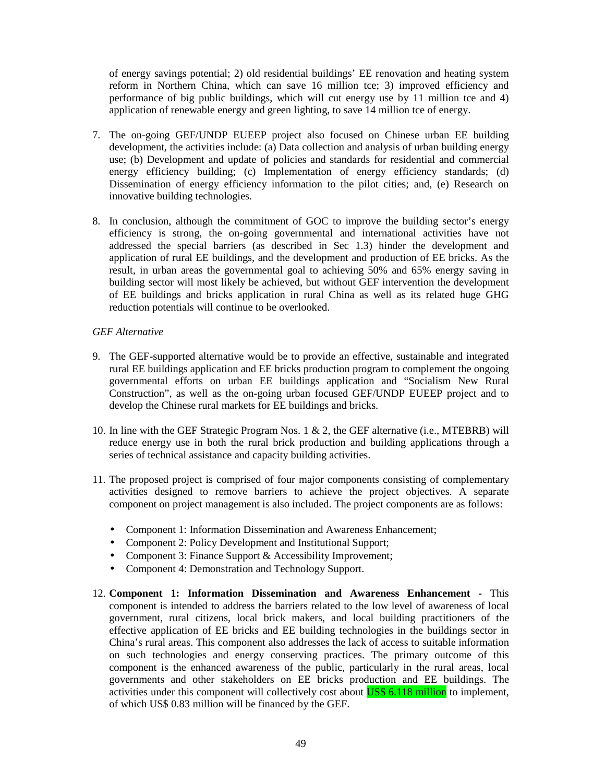of energy savings potential; 2) old residential buildings' EE renovation and heating system reform in Northern China, which can save 16 million tce; 3) improved efficiency and performance of big public buildings, which will cut energy use by 11 million tce and 4) application of renewable energy and green lighting, to save 14 million tce of energy.

- 7. The on-going GEF/UNDP EUEEP project also focused on Chinese urban EE building development, the activities include: (a) Data collection and analysis of urban building energy use; (b) Development and update of policies and standards for residential and commercial energy efficiency building; (c) Implementation of energy efficiency standards; (d) Dissemination of energy efficiency information to the pilot cities; and, (e) Research on innovative building technologies.
- 8. In conclusion, although the commitment of GOC to improve the building sector's energy efficiency is strong, the on-going governmental and international activities have not addressed the special barriers (as described in Sec 1.3) hinder the development and application of rural EE buildings, and the development and production of EE bricks. As the result, in urban areas the governmental goal to achieving 50% and 65% energy saving in building sector will most likely be achieved, but without GEF intervention the development of EE buildings and bricks application in rural China as well as its related huge GHG reduction potentials will continue to be overlooked.

#### *GEF Alternative*

- 9. The GEF-supported alternative would be to provide an effective, sustainable and integrated rural EE buildings application and EE bricks production program to complement the ongoing governmental efforts on urban EE buildings application and "Socialism New Rural Construction", as well as the on-going urban focused GEF/UNDP EUEEP project and to develop the Chinese rural markets for EE buildings and bricks.
- 10. In line with the GEF Strategic Program Nos. 1 & 2, the GEF alternative (i.e., MTEBRB) will reduce energy use in both the rural brick production and building applications through a series of technical assistance and capacity building activities.
- 11. The proposed project is comprised of four major components consisting of complementary activities designed to remove barriers to achieve the project objectives. A separate component on project management is also included. The project components are as follows:
	- Component 1: Information Dissemination and Awareness Enhancement;
	- Component 2: Policy Development and Institutional Support;
	- Component 3: Finance Support & Accessibility Improvement;
	- Component 4: Demonstration and Technology Support.
- 12. **Component 1: Information Dissemination and Awareness Enhancement** This component is intended to address the barriers related to the low level of awareness of local government, rural citizens, local brick makers, and local building practitioners of the effective application of EE bricks and EE building technologies in the buildings sector in China's rural areas. This component also addresses the lack of access to suitable information on such technologies and energy conserving practices. The primary outcome of this component is the enhanced awareness of the public, particularly in the rural areas, local governments and other stakeholders on EE bricks production and EE buildings. The activities under this component will collectively cost about **US\$ 6.118 million** to implement, of which US\$ 0.83 million will be financed by the GEF.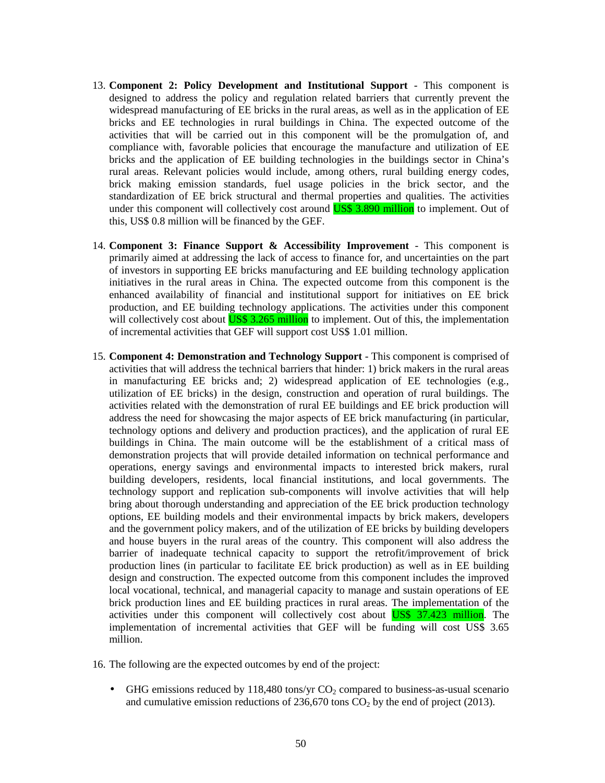- 13. **Component 2: Policy Development and Institutional Support**  This component is designed to address the policy and regulation related barriers that currently prevent the widespread manufacturing of EE bricks in the rural areas, as well as in the application of EE bricks and EE technologies in rural buildings in China. The expected outcome of the activities that will be carried out in this component will be the promulgation of, and compliance with, favorable policies that encourage the manufacture and utilization of EE bricks and the application of EE building technologies in the buildings sector in China's rural areas. Relevant policies would include, among others, rural building energy codes, brick making emission standards, fuel usage policies in the brick sector, and the standardization of EE brick structural and thermal properties and qualities. The activities under this component will collectively cost around **US\$** 3.890 million to implement. Out of this, US\$ 0.8 million will be financed by the GEF.
- 14. **Component 3: Finance Support & Accessibility Improvement**  This component is primarily aimed at addressing the lack of access to finance for, and uncertainties on the part of investors in supporting EE bricks manufacturing and EE building technology application initiatives in the rural areas in China. The expected outcome from this component is the enhanced availability of financial and institutional support for initiatives on EE brick production, and EE building technology applications. The activities under this component will collectively cost about **US\$ 3.265 million** to implement. Out of this, the implementation of incremental activities that GEF will support cost US\$ 1.01 million.
- 15. **Component 4: Demonstration and Technology Support**  This component is comprised of activities that will address the technical barriers that hinder: 1) brick makers in the rural areas in manufacturing EE bricks and; 2) widespread application of EE technologies (e.g., utilization of EE bricks) in the design, construction and operation of rural buildings. The activities related with the demonstration of rural EE buildings and EE brick production will address the need for showcasing the major aspects of EE brick manufacturing (in particular, technology options and delivery and production practices), and the application of rural EE buildings in China. The main outcome will be the establishment of a critical mass of demonstration projects that will provide detailed information on technical performance and operations, energy savings and environmental impacts to interested brick makers, rural building developers, residents, local financial institutions, and local governments. The technology support and replication sub-components will involve activities that will help bring about thorough understanding and appreciation of the EE brick production technology options, EE building models and their environmental impacts by brick makers, developers and the government policy makers, and of the utilization of EE bricks by building developers and house buyers in the rural areas of the country. This component will also address the barrier of inadequate technical capacity to support the retrofit/improvement of brick production lines (in particular to facilitate EE brick production) as well as in EE building design and construction. The expected outcome from this component includes the improved local vocational, technical, and managerial capacity to manage and sustain operations of EE brick production lines and EE building practices in rural areas. The implementation of the activities under this component will collectively cost about US\$ 37.423 million. The implementation of incremental activities that GEF will be funding will cost US\$ 3.65 million.
- 16. The following are the expected outcomes by end of the project:
	- GHG emissions reduced by 118,480 tons/yr  $CO<sub>2</sub>$  compared to business-as-usual scenario and cumulative emission reductions of  $236,670$  tons  $CO<sub>2</sub>$  by the end of project (2013).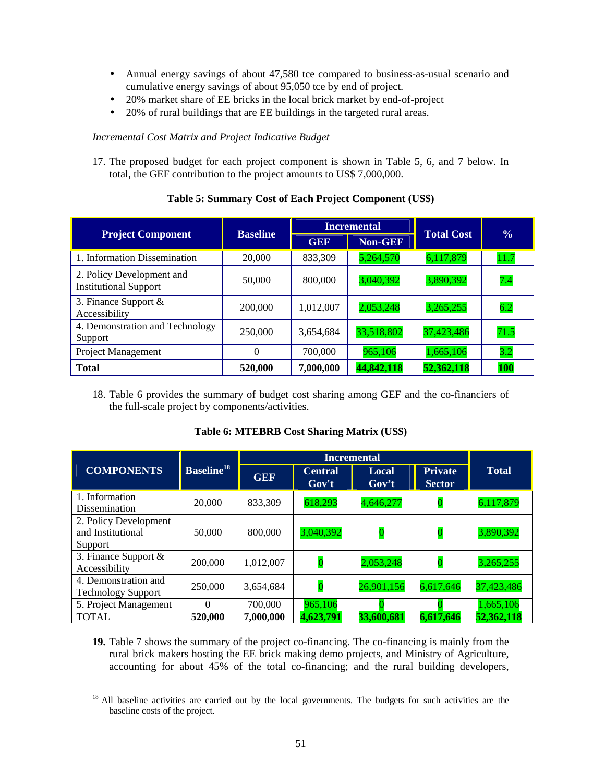- Annual energy savings of about 47,580 tce compared to business-as-usual scenario and cumulative energy savings of about 95,050 tce by end of project.
- 20% market share of EE bricks in the local brick market by end-of-project
- 20% of rural buildings that are EE buildings in the targeted rural areas.

#### *Incremental Cost Matrix and Project Indicative Budget*

17. The proposed budget for each project component is shown in Table 5, 6, and 7 below. In total, the GEF contribution to the project amounts to US\$ 7,000,000.

|                                                           | <b>Baseline</b> |            | <b>Incremental</b> | <b>Total Cost</b> |               |  |
|-----------------------------------------------------------|-----------------|------------|--------------------|-------------------|---------------|--|
| <b>Project Component</b>                                  |                 | <b>GEF</b> | <b>Non-GEF</b>     |                   | $\frac{6}{9}$ |  |
| 1. Information Dissemination                              | 20,000          | 833,309    | 5,264,570          | 6,117,879         | 11.7          |  |
| 2. Policy Development and<br><b>Institutional Support</b> | 50,000          | 800,000    | 3,040,392          | 3,890,392         | 7.4           |  |
| 3. Finance Support $\&$<br>Accessibility                  | 200,000         | 1,012,007  | 2,053,248          | 3,265,255         | 6.2           |  |
| 4. Demonstration and Technology<br>Support                | 250,000         | 3,654,684  | 33,518,802         | 37,423,486        | 71.5          |  |
| <b>Project Management</b>                                 | $\Omega$        | 700,000    | 965,106            | 1,665,106         | 3.2           |  |
| <b>Total</b>                                              | 520,000         | 7,000,000  | 44,842,118         | 52,362,118        | <b>100</b>    |  |

### **Table 5: Summary Cost of Each Project Component (US\$)**

18. Table 6 provides the summary of budget cost sharing among GEF and the co-financiers of the full-scale project by components/activities.

|                                                       |                              | <b>Incremental</b> |                         |                         |                                 |              |
|-------------------------------------------------------|------------------------------|--------------------|-------------------------|-------------------------|---------------------------------|--------------|
| <b>COMPONENTS</b>                                     | <b>Baseline<sup>18</sup></b> | <b>GEF</b>         | <b>Central</b><br>Gov't | Local<br>Gov't          | <b>Private</b><br><b>Sector</b> | <b>Total</b> |
| 1. Information<br><b>Dissemination</b>                | 20,000                       | 833,309            | 618,293                 | 4,646,277               | $\overline{\mathbf{0}}$         | 6,117,879    |
| 2. Policy Development<br>and Institutional<br>Support | 50,000                       | 800,000            | 3,040,392               | $\overline{\mathbf{0}}$ | $\overline{0}$                  | 3,890,392    |
| 3. Finance Support $\&$<br>Accessibility              | 200,000                      | 1,012,007          | $\mathbf{0}$            | 2,053,248               | $\mathbf{0}$                    | 3,265,255    |
| 4. Demonstration and<br><b>Technology Support</b>     | 250,000                      | 3,654,684          | $\overline{0}$          | 26,901,156              | 6,617,646                       | 37,423,486   |
| 5. Project Management                                 | 0                            | 700,000            | 965,106                 |                         |                                 | 1,665,106    |
| <b>TOTAL</b>                                          | 520,000                      | 7,000,000          | 4,623,791               | 33,600,681              | 6,617,646                       | 52,362,118   |

#### **Table 6: MTEBRB Cost Sharing Matrix (US\$)**

**19.** Table 7 shows the summary of the project co-financing. The co-financing is mainly from the rural brick makers hosting the EE brick making demo projects, and Ministry of Agriculture, accounting for about 45% of the total co-financing; and the rural building developers,

 $\ddot{\phantom{a}}$ <sup>18</sup> All baseline activities are carried out by the local governments. The budgets for such activities are the baseline costs of the project.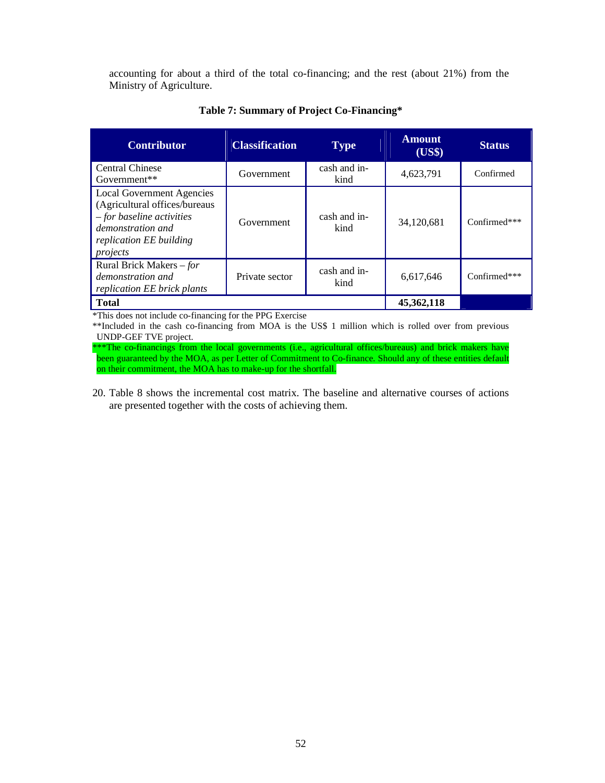accounting for about a third of the total co-financing; and the rest (about 21%) from the Ministry of Agriculture.

| <b>Contributor</b>                                                                                                                                           | <b>Classification</b> | <b>Type</b>          | <b>Amount</b><br>(US\$) | <b>Status</b> |
|--------------------------------------------------------------------------------------------------------------------------------------------------------------|-----------------------|----------------------|-------------------------|---------------|
| <b>Central Chinese</b><br>$Government**$                                                                                                                     | Government            | cash and in-<br>kind | 4,623,791               | Confirmed     |
| <b>Local Government Agencies</b><br>(Agricultural offices/bureaus<br>$-$ for baseline activities<br>demonstration and<br>replication EE building<br>projects | Government            | cash and in-<br>kind | 34,120,681              | Confirmed***  |
| Rural Brick Makers – for<br>demonstration and<br>replication EE brick plants                                                                                 | Private sector        | cash and in-<br>kind | 6,617,646               | Confirmed***  |
| <b>Total</b>                                                                                                                                                 |                       |                      | 45,362,118              |               |

#### **Table 7: Summary of Project Co-Financing\***

\*This does not include co-financing for the PPG Exercise

\*\*Included in the cash co-financing from MOA is the US\$ 1 million which is rolled over from previous UNDP-GEF TVE project.

\*\*\*The co-financings from the local governments (i.e., agricultural offices/bureaus) and brick makers have been guaranteed by the MOA, as per Letter of Commitment to Co-finance. Should any of these entities default on their commitment, the MOA has to make-up for the shortfall.

20. Table 8 shows the incremental cost matrix. The baseline and alternative courses of actions are presented together with the costs of achieving them.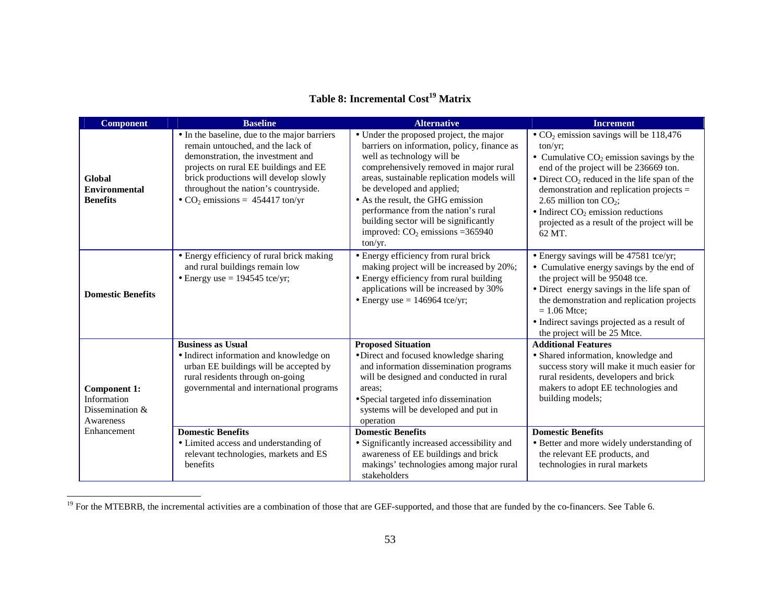# **Table 8: Incremental Cost<sup>19</sup> Matrix**

| <b>Component</b>                                                                    | <b>Baseline</b>                                                                                                                                                                                                                                                                                            | <b>Alternative</b>                                                                                                                                                                                                                                                                                                                                                                                              | <b>Increment</b>                                                                                                                                                                                                                                                                                                                                                                                                                  |
|-------------------------------------------------------------------------------------|------------------------------------------------------------------------------------------------------------------------------------------------------------------------------------------------------------------------------------------------------------------------------------------------------------|-----------------------------------------------------------------------------------------------------------------------------------------------------------------------------------------------------------------------------------------------------------------------------------------------------------------------------------------------------------------------------------------------------------------|-----------------------------------------------------------------------------------------------------------------------------------------------------------------------------------------------------------------------------------------------------------------------------------------------------------------------------------------------------------------------------------------------------------------------------------|
| Global<br><b>Environmental</b><br><b>Benefits</b>                                   | • In the baseline, due to the major barriers<br>remain untouched, and the lack of<br>demonstration, the investment and<br>projects on rural EE buildings and EE<br>brick productions will develop slowly<br>throughout the nation's countryside.<br>• $CO2$ emissions = 454417 ton/yr                      | • Under the proposed project, the major<br>barriers on information, policy, finance as<br>well as technology will be<br>comprehensively removed in major rural<br>areas, sustainable replication models will<br>be developed and applied;<br>• As the result, the GHG emission<br>performance from the nation's rural<br>building sector will be significantly<br>improved: $CO2$ emissions = 365940<br>ton/yr. | $\bullet$ CO <sub>2</sub> emission savings will be 118,476<br>$ton/yr$ ;<br>• Cumulative $CO2$ emission savings by the<br>end of the project will be 236669 ton.<br>$\bullet$ Direct CO <sub>2</sub> reduced in the life span of the<br>demonstration and replication projects =<br>2.65 million ton $CO_2$ ;<br>$\bullet$ Indirect CO <sub>2</sub> emission reductions<br>projected as a result of the project will be<br>62 MT. |
| <b>Domestic Benefits</b>                                                            | • Energy efficiency of rural brick making<br>and rural buildings remain low<br>$\bullet$ Energy use = 194545 tce/yr;                                                                                                                                                                                       | • Energy efficiency from rural brick<br>making project will be increased by 20%;<br>• Energy efficiency from rural building<br>applications will be increased by 30%<br>• Energy use $= 146964$ tce/yr;                                                                                                                                                                                                         | • Energy savings will be 47581 tce/yr;<br>• Cumulative energy savings by the end of<br>the project will be 95048 tce.<br>• Direct energy savings in the life span of<br>the demonstration and replication projects<br>$= 1.06$ Mtce:<br>• Indirect savings projected as a result of<br>the project will be 25 Mtce.                                                                                                               |
| <b>Component 1:</b><br>Information<br>Dissemination $&$<br>Awareness<br>Enhancement | <b>Business as Usual</b><br>· Indirect information and knowledge on<br>urban EE buildings will be accepted by<br>rural residents through on-going<br>governmental and international programs<br><b>Domestic Benefits</b><br>• Limited access and understanding of<br>relevant technologies, markets and ES | <b>Proposed Situation</b><br>· Direct and focused knowledge sharing<br>and information dissemination programs<br>will be designed and conducted in rural<br>areas:<br>• Special targeted info dissemination<br>systems will be developed and put in<br>operation<br><b>Domestic Benefits</b><br>• Significantly increased accessibility and<br>awareness of EE buildings and brick                              | <b>Additional Features</b><br>· Shared information, knowledge and<br>success story will make it much easier for<br>rural residents, developers and brick<br>makers to adopt EE technologies and<br>building models;<br><b>Domestic Benefits</b><br>• Better and more widely understanding of<br>the relevant EE products, and                                                                                                     |
|                                                                                     | benefits                                                                                                                                                                                                                                                                                                   | makings' technologies among major rural<br>stakeholders                                                                                                                                                                                                                                                                                                                                                         | technologies in rural markets                                                                                                                                                                                                                                                                                                                                                                                                     |

<sup>&</sup>lt;sup>19</sup> For the MTEBRB, the incremental activities are a combination of those that are GEF-supported, and those that are funded by the co-financers. See Table 6.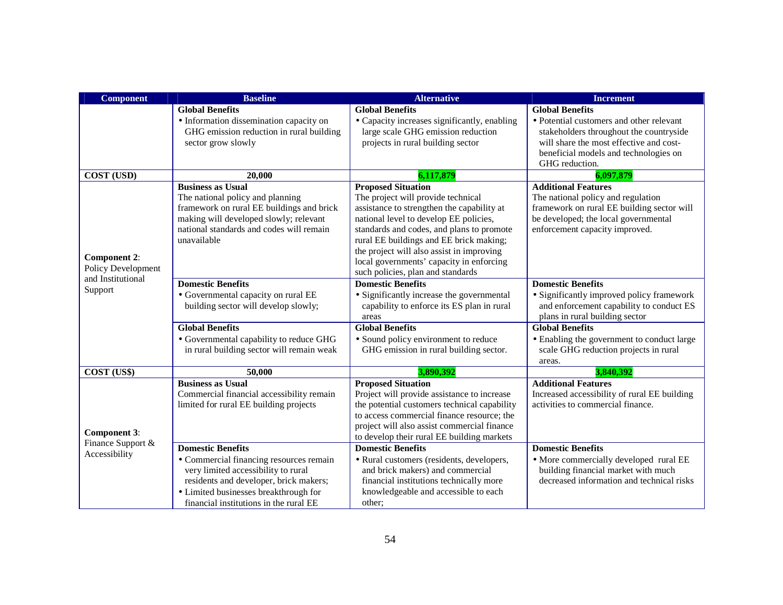| <b>Component</b>    | <b>Baseline</b>                           | <b>Alternative</b>                                                          | <b>Increment</b>                                                                 |
|---------------------|-------------------------------------------|-----------------------------------------------------------------------------|----------------------------------------------------------------------------------|
|                     | <b>Global Benefits</b>                    | <b>Global Benefits</b>                                                      | <b>Global Benefits</b>                                                           |
|                     | • Information dissemination capacity on   | • Capacity increases significantly, enabling                                | • Potential customers and other relevant                                         |
|                     | GHG emission reduction in rural building  | large scale GHG emission reduction                                          | stakeholders throughout the countryside                                          |
|                     | sector grow slowly                        | projects in rural building sector                                           | will share the most effective and cost-                                          |
|                     |                                           |                                                                             | beneficial models and technologies on                                            |
|                     |                                           |                                                                             | GHG reduction.                                                                   |
| <b>COST (USD)</b>   | 20.000                                    | 6,117,879                                                                   | 6,097,879                                                                        |
|                     | <b>Business as Usual</b>                  | <b>Proposed Situation</b>                                                   | <b>Additional Features</b>                                                       |
|                     | The national policy and planning          | The project will provide technical                                          | The national policy and regulation                                               |
|                     | framework on rural EE buildings and brick | assistance to strengthen the capability at                                  | framework on rural EE building sector will                                       |
|                     | making will developed slowly; relevant    | national level to develop EE policies,                                      | be developed; the local governmental                                             |
|                     | national standards and codes will remain  | standards and codes, and plans to promote                                   | enforcement capacity improved.                                                   |
|                     | unavailable                               | rural EE buildings and EE brick making;                                     |                                                                                  |
| <b>Component 2:</b> |                                           | the project will also assist in improving                                   |                                                                                  |
| Policy Development  |                                           | local governments' capacity in enforcing                                    |                                                                                  |
| and Institutional   |                                           | such policies, plan and standards                                           |                                                                                  |
| Support             | <b>Domestic Benefits</b>                  | <b>Domestic Benefits</b>                                                    | <b>Domestic Benefits</b>                                                         |
|                     | • Governmental capacity on rural EE       | • Significantly increase the governmental                                   | • Significantly improved policy framework                                        |
|                     | building sector will develop slowly;      | capability to enforce its ES plan in rural                                  | and enforcement capability to conduct ES                                         |
|                     |                                           | areas                                                                       | plans in rural building sector                                                   |
|                     | <b>Global Benefits</b>                    | <b>Global Benefits</b>                                                      | <b>Global Benefits</b>                                                           |
|                     | · Governmental capability to reduce GHG   | • Sound policy environment to reduce                                        | • Enabling the government to conduct large                                       |
|                     | in rural building sector will remain weak | GHG emission in rural building sector.                                      | scale GHG reduction projects in rural                                            |
|                     |                                           |                                                                             | areas.                                                                           |
| COST (US\$)         | 50,000                                    | 3,890,392                                                                   | 3,840,392                                                                        |
|                     | <b>Business as Usual</b>                  | <b>Proposed Situation</b>                                                   | <b>Additional Features</b>                                                       |
|                     | Commercial financial accessibility remain | Project will provide assistance to increase                                 | Increased accessibility of rural EE building                                     |
|                     | limited for rural EE building projects    | the potential customers technical capability                                | activities to commercial finance.                                                |
|                     |                                           | to access commercial finance resource; the                                  |                                                                                  |
| <b>Component 3:</b> |                                           | project will also assist commercial finance                                 |                                                                                  |
| Finance Support &   | <b>Domestic Benefits</b>                  | to develop their rural EE building markets<br><b>Domestic Benefits</b>      |                                                                                  |
| Accessibility       |                                           |                                                                             | <b>Domestic Benefits</b>                                                         |
|                     | • Commercial financing resources remain   | · Rural customers (residents, developers,                                   | • More commercially developed rural EE                                           |
|                     | very limited accessibility to rural       | and brick makers) and commercial<br>financial institutions technically more | building financial market with much<br>decreased information and technical risks |
|                     | residents and developer, brick makers;    |                                                                             |                                                                                  |
|                     | • Limited businesses breakthrough for     | knowledgeable and accessible to each                                        |                                                                                  |
|                     | financial institutions in the rural EE    | other;                                                                      |                                                                                  |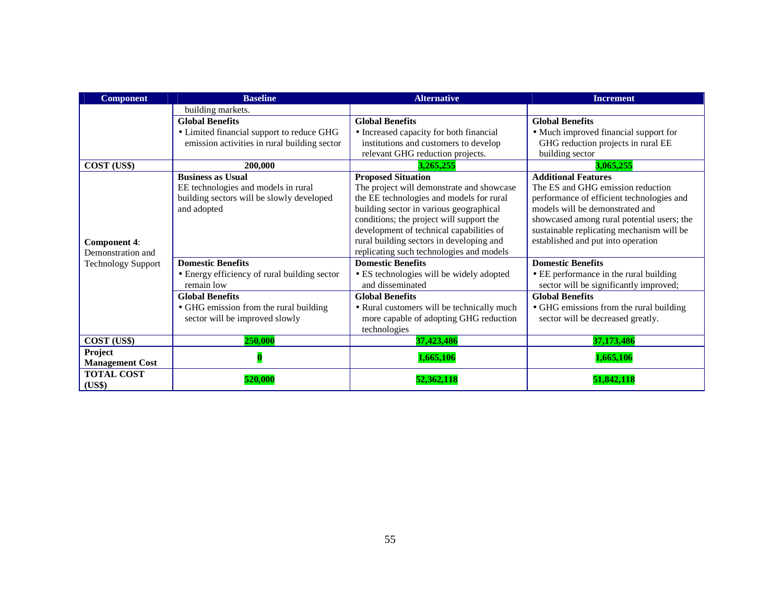| <b>Component</b>          | <b>Baseline</b>                              | <b>Alternative</b>                         | <b>Increment</b>                           |
|---------------------------|----------------------------------------------|--------------------------------------------|--------------------------------------------|
|                           | building markets.                            |                                            |                                            |
|                           | <b>Global Benefits</b>                       | <b>Global Benefits</b>                     | <b>Global Benefits</b>                     |
|                           | • Limited financial support to reduce GHG    | • Increased capacity for both financial    | • Much improved financial support for      |
|                           | emission activities in rural building sector | institutions and customers to develop      | GHG reduction projects in rural EE         |
|                           |                                              | relevant GHG reduction projects.           | building sector                            |
| COST (US\$)               | 200,000                                      | 3,265,255                                  | 3,065,255                                  |
|                           | <b>Business as Usual</b>                     | <b>Proposed Situation</b>                  | <b>Additional Features</b>                 |
|                           | EE technologies and models in rural          | The project will demonstrate and showcase  | The ES and GHG emission reduction          |
|                           | building sectors will be slowly developed    | the EE technologies and models for rural   | performance of efficient technologies and  |
|                           | and adopted                                  | building sector in various geographical    | models will be demonstrated and            |
|                           |                                              | conditions; the project will support the   | showcased among rural potential users; the |
|                           |                                              | development of technical capabilities of   | sustainable replicating mechanism will be  |
| <b>Component 4:</b>       |                                              | rural building sectors in developing and   | established and put into operation         |
| Demonstration and         |                                              | replicating such technologies and models   |                                            |
| <b>Technology Support</b> | <b>Domestic Benefits</b>                     | <b>Domestic Benefits</b>                   | <b>Domestic Benefits</b>                   |
|                           | • Energy efficiency of rural building sector | • ES technologies will be widely adopted   | • EE performance in the rural building     |
|                           | remain low                                   | and disseminated                           | sector will be significantly improved;     |
|                           | <b>Global Benefits</b>                       | <b>Global Benefits</b>                     | <b>Global Benefits</b>                     |
|                           | • GHG emission from the rural building       | • Rural customers will be technically much | • GHG emissions from the rural building    |
|                           | sector will be improved slowly               | more capable of adopting GHG reduction     | sector will be decreased greatly.          |
|                           |                                              | technologies                               |                                            |
| COST (US\$)               | 250,000                                      | 37,423,486                                 | 37,173,486                                 |
| Project                   |                                              | 1,665,106                                  | 1,665,106                                  |
| <b>Management Cost</b>    |                                              |                                            |                                            |
| <b>TOTAL COST</b>         | 520.000                                      | 52,362,118                                 | 51,842,11                                  |
| (US\$)                    |                                              |                                            |                                            |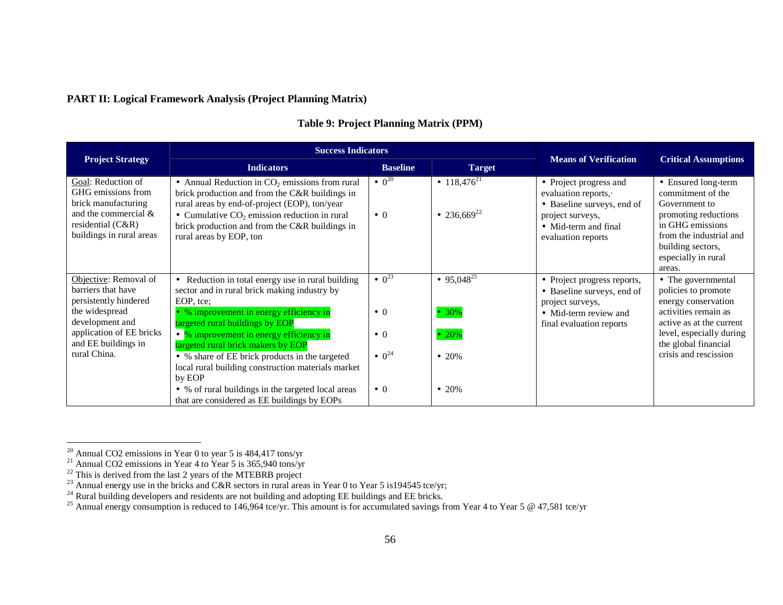## **PART II: Logical Framework Analysis (Project Planning Matrix)**

|                                                                                                                                            | <b>Success Indicators</b>                                                                                                                                                                                                                                                                            | <b>Means of Verification</b>                |                                             |                                                                                                                                                       |                                                                                                                                  |
|--------------------------------------------------------------------------------------------------------------------------------------------|------------------------------------------------------------------------------------------------------------------------------------------------------------------------------------------------------------------------------------------------------------------------------------------------------|---------------------------------------------|---------------------------------------------|-------------------------------------------------------------------------------------------------------------------------------------------------------|----------------------------------------------------------------------------------------------------------------------------------|
| <b>Project Strategy</b>                                                                                                                    | <b>Indicators</b>                                                                                                                                                                                                                                                                                    | <b>Baseline</b>                             | <b>Target</b>                               |                                                                                                                                                       | <b>Critical Assumptions</b>                                                                                                      |
| Goal: Reduction of<br>GHG emissions from<br>brick manufacturing<br>and the commercial &<br>residential $(C&R)$<br>buildings in rural areas | $\bullet$ Annual Reduction in CO <sub>2</sub> emissions from rural<br>brick production and from the C&R buildings in<br>rural areas by end-of-project (EOP), ton/year<br>• Cumulative $CO2$ emission reduction in rural<br>brick production and from the C&R buildings in<br>rural areas by EOP, ton | $^{\bullet}$ 0 <sup>20</sup><br>$\bullet$ 0 | • $118,476^{21}$<br>• 236,669 <sup>22</sup> | • Project progress and<br>evaluation reports, $\cdot$<br>• Baseline surveys, end of<br>project surveys,<br>• Mid-term and final<br>evaluation reports | • Ensured long-term<br>commitment of the<br>Government to<br>promoting reductions<br>in GHG emissions<br>from the industrial and |
|                                                                                                                                            |                                                                                                                                                                                                                                                                                                      |                                             |                                             |                                                                                                                                                       | building sectors,<br>especially in rural<br>areas.                                                                               |
| Objective: Removal of<br>barriers that have<br>persistently hindered                                                                       | • Reduction in total energy use in rural building<br>sector and in rural brick making industry by<br>EOP, tce:                                                                                                                                                                                       | $^{\bullet}$ 0 <sup>23</sup>                | • 95,048 <sup>25</sup>                      | • Project progress reports,<br>• Baseline surveys, end of<br>project surveys,                                                                         | • The governmental<br>policies to promote<br>energy conservation                                                                 |
| the widespread<br>development and                                                                                                          | • % improvement in energy efficiency in<br>targeted rural buildings by EOP                                                                                                                                                                                                                           | $\bullet$ 0                                 | $• 30\%$                                    | • Mid-term review and<br>final evaluation reports                                                                                                     | activities remain as<br>active as at the current                                                                                 |
| application of EE bricks<br>and EE buildings in<br>rural China.                                                                            | $\bullet$ % improvement in energy efficiency in<br>targeted rural brick makers by EOP                                                                                                                                                                                                                | $\bullet$ 0                                 | • 20%                                       |                                                                                                                                                       | level, especially during<br>the global financial                                                                                 |
|                                                                                                                                            | • % share of EE brick products in the targeted<br>local rural building construction materials market<br>by EOP                                                                                                                                                                                       | $^{\bullet}$ 0 <sup>24</sup>                | $\bullet$ 20%                               |                                                                                                                                                       | crisis and rescission                                                                                                            |
|                                                                                                                                            | • % of rural buildings in the targeted local areas<br>that are considered as EE buildings by EOPs                                                                                                                                                                                                    | $\bullet$ 0                                 | $\bullet$ 20%                               |                                                                                                                                                       |                                                                                                                                  |

# **Table 9: Project Planning Matrix (PPM)**

<sup>&</sup>lt;sup>20</sup> Annual CO2 emissions in Year 0 to year 5 is 484,417 tons/yr<br><sup>21</sup> Annual CO2 emissions in Year 4 to Year 5 is 365,940 tons/yr<br><sup>22</sup> This is derived from the last 2 years of the MTEBRB project<br><sup>23</sup> Annual energy use in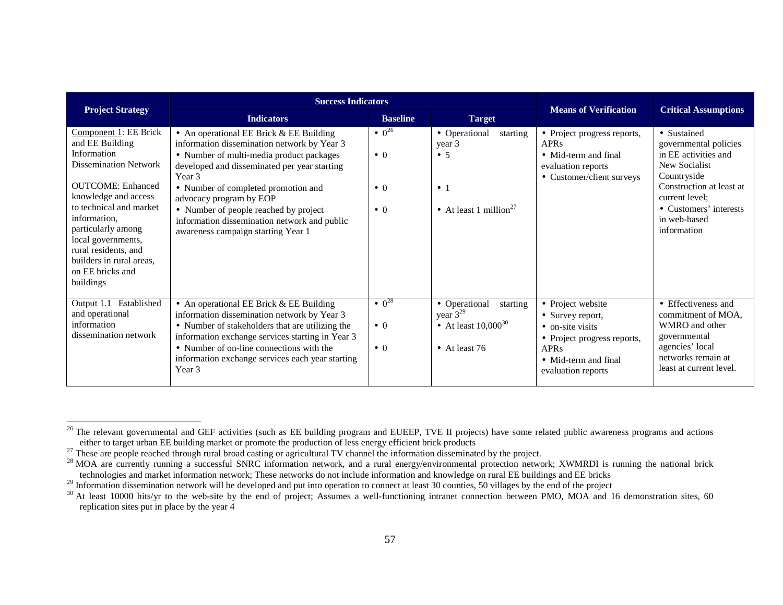| <b>Project Strategy</b>                                                                                                                                                                                                                                                                                                 | <b>Success Indicators</b>                                                                                                                                                                                                                                                                                                                                                                       | <b>Means of Verification</b>                                              | <b>Critical Assumptions</b>                                                                             |                                                                                                                                                       |                                                                                                                                                                                                     |
|-------------------------------------------------------------------------------------------------------------------------------------------------------------------------------------------------------------------------------------------------------------------------------------------------------------------------|-------------------------------------------------------------------------------------------------------------------------------------------------------------------------------------------------------------------------------------------------------------------------------------------------------------------------------------------------------------------------------------------------|---------------------------------------------------------------------------|---------------------------------------------------------------------------------------------------------|-------------------------------------------------------------------------------------------------------------------------------------------------------|-----------------------------------------------------------------------------------------------------------------------------------------------------------------------------------------------------|
|                                                                                                                                                                                                                                                                                                                         | <b>Indicators</b>                                                                                                                                                                                                                                                                                                                                                                               | <b>Baseline</b>                                                           | <b>Target</b>                                                                                           |                                                                                                                                                       |                                                                                                                                                                                                     |
| Component 1: EE Brick<br>and EE Building<br>Information<br><b>Dissemination Network</b><br><b>OUTCOME: Enhanced</b><br>knowledge and access<br>to technical and market<br>information,<br>particularly among<br>local governments,<br>rural residents, and<br>builders in rural areas,<br>on EE bricks and<br>buildings | • An operational EE Brick $&$ EE Building<br>information dissemination network by Year 3<br>• Number of multi-media product packages<br>developed and disseminated per year starting<br>Year 3<br>• Number of completed promotion and<br>advocacy program by EOP<br>• Number of people reached by project<br>information dissemination network and public<br>awareness campaign starting Year 1 | $^{\bullet}$ 0 <sup>26</sup><br>$\bullet$ 0<br>$\bullet$ 0<br>$\bullet$ 0 | • Operational<br>starting<br>year 3<br>$\bullet$ 5<br>$\bullet$ 1<br>• At least 1 million <sup>27</sup> | • Project progress reports,<br>APR <sub>s</sub><br>• Mid-term and final<br>evaluation reports<br>• Customer/client surveys                            | • Sustained<br>governmental policies<br>in EE activities and<br>New Socialist<br>Countryside<br>Construction at least at<br>current level:<br>• Customers' interests<br>in web-based<br>information |
| Established<br>Output 1.1<br>and operational<br>information<br>dissemination network                                                                                                                                                                                                                                    | • An operational EE Brick $&$ EE Building<br>information dissemination network by Year 3<br>• Number of stakeholders that are utilizing the<br>information exchange services starting in Year 3<br>• Number of on-line connections with the<br>information exchange services each year starting<br>Year 3                                                                                       | $^{\bullet}$ 0 <sup>28</sup><br>$\bullet$ 0<br>$\bullet$ 0                | • Operational<br>starting<br>year $3^{29}$<br>• At least $10,000^{30}$<br>$\bullet$ At least 76         | • Project website<br>• Survey report,<br>• on-site visits<br>• Project progress reports,<br><b>APRs</b><br>• Mid-term and final<br>evaluation reports | • Effectiveness and<br>commitment of MOA,<br>WMRO and other<br>governmental<br>agencies' local<br>networks remain at<br>least at current level.                                                     |

<sup>&</sup>lt;sup>26</sup> The relevant governmental and GEF activities (such as EE building program and EUEEP, TVE II projects) have some related public awareness programs and actions either to target urban EE building market or promote the pr

<sup>&</sup>lt;sup>28</sup> MOA are currently running a successful SNRC information network, and a rural energy/environmental protection network; XWMRDI is running the national brick technologies and market information network; These networks do not include information and knowledge on rural EE buildings and EE bricks

<sup>&</sup>lt;sup>29</sup> Information dissemination network will be developed and put into operation to connect at least 30 counties, 50 villages by the end of the project  $^{30}$  At least 10000 hits/yr to the web-site by the end of project; A replication sites put in place by the year 4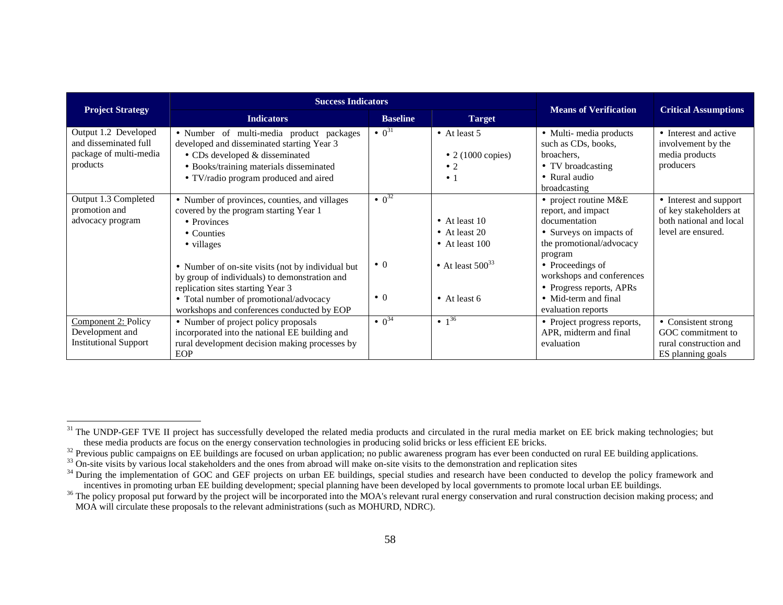|                                                                                     |                                                                                                                                                                                                                                                                               | <b>Success Indicators</b>                                  |                                                                               |                                                                                                                                                                                                                               |                                                                                                   |  |  |  |  |  |
|-------------------------------------------------------------------------------------|-------------------------------------------------------------------------------------------------------------------------------------------------------------------------------------------------------------------------------------------------------------------------------|------------------------------------------------------------|-------------------------------------------------------------------------------|-------------------------------------------------------------------------------------------------------------------------------------------------------------------------------------------------------------------------------|---------------------------------------------------------------------------------------------------|--|--|--|--|--|
| <b>Project Strategy</b>                                                             | <b>Indicators</b>                                                                                                                                                                                                                                                             | <b>Baseline</b><br><b>Target</b>                           |                                                                               | <b>Means of Verification</b>                                                                                                                                                                                                  | <b>Critical Assumptions</b>                                                                       |  |  |  |  |  |
| Output 1.2 Developed<br>and disseminated full<br>package of multi-media<br>products | · Number of multi-media product packages<br>developed and disseminated starting Year 3<br>$\bullet$ CDs developed & disseminated<br>• Books/training materials disseminated<br>• TV/radio program produced and aired                                                          | $^{\bullet}$ 0 <sup>31</sup>                               | $\bullet$ At least 5<br>• 2 (1000 copies)<br>$\bullet$ 2<br>$\bullet$ 1       | • Multi-media products<br>such as CDs, books,<br>broachers.<br>• TV broadcasting<br>• Rural audio                                                                                                                             | • Interest and active<br>involvement by the<br>media products<br>producers                        |  |  |  |  |  |
| Output 1.3 Completed<br>promotion and<br>advocacy program                           | • Number of provinces, counties, and villages<br>covered by the program starting Year 1<br>• Provinces<br>• Counties<br>• villages<br>• Number of on-site visits (not by individual but<br>by group of individuals) to demonstration and<br>replication sites starting Year 3 | $^{\bullet}$ 0 <sup>32</sup><br>$\bullet$ 0<br>$\bullet$ 0 | • At least $10$<br>• At least 20<br>• At least $100$<br>• At least $500^{33}$ | broadcasting<br>• project routine $M&E$<br>report, and impact<br>documentation<br>• Surveys on impacts of<br>the promotional/advocacy<br>program<br>• Proceedings of<br>workshops and conferences<br>• Progress reports, APRs | • Interest and support<br>of key stakeholders at<br>both national and local<br>level are ensured. |  |  |  |  |  |
|                                                                                     | • Total number of promotional/advocacy<br>workshops and conferences conducted by EOP                                                                                                                                                                                          |                                                            | • At least $6$                                                                | • Mid-term and final<br>evaluation reports                                                                                                                                                                                    |                                                                                                   |  |  |  |  |  |
| Component 2: Policy<br>Development and<br><b>Institutional Support</b>              | • Number of project policy proposals<br>incorporated into the national EE building and<br>rural development decision making processes by<br>EOP                                                                                                                               | $\bullet$ 0 <sup>34</sup>                                  | $\bullet$ 1 <sup>36</sup>                                                     | • Project progress reports,<br>APR, midterm and final<br>evaluation                                                                                                                                                           | • Consistent strong<br>GOC commitment to<br>rural construction and<br>ES planning goals           |  |  |  |  |  |

<sup>&</sup>lt;sup>31</sup> The UNDP-GEF TVE II project has successfully developed the related media products and circulated in the rural media market on EE brick making technologies; but these media products are focus on the energy conservation technologies in producing solid bricks or less efficient EE bricks.

 $\frac{32}{22}$  Previous public campaigns on EE buildings are focused on urban application; no public awareness program has ever been conducted on rural EE building applications.

<sup>&</sup>lt;sup>33</sup> On-site visits by various local stakeholders and the ones from abroad will make on-site visits to the demonstration and replication sites

<sup>&</sup>lt;sup>34</sup> During the implementation of GOC and GEF projects on urban EE buildings, special studies and research have been conducted to develop the policy framework and incentives in promoting urban EE building development; special planning have been developed by local governments to promote local urban EE buildings.

<sup>&</sup>lt;sup>36</sup> The policy proposal put forward by the project will be incorporated into the MOA's relevant rural energy conservation and rural construction decision making process; and MOA will circulate these proposals to the relevant administrations (such as MOHURD, NDRC).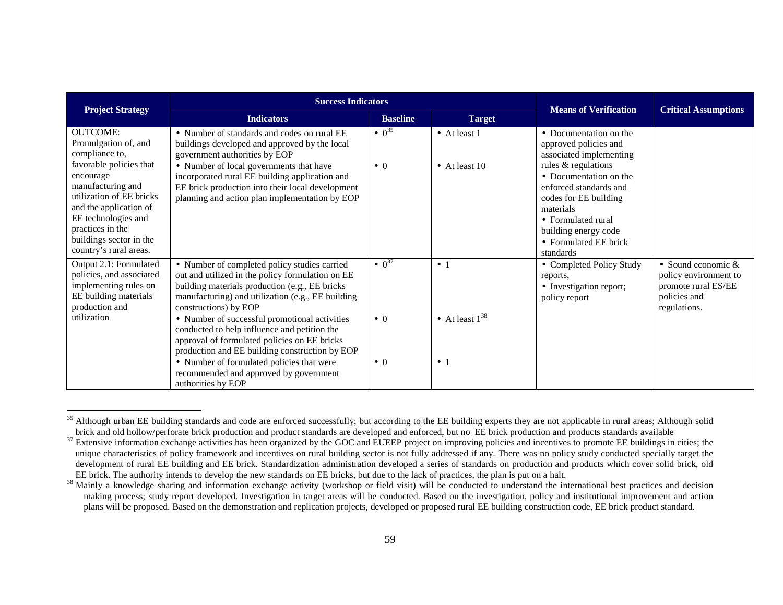| <b>Project Strategy</b>                                                                                                                                                                                         | <b>Success Indicators</b>                                                                                                                                                                                                                    | <b>Means of Verification</b> | <b>Critical Assumptions</b>      |                                                                                                                                                                                                   |                                                                                                      |
|-----------------------------------------------------------------------------------------------------------------------------------------------------------------------------------------------------------------|----------------------------------------------------------------------------------------------------------------------------------------------------------------------------------------------------------------------------------------------|------------------------------|----------------------------------|---------------------------------------------------------------------------------------------------------------------------------------------------------------------------------------------------|------------------------------------------------------------------------------------------------------|
|                                                                                                                                                                                                                 | <b>Indicators</b>                                                                                                                                                                                                                            | <b>Baseline</b>              | <b>Target</b>                    |                                                                                                                                                                                                   |                                                                                                      |
| <b>OUTCOME:</b><br>Promulgation of, and<br>compliance to,                                                                                                                                                       | • Number of standards and codes on rural EE<br>buildings developed and approved by the local<br>government authorities by EOP                                                                                                                | $\bullet$ 0 <sup>35</sup>    | • At least 1                     | • Documentation on the<br>approved policies and<br>associated implementing                                                                                                                        |                                                                                                      |
| favorable policies that<br>encourage<br>manufacturing and<br>utilization of EE bricks<br>and the application of<br>EE technologies and<br>practices in the<br>buildings sector in the<br>country's rural areas. | • Number of local governments that have<br>incorporated rural EE building application and<br>EE brick production into their local development<br>planning and action plan implementation by EOP                                              | $\bullet$ 0                  | • At least $10$                  | rules & regulations<br>• Documentation on the<br>enforced standards and<br>codes for EE building<br>materials<br>• Formulated rural<br>building energy code<br>• Formulated EE brick<br>standards |                                                                                                      |
| Output 2.1: Formulated<br>policies, and associated<br>implementing rules on<br>EE building materials<br>production and                                                                                          | • Number of completed policy studies carried<br>out and utilized in the policy formulation on EE<br>building materials production (e.g., EE bricks<br>manufacturing) and utilization (e.g., EE building<br>constructions) by EOP             | $\bullet$ 0 <sup>37</sup>    | $\bullet$ 1                      | • Completed Policy Study<br>reports,<br>• Investigation report;<br>policy report                                                                                                                  | • Sound economic $&$<br>policy environment to<br>promote rural ES/EE<br>policies and<br>regulations. |
| utilization                                                                                                                                                                                                     | • Number of successful promotional activities<br>conducted to help influence and petition the<br>approval of formulated policies on EE bricks<br>production and EE building construction by EOP<br>• Number of formulated policies that were | $\bullet$ 0<br>$\bullet$ 0   | • At least $1^{38}$<br>$\bullet$ |                                                                                                                                                                                                   |                                                                                                      |
|                                                                                                                                                                                                                 | recommended and approved by government<br>authorities by EOP                                                                                                                                                                                 |                              |                                  |                                                                                                                                                                                                   |                                                                                                      |

<sup>&</sup>lt;sup>35</sup> Although urban EE building standards and code are enforced successfully; but according to the EE building experts they are not applicable in rural areas; Although solid brick and old hollow/perforate brick production and product standards are developed and enforced, but no EE brick production and products standards available

 $37$  Extensive information exchange activities has been organized by the GOC and EUEEP project on improving policies and incentives to promote EE buildings in cities; the unique characteristics of policy framework and incentives on rural building sector is not fully addressed if any. There was no policy study conducted specially target the development of rural EE building and EE brick. Standardization administration developed a series of standards on production and products which cover solid brick, old EE brick. The authority intends to develop the new standards on EE bricks, but due to the lack of practices, the plan is put on a halt.

<sup>&</sup>lt;sup>38</sup> Mainly a knowledge sharing and information exchange activity (workshop or field visit) will be conducted to understand the international best practices and decision making process; study report developed. Investigation in target areas will be conducted. Based on the investigation, policy and institutional improvement and action plans will be proposed. Based on the demonstration and replication projects, developed or proposed rural EE building construction code, EE brick product standard.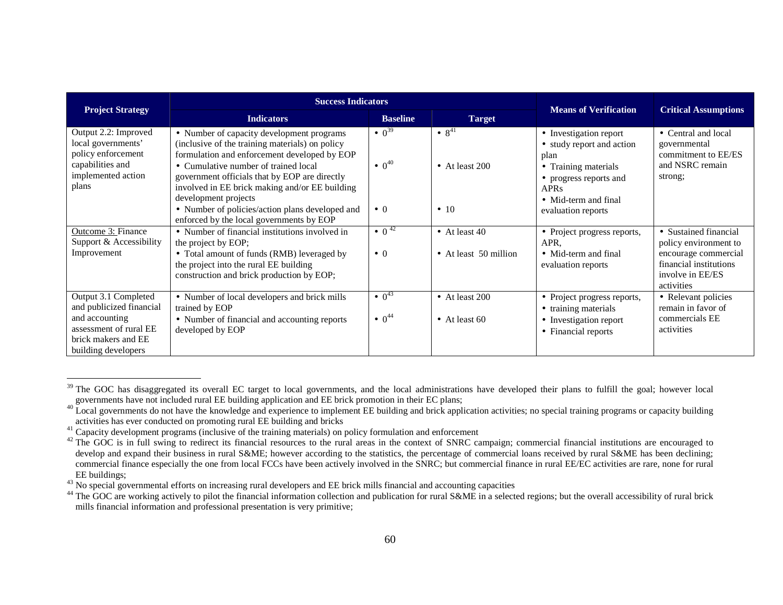|                                                                                                                     |                                                                                                                                                                                                                                                                                                                                                                                                                | <b>Success Indicators</b>                                             |                                                               |                                                                                                                                                                            |                                                                                          |  |  |  |  |  |
|---------------------------------------------------------------------------------------------------------------------|----------------------------------------------------------------------------------------------------------------------------------------------------------------------------------------------------------------------------------------------------------------------------------------------------------------------------------------------------------------------------------------------------------------|-----------------------------------------------------------------------|---------------------------------------------------------------|----------------------------------------------------------------------------------------------------------------------------------------------------------------------------|------------------------------------------------------------------------------------------|--|--|--|--|--|
| <b>Project Strategy</b>                                                                                             | <b>Indicators</b>                                                                                                                                                                                                                                                                                                                                                                                              | <b>Baseline</b>                                                       | <b>Target</b>                                                 | <b>Means of Verification</b>                                                                                                                                               | <b>Critical Assumptions</b>                                                              |  |  |  |  |  |
| Output 2.2: Improved<br>local governments'<br>policy enforcement<br>capabilities and<br>implemented action<br>plans | • Number of capacity development programs<br>(inclusive of the training materials) on policy<br>formulation and enforcement developed by EOP<br>• Cumulative number of trained local<br>government officials that by EOP are directly<br>involved in EE brick making and/or EE building<br>development projects<br>• Number of policies/action plans developed and<br>enforced by the local governments by EOP | $\bullet$ 0 <sup>39</sup><br>$\bullet$ 0 <sup>40</sup><br>$\bullet$ 0 | $\bullet$ 8 <sup>41</sup><br>• At least $200$<br>$\bullet$ 10 | • Investigation report<br>• study report and action<br>plan<br>• Training materials<br>• progress reports and<br><b>APRs</b><br>• Mid-term and final<br>evaluation reports | • Central and local<br>governmental<br>commitment to EE/ES<br>and NSRC remain<br>strong; |  |  |  |  |  |
| <b>Outcome 3: Finance</b><br>Support & Accessibility                                                                | • Number of financial institutions involved in<br>the project by EOP;                                                                                                                                                                                                                                                                                                                                          | $\bullet$ 0 <sup>42</sup>                                             | • At least $40$                                               | • Project progress reports,<br>APR.                                                                                                                                        | • Sustained financial<br>policy environment to                                           |  |  |  |  |  |
| Improvement                                                                                                         | • Total amount of funds (RMB) leveraged by<br>the project into the rural EE building<br>construction and brick production by EOP;                                                                                                                                                                                                                                                                              | $\bullet$ 0                                                           | • At least 50 million                                         | • Mid-term and final<br>evaluation reports                                                                                                                                 | encourage commercial<br>financial institutions<br>involve in EE/ES<br>activities         |  |  |  |  |  |
| Output 3.1 Completed<br>and publicized financial<br>and accounting                                                  | • Number of local developers and brick mills<br>trained by EOP<br>• Number of financial and accounting reports                                                                                                                                                                                                                                                                                                 | $^{\bullet}$ 0 <sup>43</sup><br>$\bullet$ 0 <sup>44</sup>             | $\bullet$ At least 200<br>• At least $60$                     | • Project progress reports,<br>• training materials<br>• Investigation report                                                                                              | • Relevant policies<br>remain in favor of<br>commercials EE                              |  |  |  |  |  |
| assessment of rural EE<br>brick makers and EE<br>building developers                                                | developed by EOP                                                                                                                                                                                                                                                                                                                                                                                               |                                                                       |                                                               | • Financial reports                                                                                                                                                        | activities                                                                               |  |  |  |  |  |

<sup>&</sup>lt;sup>39</sup> The GOC has disaggregated its overall EC target to local governments, and the local administrations have developed their plans to fulfill the goal; however local governments have not included rural EE building application and EE brick promotion in their EC plans;

 $40$  Local governments do not have the knowledge and experience to implement EE building and brick application activities; no special training programs or capacity building activities has ever conducted on promoting rural EE building and bricks

 $41$  Capacity development programs (inclusive of the training materials) on policy formulation and enforcement

 $42$  The GOC is in full swing to redirect its financial resources to the rural areas in the context of SNRC campaign; commercial financial institutions are encouraged to develop and expand their business in rural S&ME; however according to the statistics, the percentage of commercial loans received by rural S&ME has been declining; commercial finance especially the one from local FCCs have been actively involved in the SNRC; but commercial finance in rural EE/EC activities are rare, none for rural EE buildings;

 $43$  No special governmental efforts on increasing rural developers and EE brick mills financial and accounting capacities

<sup>&</sup>lt;sup>44</sup> The GOC are working actively to pilot the financial information collection and publication for rural S&ME in a selected regions; but the overall accessibility of rural brick mills financial information and professional presentation is very primitive;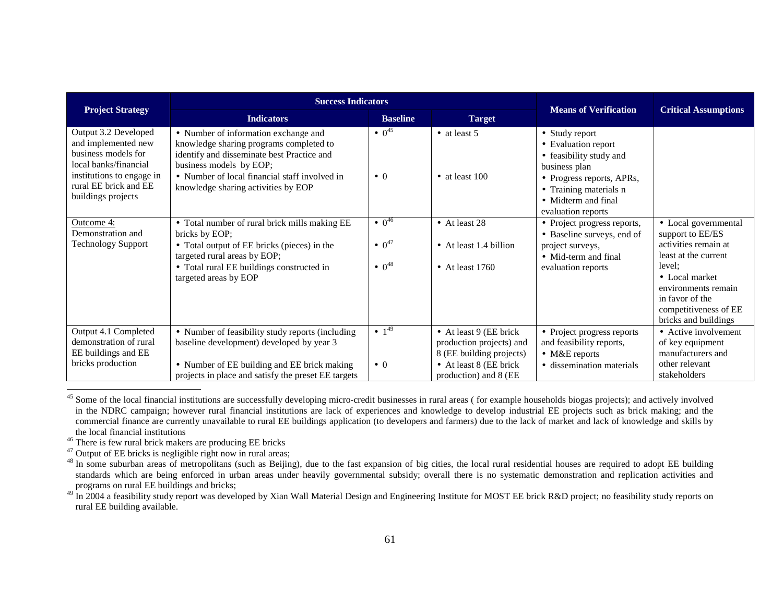|                                                                                                                                                                         | <b>Success Indicators</b>                                                                                                                                                                                                                        | <b>Means of Verification</b>                                                     | <b>Critical Assumptions</b>                                                                                        |                                                                                                                                                                 |                                                                                                                                                                                                                 |
|-------------------------------------------------------------------------------------------------------------------------------------------------------------------------|--------------------------------------------------------------------------------------------------------------------------------------------------------------------------------------------------------------------------------------------------|----------------------------------------------------------------------------------|--------------------------------------------------------------------------------------------------------------------|-----------------------------------------------------------------------------------------------------------------------------------------------------------------|-----------------------------------------------------------------------------------------------------------------------------------------------------------------------------------------------------------------|
| <b>Project Strategy</b>                                                                                                                                                 | <b>Indicators</b>                                                                                                                                                                                                                                | <b>Baseline</b>                                                                  | <b>Target</b>                                                                                                      |                                                                                                                                                                 |                                                                                                                                                                                                                 |
| Output 3.2 Developed<br>and implemented new<br>business models for<br>local banks/financial<br>institutions to engage in<br>rural EE brick and EE<br>buildings projects | • Number of information exchange and<br>knowledge sharing programs completed to<br>identify and disseminate best Practice and<br>business models by EOP;<br>• Number of local financial staff involved in<br>knowledge sharing activities by EOP | $^{\bullet}$ 0 <sup>45</sup><br>$\bullet$ 0                                      | $\bullet$ at least 5<br>• at least $100$                                                                           | • Study report<br>• Evaluation report<br>• feasibility study and<br>business plan<br>• Progress reports, APRs,<br>• Training materials n<br>• Midterm and final |                                                                                                                                                                                                                 |
| Outcome 4:<br>Demonstration and<br><b>Technology Support</b>                                                                                                            | • Total number of rural brick mills making EE<br>bricks by EOP;<br>• Total output of EE bricks (pieces) in the<br>targeted rural areas by EOP;<br>• Total rural EE buildings constructed in<br>targeted areas by EOP                             | $^{\bullet}$ 0 <sup>46</sup><br>$\bullet$ 0 <sup>47</sup><br>$^{\bullet} 0^{48}$ | • At least 28<br>$\bullet$ At least 1.4 billion<br>• At least $1760$                                               | evaluation reports<br>• Project progress reports,<br>• Baseline surveys, end of<br>project surveys,<br>• Mid-term and final<br>evaluation reports               | • Local governmental<br>support to EE/ES<br>activities remain at<br>least at the current<br>level:<br>• Local market<br>environments remain<br>in favor of the<br>competitiveness of EE<br>bricks and buildings |
| Output 4.1 Completed<br>demonstration of rural<br>EE buildings and EE<br>bricks production                                                                              | • Number of feasibility study reports (including<br>baseline development) developed by year 3<br>• Number of EE building and EE brick making                                                                                                     | $\bullet$ 1 <sup>49</sup><br>$\bullet$ 0                                         | • At least $9$ (EE brick<br>production projects) and<br>8 (EE building projects)<br>$\bullet$ At least 8 (EE brick | • Project progress reports<br>and feasibility reports,<br>$\bullet$ M&E reports<br>• dissemination materials                                                    | • Active involvement<br>of key equipment<br>manufacturers and<br>other relevant                                                                                                                                 |
|                                                                                                                                                                         | projects in place and satisfy the preset EE targets                                                                                                                                                                                              |                                                                                  | production) and 8 (EE                                                                                              |                                                                                                                                                                 | stakeholders                                                                                                                                                                                                    |

<sup>&</sup>lt;sup>45</sup> Some of the local financial institutions are successfully developing micro-credit businesses in rural areas (for example households biogas projects); and actively involved in the NDRC campaign; however rural financial institutions are lack of experiences and knowledge to develop industrial EE projects such as brick making; and the commercial finance are currently unavailable to rural EE buildings application (to developers and farmers) due to the lack of market and lack of knowledge and skills by the local financial institutions

<sup>&</sup>lt;sup>46</sup> There is few rural brick makers are producing EE bricks  $^{47}$  Output of EE bricks is negligible right now in rural areas;

<sup>&</sup>lt;sup>48</sup> In some suburban areas of metropolitans (such as Beijing), due to the fast expansion of big cities, the local rural residential houses are required to adopt EE building standards which are being enforced in urban areas under heavily governmental subsidy; overall there is no systematic demonstration and replication activities and programs on rural EE buildings and bricks;<br><sup>49</sup> In 2004 a feasibility study report was developed by Xian Wall Material Design and Engineering Institute for MOST EE brick R&D project; no feasibility study reports on

rural EE building available.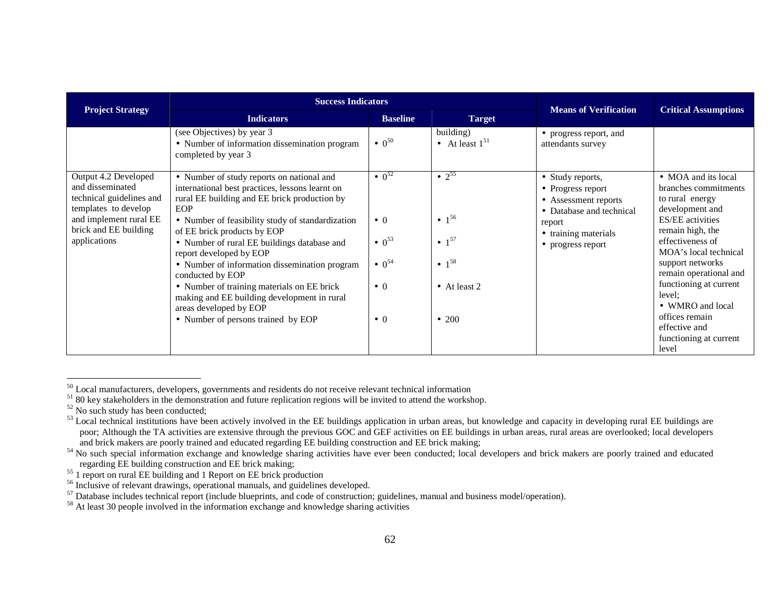|                                                                                                                                                                 | <b>Success Indicators</b>                                                                                                                                                                                                                                                                                                                                                                                                                                                                                                                          |                                                                                                                                     |                                                                                                                             |                                                                                                                                                  |                                                                                                                                                                                                                                                                                                                                                           |
|-----------------------------------------------------------------------------------------------------------------------------------------------------------------|----------------------------------------------------------------------------------------------------------------------------------------------------------------------------------------------------------------------------------------------------------------------------------------------------------------------------------------------------------------------------------------------------------------------------------------------------------------------------------------------------------------------------------------------------|-------------------------------------------------------------------------------------------------------------------------------------|-----------------------------------------------------------------------------------------------------------------------------|--------------------------------------------------------------------------------------------------------------------------------------------------|-----------------------------------------------------------------------------------------------------------------------------------------------------------------------------------------------------------------------------------------------------------------------------------------------------------------------------------------------------------|
| <b>Project Strategy</b>                                                                                                                                         | <b>Indicators</b>                                                                                                                                                                                                                                                                                                                                                                                                                                                                                                                                  | <b>Baseline</b><br><b>Target</b>                                                                                                    |                                                                                                                             | <b>Means of Verification</b>                                                                                                                     | <b>Critical Assumptions</b>                                                                                                                                                                                                                                                                                                                               |
|                                                                                                                                                                 | (see Objectives) by year 3<br>• Number of information dissemination program<br>completed by year 3                                                                                                                                                                                                                                                                                                                                                                                                                                                 | $\bullet$ 0 <sup>50</sup>                                                                                                           | building)<br>• At least $1^{51}$                                                                                            | • progress report, and<br>attendants survey                                                                                                      |                                                                                                                                                                                                                                                                                                                                                           |
| Output 4.2 Developed<br>and disseminated<br>technical guidelines and<br>templates to develop<br>and implement rural EE<br>brick and EE building<br>applications | • Number of study reports on national and<br>international best practices, lessons learnt on<br>rural EE building and EE brick production by<br>EOP<br>• Number of feasibility study of standardization<br>of EE brick products by EOP<br>• Number of rural EE buildings database and<br>report developed by EOP<br>• Number of information dissemination program<br>conducted by EOP<br>• Number of training materials on EE brick<br>making and EE building development in rural<br>areas developed by EOP<br>• Number of persons trained by EOP | $^{\bullet}$ 0 <sup>52</sup><br>$\bullet$ 0<br>$\bullet$ 0 <sup>53</sup><br>$\bullet$ 0 <sup>54</sup><br>$\bullet$ 0<br>$\bullet$ 0 | $\bullet$ 2 <sup>55</sup><br>• $1^{56}$<br>$\bullet$ 1 <sup>57</sup><br>• $1^{58}$<br>$\bullet$ At least 2<br>$\bullet$ 200 | • Study reports,<br>• Progress report<br>• Assessment reports<br>• Database and technical<br>report<br>• training materials<br>• progress report | • MOA and its local<br>branches commitments<br>to rural energy<br>development and<br><b>ES/EE</b> activities<br>remain high, the<br>effectiveness of<br>MOA's local technical<br>support networks<br>remain operational and<br>functioning at current<br>level;<br>• WMRO and local<br>offices remain<br>effective and<br>functioning at current<br>level |

<sup>&</sup>lt;sup>50</sup> Local manufacturers, developers, governments and residents do not receive relevant technical information

 $5180$  key stakeholders in the demonstration and future replication regions will be invited to attend the workshop.

 $52$  No such study has been conducted;

 $53$  Local technical institutions have been actively involved in the EE buildings application in urban areas, but knowledge and capacity in developing rural EE buildings are poor; Although the TA activities are extensive through the previous GOC and GEF activities on EE buildings in urban areas, rural areas are overlooked; local developers and brick makers are poorly trained and educated regarding EE building construction and EE brick making;

<sup>&</sup>lt;sup>54</sup> No such special information exchange and knowledge sharing activities have ever been conducted; local developers and brick makers are poorly trained and educated regarding EE building construction and EE brick making;

 $^{55}$  1 report on rural EE building and 1 Report on EE brick production

<sup>&</sup>lt;sup>56</sup> Inclusive of relevant drawings, operational manuals, and guidelines developed.<br><sup>57</sup> Database includes technical report (include blueprints, and code of construction; guidelines, manual and business model/operation).<br><sup></sup>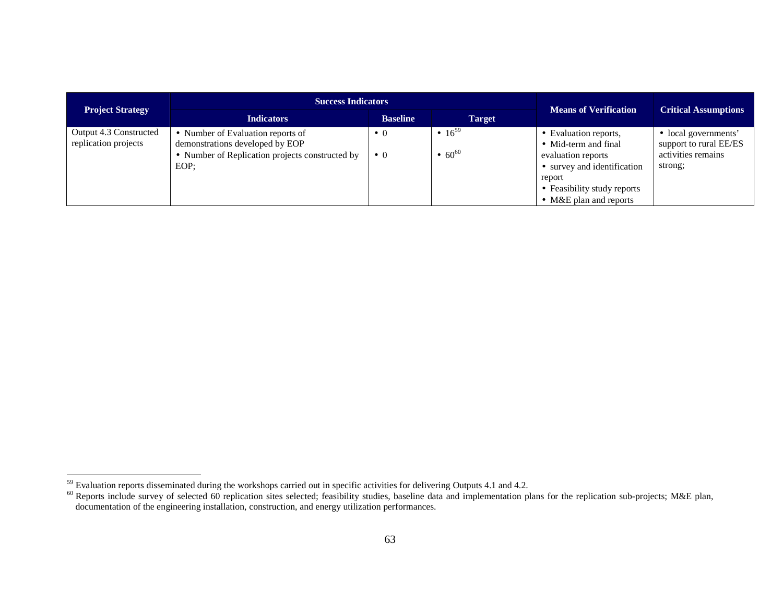| <b>Project Strategy</b>                        | <b>Success Indicators</b>                                                                                                       | <b>Means of Verification</b> | <b>Critical Assumptions</b>               |                                                                                                                                                                               |                                                                                 |
|------------------------------------------------|---------------------------------------------------------------------------------------------------------------------------------|------------------------------|-------------------------------------------|-------------------------------------------------------------------------------------------------------------------------------------------------------------------------------|---------------------------------------------------------------------------------|
|                                                | <b>Indicators</b>                                                                                                               | <b>Target</b>                |                                           |                                                                                                                                                                               |                                                                                 |
| Output 4.3 Constructed<br>replication projects | • Number of Evaluation reports of<br>demonstrations developed by EOP<br>• Number of Replication projects constructed by<br>EOP: | $\bullet$ 0<br>$\bullet$ 0   | • $16^{59}$<br>$\bullet$ 60 <sup>60</sup> | • Evaluation reports,<br>• Mid-term and final<br>evaluation reports<br>• survey and identification<br>report<br>• Feasibility study reports<br>$\bullet$ M&E plan and reports | • local governments'<br>support to rural EE/ES<br>activities remains<br>strong; |

<sup>&</sup>lt;sup>59</sup> Evaluation reports disseminated during the workshops carried out in specific activities for delivering Outputs 4.1 and 4.2.<br><sup>60</sup> Reports include survey of selected 60 replication sites selected; feasibility studies,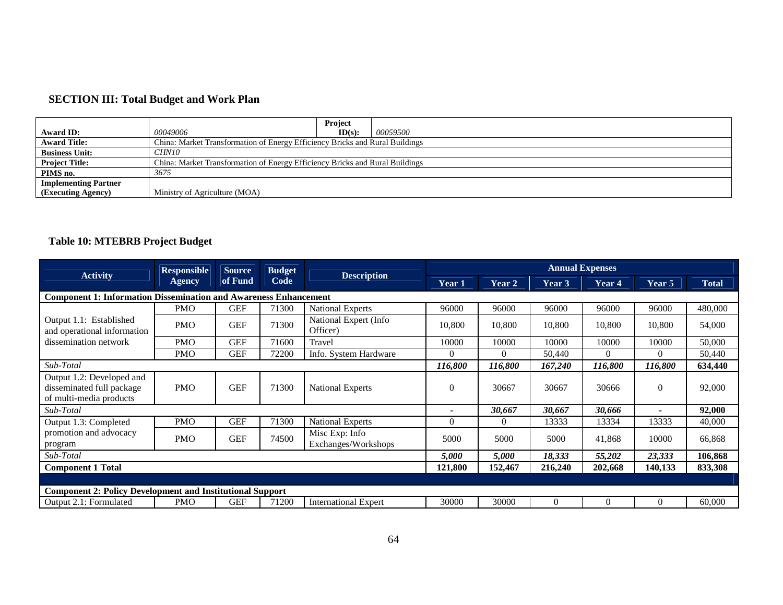### **SECTION III: Total Budget and Work Plan**

|                             |                                                                              | <b>Project</b>                                                               |                 |  |  |  |  |
|-----------------------------|------------------------------------------------------------------------------|------------------------------------------------------------------------------|-----------------|--|--|--|--|
| Award ID:                   | 00049006                                                                     | ID(s):                                                                       | <i>00059500</i> |  |  |  |  |
| <b>Award Title:</b>         |                                                                              | China: Market Transformation of Energy Efficiency Bricks and Rural Buildings |                 |  |  |  |  |
| <b>Business Unit:</b>       | CHN10                                                                        |                                                                              |                 |  |  |  |  |
| <b>Project Title:</b>       | China: Market Transformation of Energy Efficiency Bricks and Rural Buildings |                                                                              |                 |  |  |  |  |
| PIMS no.                    | 3675                                                                         |                                                                              |                 |  |  |  |  |
| <b>Implementing Partner</b> |                                                                              |                                                                              |                 |  |  |  |  |
| (Executing Agency)          | Ministry of Agriculture (MOA)                                                |                                                                              |                 |  |  |  |  |

# **Table 10: MTEBRB Project Budget**

|                                                                                   | <b>Responsible</b> | <b>Source</b> | <b>Budget</b> |                                       |         |          |          | <b>Annual Expenses</b> |          |              |
|-----------------------------------------------------------------------------------|--------------------|---------------|---------------|---------------------------------------|---------|----------|----------|------------------------|----------|--------------|
| <b>Activity</b>                                                                   | Agency             | of Fund       | Code          | <b>Description</b>                    | Year 1  | Year 2   | Year 3   | Year 4                 | Year 5   | <b>Total</b> |
| <b>Component 1: Information Dissemination and Awareness Enhancement</b>           |                    |               |               |                                       |         |          |          |                        |          |              |
|                                                                                   | <b>PMO</b>         | <b>GEF</b>    | 71300         | <b>National Experts</b>               | 96000   | 96000    | 96000    | 96000                  | 96000    | 480,000      |
| Output 1.1: Established<br>and operational information                            | <b>PMO</b>         | <b>GEF</b>    | 71300         | National Expert (Info<br>Officer)     | 10,800  | 10,800   | 10,800   | 10,800                 | 10,800   | 54,000       |
| dissemination network                                                             | <b>PMO</b>         | <b>GEF</b>    | 71600         | Travel                                | 10000   | 10000    | 10000    | 10000                  | 10000    | 50,000       |
|                                                                                   | <b>PMO</b>         | <b>GEF</b>    | 72200         | Info. System Hardware                 | 0       | $\Omega$ | 50,440   | $\Omega$               | $\Omega$ | 50,440       |
| Sub-Total                                                                         |                    |               |               |                                       | 116,800 | 116,800  | 167,240  | 116,800                | 116,800  | 634,440      |
| Output 1.2: Developed and<br>disseminated full package<br>of multi-media products | <b>PMO</b>         | <b>GEF</b>    | 71300         | <b>National Experts</b>               | 0       | 30667    | 30667    | 30666                  | $\Omega$ | 92,000       |
| Sub-Total                                                                         |                    |               |               |                                       |         | 30,667   | 30,667   | 30,666                 |          | 92,000       |
| Output 1.3: Completed                                                             | <b>PMO</b>         | <b>GEF</b>    | 71300         | <b>National Experts</b>               | 0       | $\Omega$ | 13333    | 13334                  | 13333    | 40,000       |
| promotion and advocacy<br>program                                                 | <b>PMO</b>         | <b>GEF</b>    | 74500         | Misc Exp: Info<br>Exchanges/Workshops | 5000    | 5000     | 5000     | 41,868                 | 10000    | 66,868       |
| Sub-Total                                                                         |                    |               |               |                                       | 5,000   | 5,000    | 18,333   | 55,202                 | 23,333   | 106,868      |
| <b>Component 1 Total</b>                                                          |                    |               |               |                                       |         | 152,467  | 216,240  | 202,668                | 140,133  | 833,308      |
|                                                                                   |                    |               |               |                                       |         |          |          |                        |          |              |
| <b>Component 2: Policy Development and Institutional Support</b>                  |                    |               |               |                                       |         |          |          |                        |          |              |
| Output 2.1: Formulated                                                            | <b>PMO</b>         | <b>GEF</b>    | 71200         | <b>International Expert</b>           | 30000   | 30000    | $\Omega$ | $\Omega$               | $\theta$ | 60,000       |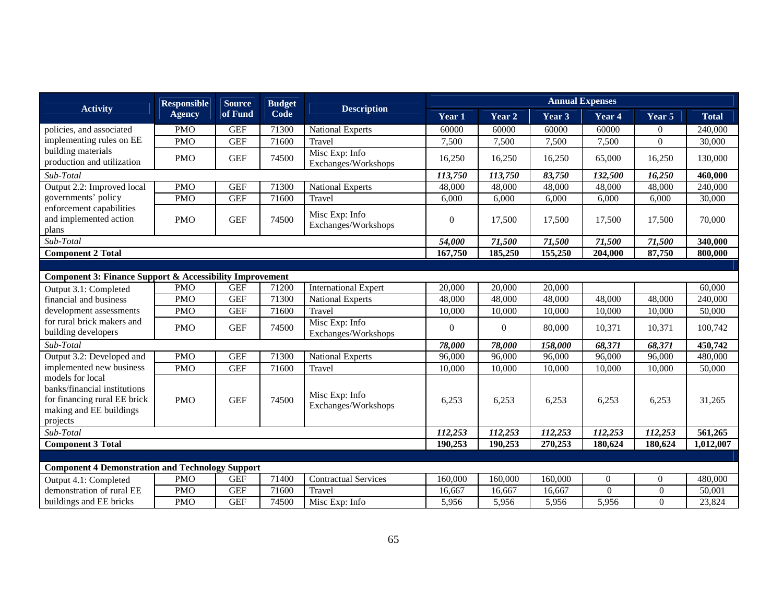|                                                                                                                         | <b>Responsible</b> | <b>Source</b> | <b>Budget</b> |                                       |                |          |         | <b>Annual Expenses</b> |                |              |
|-------------------------------------------------------------------------------------------------------------------------|--------------------|---------------|---------------|---------------------------------------|----------------|----------|---------|------------------------|----------------|--------------|
| <b>Activity</b>                                                                                                         | <b>Agency</b>      | of Fund       | Code          | <b>Description</b>                    | Year 1         | Year 2   | Year 3  | Year 4                 | Year 5         | <b>Total</b> |
| policies, and associated                                                                                                | <b>PMO</b>         | <b>GEF</b>    | 71300         | <b>National Experts</b>               | 60000          | 60000    | 60000   | 60000                  | $\Omega$       | 240,000      |
| implementing rules on EE                                                                                                | <b>PMO</b>         | <b>GEF</b>    | 71600         | Travel                                | 7,500          | 7,500    | 7,500   | 7,500                  | $\Omega$       | 30,000       |
| building materials<br>production and utilization                                                                        | <b>PMO</b>         | <b>GEF</b>    | 74500         | Misc Exp: Info<br>Exchanges/Workshops | 16,250         | 16,250   | 16,250  | 65,000                 | 16,250         | 130,000      |
| Sub-Total                                                                                                               |                    |               |               |                                       | 113,750        | 113,750  | 83,750  | 132,500                | 16,250         | 460,000      |
| Output 2.2: Improved local                                                                                              | <b>PMO</b>         | <b>GEF</b>    | 71300         | <b>National Experts</b>               | 48,000         | 48,000   | 48,000  | 48,000                 | 48,000         | 240,000      |
| governments' policy                                                                                                     | <b>PMO</b>         | <b>GEF</b>    | 71600         | Travel                                | 6,000          | 6,000    | 6,000   | 6,000                  | 6,000          | 30,000       |
| enforcement capabilities<br>and implemented action<br>plans                                                             | <b>PMO</b>         | <b>GEF</b>    | 74500         | Misc Exp: Info<br>Exchanges/Workshops | $\overline{0}$ | 17,500   | 17,500  | 17,500                 | 17,500         | 70,000       |
| Sub-Total                                                                                                               |                    |               |               |                                       | 54,000         | 71,500   | 71,500  | 71,500                 | 71,500         | 340,000      |
| <b>Component 2 Total</b>                                                                                                |                    |               |               |                                       | 167,750        | 185,250  | 155,250 | 204,000                | 87,750         | 800,000      |
|                                                                                                                         |                    |               |               |                                       |                |          |         |                        |                |              |
| <b>Component 3: Finance Support &amp; Accessibility Improvement</b>                                                     |                    |               |               |                                       |                |          |         |                        |                |              |
| Output 3.1: Completed                                                                                                   | <b>PMO</b>         | <b>GEF</b>    | 71200         | <b>International Expert</b>           | 20,000         | 20,000   | 20,000  |                        |                | 60,000       |
| financial and business                                                                                                  | <b>PMO</b>         | <b>GEF</b>    | 71300         | <b>National Experts</b>               | 48,000         | 48,000   | 48,000  | 48,000                 | 48,000         | 240,000      |
| development assessments                                                                                                 | <b>PMO</b>         | <b>GEF</b>    | 71600         | Travel                                | 10,000         | 10,000   | 10,000  | 10,000                 | 10,000         | 50,000       |
| for rural brick makers and<br>building developers                                                                       | <b>PMO</b>         | <b>GEF</b>    | 74500         | Misc Exp: Info<br>Exchanges/Workshops | $\theta$       | $\theta$ | 80,000  | 10,371                 | 10,371         | 100,742      |
| Sub-Total                                                                                                               |                    |               |               |                                       | 78,000         | 78,000   | 158,000 | 68,371                 | 68,371         | 450,742      |
| Output 3.2: Developed and                                                                                               | <b>PMO</b>         | <b>GEF</b>    | 71300         | <b>National Experts</b>               | 96,000         | 96,000   | 96,000  | 96,000                 | 96,000         | 480,000      |
| implemented new business                                                                                                | <b>PMO</b>         | <b>GEF</b>    | 71600         | Travel                                | 10,000         | 10,000   | 10,000  | 10,000                 | 10,000         | 50,000       |
| models for local<br>banks/financial institutions<br>for financing rural EE brick<br>making and EE buildings<br>projects | <b>PMO</b>         | <b>GEF</b>    | 74500         | Misc Exp: Info<br>Exchanges/Workshops | 6,253          | 6,253    | 6,253   | 6,253                  | 6,253          | 31,265       |
| Sub-Total                                                                                                               |                    |               |               |                                       | 112,253        | 112,253  | 112,253 | 112,253                | 112,253        | 561,265      |
| <b>Component 3 Total</b>                                                                                                |                    |               |               |                                       | 190,253        | 190,253  | 270,253 | 180,624                | 180,624        | 1,012,007    |
|                                                                                                                         |                    |               |               |                                       |                |          |         |                        |                |              |
| <b>Component 4 Demonstration and Technology Support</b>                                                                 |                    |               |               |                                       |                |          |         |                        |                |              |
| Output 4.1: Completed                                                                                                   | <b>PMO</b>         | <b>GEF</b>    | 71400         | <b>Contractual Services</b>           | 160,000        | 160,000  | 160,000 | $\Omega$               | $\overline{0}$ | 480,000      |
| demonstration of rural EE                                                                                               | <b>PMO</b>         | <b>GEF</b>    | 71600         | Travel                                | 16,667         | 16,667   | 16,667  | $\mathbf{0}$           | $\theta$       | 50,001       |
| buildings and EE bricks                                                                                                 | <b>PMO</b>         | <b>GEF</b>    | 74500         | Misc Exp: Info                        | 5,956          | 5,956    | 5,956   | 5,956                  | $\theta$       | 23,824       |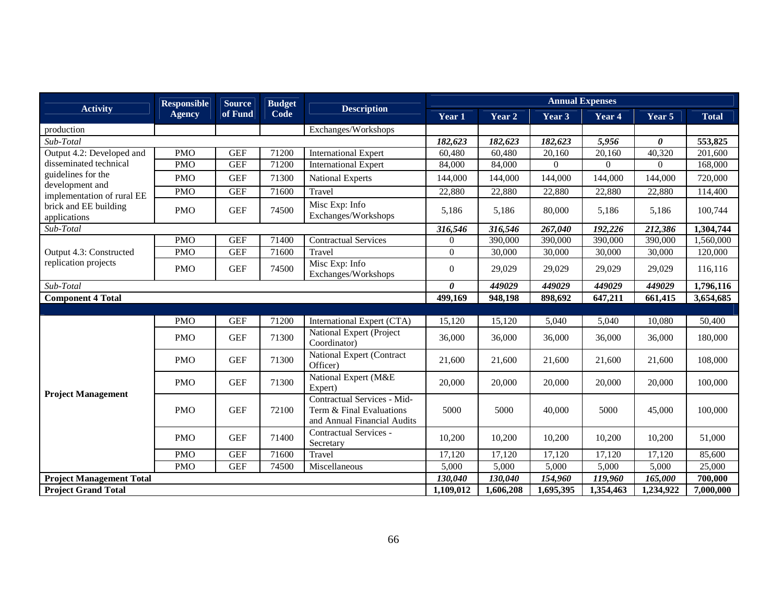|                                       | <b>Responsible</b> | <b>Source</b> | <b>Budget</b> |                                                                                        | <b>Annual Expenses</b> |           |                |           |                |              |
|---------------------------------------|--------------------|---------------|---------------|----------------------------------------------------------------------------------------|------------------------|-----------|----------------|-----------|----------------|--------------|
| <b>Activity</b>                       | <b>Agency</b>      | of Fund       | Code          | <b>Description</b>                                                                     | Year 1                 | Year 2    | Year 3         | Year 4    | Year 5         | <b>Total</b> |
| production                            |                    |               |               | Exchanges/Workshops                                                                    |                        |           |                |           |                |              |
| Sub-Total                             |                    |               |               |                                                                                        | 182,623                | 182,623   | 182,623        | 5,956     | 0              | 553,825      |
| Output 4.2: Developed and             | <b>PMO</b>         | <b>GEF</b>    | 71200         | <b>International Expert</b>                                                            | 60,480                 | 60,480    | 20,160         | 20,160    | 40,320         | 201,600      |
| disseminated technical                | <b>PMO</b>         | <b>GEF</b>    | 71200         | <b>International Expert</b>                                                            | 84,000                 | 84,000    | $\overline{0}$ | $\Omega$  | $\overline{0}$ | 168,000      |
| guidelines for the<br>development and | <b>PMO</b>         | <b>GEF</b>    | 71300         | <b>National Experts</b>                                                                | 144,000                | 144,000   | 144,000        | 144,000   | 144,000        | 720,000      |
| implementation of rural EE            | <b>PMO</b>         | <b>GEF</b>    | 71600         | Travel                                                                                 | 22,880                 | 22,880    | 22,880         | 22,880    | 22,880         | 114,400      |
| brick and EE building<br>applications | <b>PMO</b>         | <b>GEF</b>    | 74500         | Misc Exp: Info<br>Exchanges/Workshops                                                  | 5,186                  | 5,186     | 80,000         | 5,186     | 5,186          | 100,744      |
| Sub-Total                             |                    |               |               |                                                                                        | 316,546                | 316,546   | 267,040        | 192,226   | 212,386        | 1,304,744    |
|                                       | <b>PMO</b>         | <b>GEF</b>    | 71400         | <b>Contractual Services</b>                                                            | $\overline{0}$         | 390,000   | 390,000        | 390,000   | 390,000        | 1,560,000    |
| Output 4.3: Constructed               | <b>PMO</b>         | <b>GEF</b>    | 71600         | Travel                                                                                 | $\overline{0}$         | 30,000    | 30,000         | 30,000    | 30,000         | 120,000      |
| replication projects                  | <b>PMO</b>         | <b>GEF</b>    | 74500         | Misc Exp: Info<br>Exchanges/Workshops                                                  | $\boldsymbol{0}$       | 29,029    | 29,029         | 29,029    | 29,029         | 116,116      |
| Sub-Total                             |                    |               |               |                                                                                        | 0                      | 449029    | 449029         | 449029    | 449029         | 1,796,116    |
| <b>Component 4 Total</b>              |                    |               |               |                                                                                        | 499,169                | 948,198   | 898,692        | 647,211   | 661,415        | 3,654,685    |
|                                       |                    |               |               |                                                                                        |                        |           |                |           |                |              |
|                                       | <b>PMO</b>         | <b>GEF</b>    | 71200         | International Expert (CTA)                                                             | 15,120                 | 15,120    | 5,040          | 5,040     | 10,080         | 50,400       |
|                                       | <b>PMO</b>         | <b>GEF</b>    | 71300         | National Expert (Project<br>Coordinator)                                               | 36,000                 | 36,000    | 36,000         | 36,000    | 36,000         | 180,000      |
|                                       | <b>PMO</b>         | <b>GEF</b>    | 71300         | National Expert (Contract<br>Officer)                                                  | 21,600                 | 21,600    | 21,600         | 21,600    | 21,600         | 108,000      |
|                                       | <b>PMO</b>         | <b>GEF</b>    | 71300         | National Expert (M&E<br>Expert)                                                        | 20,000                 | 20,000    | 20,000         | 20,000    | 20,000         | 100,000      |
| <b>Project Management</b>             | <b>PMO</b>         | <b>GEF</b>    | 72100         | Contractual Services - Mid-<br>Term & Final Evaluations<br>and Annual Financial Audits | 5000                   | 5000      | 40,000         | 5000      | 45,000         | 100,000      |
|                                       | <b>PMO</b>         | <b>GEF</b>    | 71400         | Contractual Services -<br>Secretary                                                    | 10,200                 | 10,200    | 10,200         | 10,200    | 10,200         | 51,000       |
|                                       | <b>PMO</b>         | <b>GEF</b>    | 71600         | Travel                                                                                 | 17,120                 | 17,120    | 17,120         | 17,120    | 17,120         | 85,600       |
|                                       | <b>PMO</b>         | <b>GEF</b>    | 74500         | Miscellaneous                                                                          | 5,000                  | 5,000     | 5,000          | 5,000     | 5,000          | 25,000       |
| <b>Project Management Total</b>       |                    |               |               |                                                                                        | 130,040                | 130,040   | 154,960        | 119,960   | 165,000        | 700,000      |
| <b>Project Grand Total</b>            |                    |               |               |                                                                                        | 1,109,012              | 1,606,208 | 1,695,395      | 1,354,463 | 1,234,922      | 7,000,000    |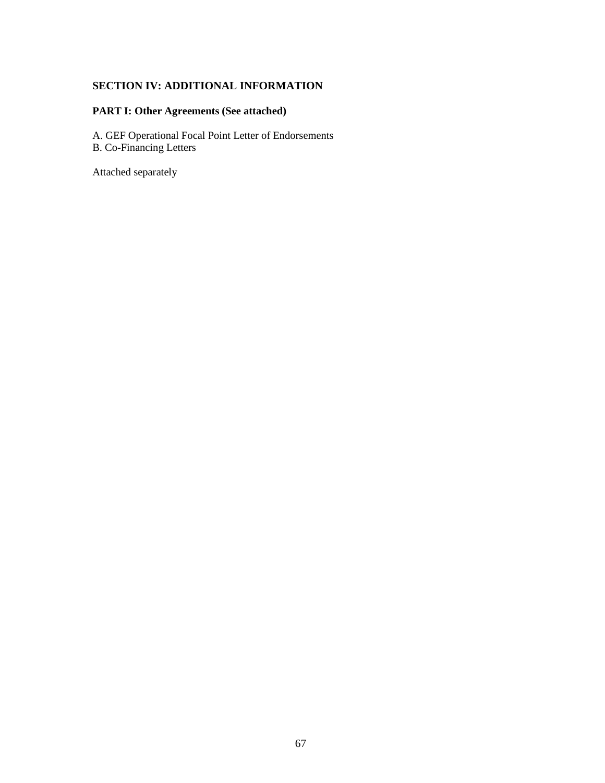# **SECTION IV: ADDITIONAL INFORMATION**

# **PART I: Other Agreements (See attached)**

A. GEF Operational Focal Point Letter of Endorsements B. Co-Financing Letters

Attached separately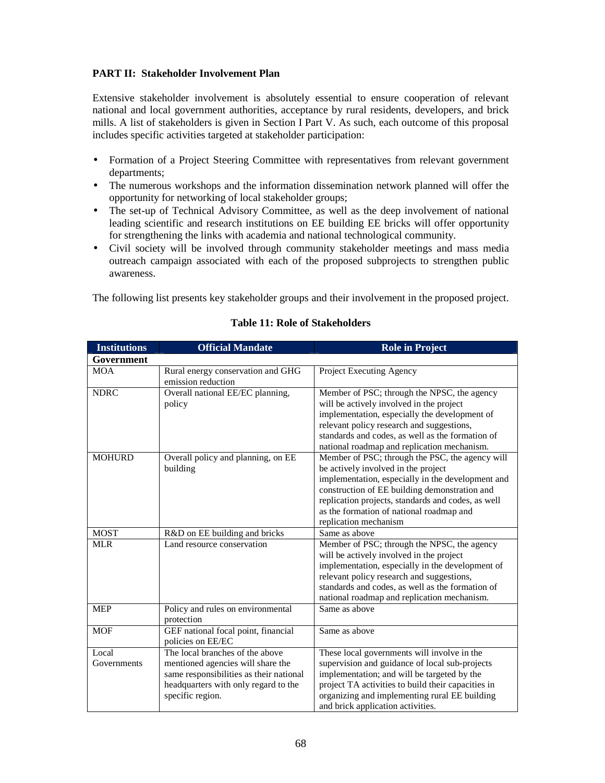### **PART II: Stakeholder Involvement Plan**

Extensive stakeholder involvement is absolutely essential to ensure cooperation of relevant national and local government authorities, acceptance by rural residents, developers, and brick mills. A list of stakeholders is given in Section I Part V. As such, each outcome of this proposal includes specific activities targeted at stakeholder participation:

- Formation of a Project Steering Committee with representatives from relevant government departments;
- The numerous workshops and the information dissemination network planned will offer the opportunity for networking of local stakeholder groups;
- The set-up of Technical Advisory Committee, as well as the deep involvement of national leading scientific and research institutions on EE building EE bricks will offer opportunity for strengthening the links with academia and national technological community.
- Civil society will be involved through community stakeholder meetings and mass media outreach campaign associated with each of the proposed subprojects to strengthen public awareness.

The following list presents key stakeholder groups and their involvement in the proposed project.

| <b>Institutions</b>  | <b>Official Mandate</b>                                                                                                                                                     | <b>Role in Project</b>                                                                                                                                                                                                                                                                                                  |
|----------------------|-----------------------------------------------------------------------------------------------------------------------------------------------------------------------------|-------------------------------------------------------------------------------------------------------------------------------------------------------------------------------------------------------------------------------------------------------------------------------------------------------------------------|
| Government           |                                                                                                                                                                             |                                                                                                                                                                                                                                                                                                                         |
| <b>MOA</b>           | Rural energy conservation and GHG<br>emission reduction                                                                                                                     | Project Executing Agency                                                                                                                                                                                                                                                                                                |
| <b>NDRC</b>          | Overall national EE/EC planning,<br>policy                                                                                                                                  | Member of PSC; through the NPSC, the agency<br>will be actively involved in the project<br>implementation, especially the development of<br>relevant policy research and suggestions,<br>standards and codes, as well as the formation of<br>national roadmap and replication mechanism.                                |
| <b>MOHURD</b>        | Overall policy and planning, on EE<br>building                                                                                                                              | Member of PSC; through the PSC, the agency will<br>be actively involved in the project<br>implementation, especially in the development and<br>construction of EE building demonstration and<br>replication projects, standards and codes, as well<br>as the formation of national roadmap and<br>replication mechanism |
| <b>MOST</b>          | R&D on EE building and bricks                                                                                                                                               | Same as above                                                                                                                                                                                                                                                                                                           |
| <b>MLR</b>           | Land resource conservation                                                                                                                                                  | Member of PSC; through the NPSC, the agency<br>will be actively involved in the project<br>implementation, especially in the development of<br>relevant policy research and suggestions,<br>standards and codes, as well as the formation of<br>national roadmap and replication mechanism.                             |
| <b>MEP</b>           | Policy and rules on environmental<br>protection                                                                                                                             | Same as above                                                                                                                                                                                                                                                                                                           |
| <b>MOF</b>           | GEF national focal point, financial<br>policies on EE/EC                                                                                                                    | Same as above                                                                                                                                                                                                                                                                                                           |
| Local<br>Governments | The local branches of the above<br>mentioned agencies will share the<br>same responsibilities as their national<br>headquarters with only regard to the<br>specific region. | These local governments will involve in the<br>supervision and guidance of local sub-projects<br>implementation; and will be targeted by the<br>project TA activities to build their capacities in<br>organizing and implementing rural EE building<br>and brick application activities.                                |

#### **Table 11: Role of Stakeholders**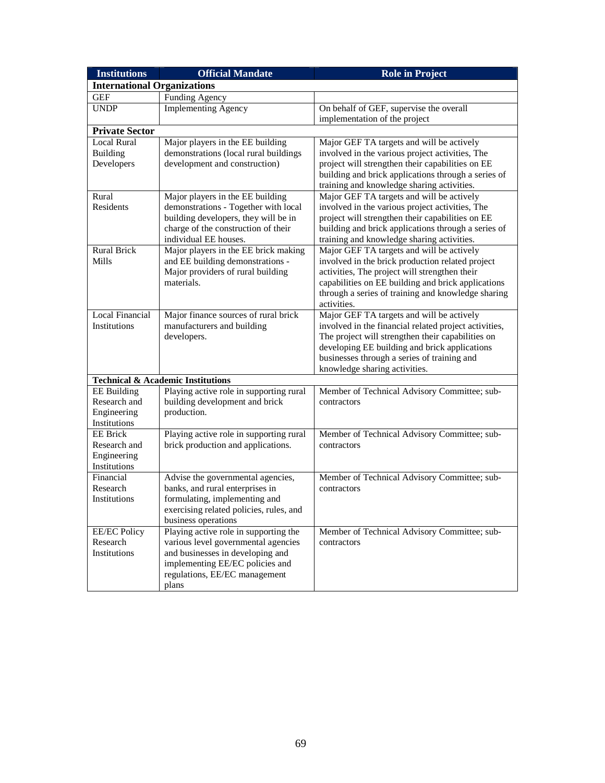| <b>Institutions</b>                | <b>Official Mandate</b>                                                  | <b>Role in Project</b>                                                                                     |
|------------------------------------|--------------------------------------------------------------------------|------------------------------------------------------------------------------------------------------------|
| <b>International Organizations</b> |                                                                          |                                                                                                            |
| <b>GEF</b>                         | <b>Funding Agency</b>                                                    |                                                                                                            |
| <b>UNDP</b>                        | <b>Implementing Agency</b>                                               | On behalf of GEF, supervise the overall                                                                    |
|                                    |                                                                          | implementation of the project                                                                              |
| <b>Private Sector</b>              |                                                                          |                                                                                                            |
| <b>Local Rural</b>                 | Major players in the EE building                                         | Major GEF TA targets and will be actively                                                                  |
| <b>Building</b>                    | demonstrations (local rural buildings                                    | involved in the various project activities, The                                                            |
| Developers                         | development and construction)                                            | project will strengthen their capabilities on EE                                                           |
|                                    |                                                                          | building and brick applications through a series of                                                        |
| Rural                              |                                                                          | training and knowledge sharing activities.                                                                 |
| Residents                          | Major players in the EE building<br>demonstrations - Together with local | Major GEF TA targets and will be actively<br>involved in the various project activities, The               |
|                                    | building developers, they will be in                                     | project will strengthen their capabilities on EE                                                           |
|                                    | charge of the construction of their                                      | building and brick applications through a series of                                                        |
|                                    | individual EE houses.                                                    | training and knowledge sharing activities.                                                                 |
| <b>Rural Brick</b>                 | Major players in the EE brick making                                     | Major GEF TA targets and will be actively                                                                  |
| Mills                              | and EE building demonstrations -                                         | involved in the brick production related project                                                           |
|                                    | Major providers of rural building                                        | activities, The project will strengthen their                                                              |
|                                    | materials.                                                               | capabilities on EE building and brick applications                                                         |
|                                    |                                                                          | through a series of training and knowledge sharing                                                         |
|                                    |                                                                          | activities.                                                                                                |
| <b>Local Financial</b>             | Major finance sources of rural brick                                     | Major GEF TA targets and will be actively                                                                  |
| Institutions                       | manufacturers and building                                               | involved in the financial related project activities,<br>The project will strengthen their capabilities on |
|                                    | developers.                                                              | developing EE building and brick applications                                                              |
|                                    |                                                                          | businesses through a series of training and                                                                |
|                                    |                                                                          | knowledge sharing activities.                                                                              |
|                                    | <b>Technical &amp; Academic Institutions</b>                             |                                                                                                            |
| <b>EE</b> Building                 | Playing active role in supporting rural                                  | Member of Technical Advisory Committee; sub-                                                               |
| Research and                       | building development and brick                                           | contractors                                                                                                |
| Engineering                        | production.                                                              |                                                                                                            |
| Institutions                       |                                                                          |                                                                                                            |
| <b>EE</b> Brick                    | Playing active role in supporting rural                                  | Member of Technical Advisory Committee; sub-                                                               |
| Research and                       | brick production and applications.                                       | contractors                                                                                                |
| Engineering<br>Institutions        |                                                                          |                                                                                                            |
| Financial                          | Advise the governmental agencies,                                        | Member of Technical Advisory Committee; sub-                                                               |
| Research                           | banks, and rural enterprises in                                          | contractors                                                                                                |
| Institutions                       | formulating, implementing and                                            |                                                                                                            |
|                                    | exercising related policies, rules, and                                  |                                                                                                            |
|                                    | business operations                                                      |                                                                                                            |
| <b>EE/EC Policy</b>                | Playing active role in supporting the                                    | Member of Technical Advisory Committee; sub-                                                               |
| Research                           | various level governmental agencies                                      | contractors                                                                                                |
| Institutions                       | and businesses in developing and                                         |                                                                                                            |
|                                    | implementing EE/EC policies and                                          |                                                                                                            |
|                                    | regulations, EE/EC management                                            |                                                                                                            |
|                                    | plans                                                                    |                                                                                                            |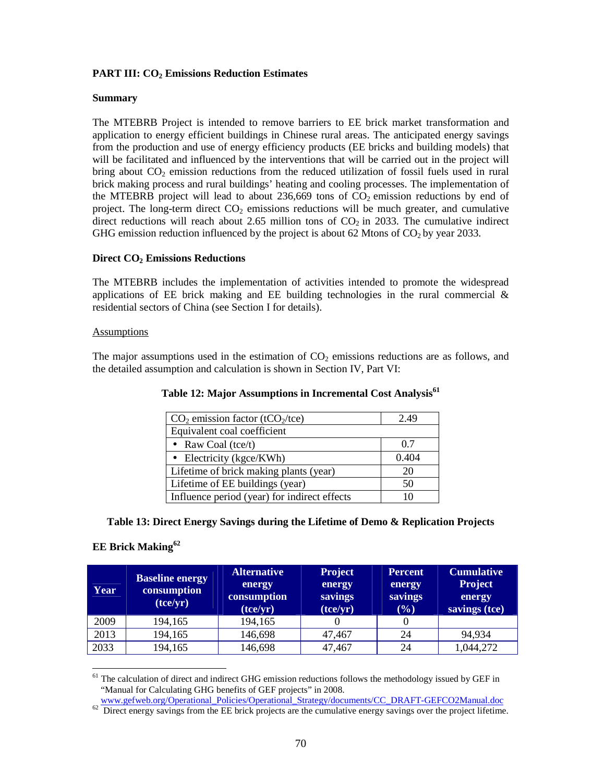### **PART III: CO2 Emissions Reduction Estimates**

#### **Summary**

The MTEBRB Project is intended to remove barriers to EE brick market transformation and application to energy efficient buildings in Chinese rural areas. The anticipated energy savings from the production and use of energy efficiency products (EE bricks and building models) that will be facilitated and influenced by the interventions that will be carried out in the project will bring about  $CO_2$  emission reductions from the reduced utilization of fossil fuels used in rural brick making process and rural buildings' heating and cooling processes. The implementation of the MTEBRB project will lead to about 236,669 tons of  $CO<sub>2</sub>$  emission reductions by end of project. The long-term direct  $CO<sub>2</sub>$  emissions reductions will be much greater, and cumulative direct reductions will reach about 2.65 million tons of  $CO<sub>2</sub>$  in 2033. The cumulative indirect GHG emission reduction influenced by the project is about 62 Mtons of  $CO<sub>2</sub>$  by year 2033.

#### **Direct CO2 Emissions Reductions**

The MTEBRB includes the implementation of activities intended to promote the widespread applications of EE brick making and EE building technologies in the rural commercial  $\&$ residential sectors of China (see Section I for details).

#### **Assumptions**

The major assumptions used in the estimation of  $CO<sub>2</sub>$  emissions reductions are as follows, and the detailed assumption and calculation is shown in Section IV, Part VI:

| $CO2$ emission factor (tCO <sub>2</sub> /tce) | 2.49  |
|-----------------------------------------------|-------|
| Equivalent coal coefficient                   |       |
| • Raw Coal (tce/t)                            | 0.7   |
| • Electricity ( $kgce/KWh$ )                  | 0.404 |
| Lifetime of brick making plants (year)        | 20    |
| Lifetime of EE buildings (year)               | 50    |
| Influence period (year) for indirect effects  |       |

**Table 12: Major Assumptions in Incremental Cost Analysis<sup>61</sup>**

#### **Table 13: Direct Energy Savings during the Lifetime of Demo & Replication Projects**

### **EE Brick Making<sup>62</sup>**

| Year | <b>Baseline energy</b><br>consumption<br>(tce/yr) | <b>Alternative</b><br>energy<br>consumption<br>(tce/yr) | <b>Project</b><br>energy<br>savings<br>(tce/yr) | <b>Percent</b><br>energy<br>savings<br>$(\%)$ | <b>Cumulative</b><br><b>Project</b><br>energy<br>savings (tce) |
|------|---------------------------------------------------|---------------------------------------------------------|-------------------------------------------------|-----------------------------------------------|----------------------------------------------------------------|
| 2009 | 194,165                                           | 194,165                                                 |                                                 |                                               |                                                                |
| 2013 | 194,165                                           | 146,698                                                 | 47,467                                          | 24                                            | 94,934                                                         |
| 2033 | 194,165                                           | 146,698                                                 | 47,467                                          | 24                                            | 1,044,272                                                      |

 $\ddot{\phantom{a}}$ The calculation of direct and indirect GHG emission reductions follows the methodology issued by GEF in "Manual for Calculating GHG benefits of GEF projects" in 2008.

www.gefweb.org/Operational\_Policies/Operational\_Strategy/documents/CC\_DRAFT-GEFCO2Manual.doc

 $62$  Direct energy savings from the EE brick projects are the cumulative energy savings over the project lifetime.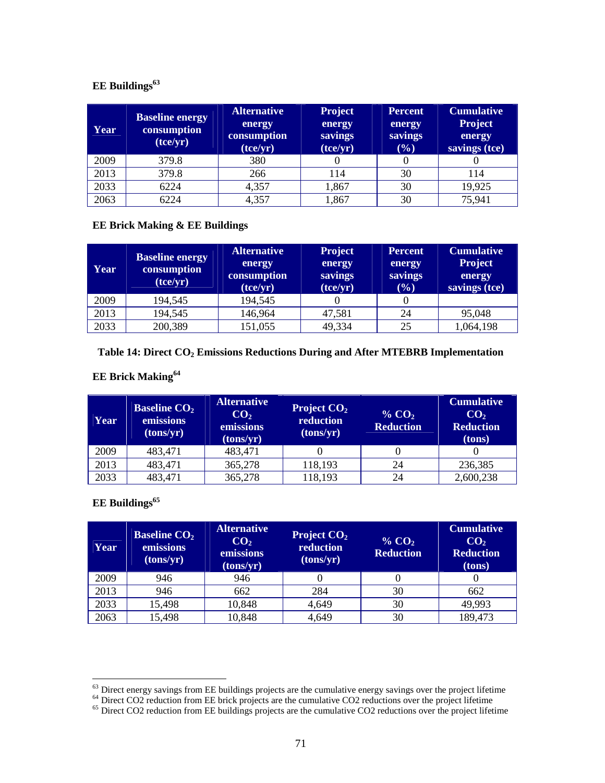# **EE Buildings<sup>63</sup>**

| Year | <b>Baseline energy</b><br>consumption<br>(tce/yr) | <b>Alternative</b><br>energy<br>consumption<br>(tce/yr) | <b>Project</b><br>energy<br>savings<br>(tce/yr) | <b>Percent</b><br>energy<br>savings<br>(%) | <b>Cumulative</b><br><b>Project</b><br>energy<br>savings (tce) |
|------|---------------------------------------------------|---------------------------------------------------------|-------------------------------------------------|--------------------------------------------|----------------------------------------------------------------|
| 2009 | 379.8                                             | 380                                                     |                                                 |                                            |                                                                |
| 2013 | 379.8                                             | 266                                                     | 114                                             | 30                                         | 114                                                            |
| 2033 | 6224                                              | 4,357                                                   | 1,867                                           | 30                                         | 19,925                                                         |
| 2063 | 6224                                              | 4,357                                                   | 1,867                                           | 30                                         | 75,941                                                         |

#### **EE Brick Making & EE Buildings**

| Year | <b>Baseline energy</b><br>consumption<br>(tce/yr) | <b>Alternative</b><br>energy<br>consumption<br>(tce/yr) | <b>Project</b><br>energy<br>savings<br>(tce/yr) | <b>Percent</b><br>energy<br>savings<br>(%) | <b>Cumulative</b><br><b>Project</b><br>energy<br>savings (tce) |
|------|---------------------------------------------------|---------------------------------------------------------|-------------------------------------------------|--------------------------------------------|----------------------------------------------------------------|
| 2009 | 194,545                                           | 194,545                                                 |                                                 |                                            |                                                                |
| 2013 | 194,545                                           | 146,964                                                 | 47,581                                          | 24                                         | 95,048                                                         |
| 2033 | 200,389                                           | 151,055                                                 | 49,334                                          | 25                                         | 1,064,198                                                      |

# **Table 14: Direct CO2 Emissions Reductions During and After MTEBRB Implementation**

# **EE Brick Making<sup>64</sup>**

| Year | <b>Baseline CO<sub>2</sub></b><br>emissions<br>(tons/yr) | <b>Alternative</b><br>CO <sub>2</sub><br>emissions<br>(tons/yr) | <b>Project <math>CO2</math></b><br>reduction<br>(tons/yr) | % $CO2$<br><b>Reduction</b> | <b>Cumulative</b><br>CO <sub>2</sub><br><b>Reduction</b><br>(tons) |
|------|----------------------------------------------------------|-----------------------------------------------------------------|-----------------------------------------------------------|-----------------------------|--------------------------------------------------------------------|
| 2009 | 483,471                                                  | 483,471                                                         |                                                           |                             |                                                                    |
| 2013 | 483,471                                                  | 365,278                                                         | 118,193                                                   | 24                          | 236,385                                                            |
| 2033 | 483,471                                                  | 365,278                                                         | 118,193                                                   | 24                          | 2,600,238                                                          |

# **EE Buildings<sup>65</sup>**

| <b>Year</b> | <b>Baseline CO<sub>2</sub></b><br>emissions<br>(tons/yr) | <b>Alternative</b><br>CO <sub>2</sub><br>emissions<br>(tons/yr) | Project $CO2$<br>reduction<br>(tons/yr) | % $CO2$<br><b>Reduction</b> | <b>Cumulative</b><br>CO <sub>2</sub><br><b>Reduction</b><br>(tons) |
|-------------|----------------------------------------------------------|-----------------------------------------------------------------|-----------------------------------------|-----------------------------|--------------------------------------------------------------------|
| 2009        | 946                                                      | 946                                                             |                                         |                             |                                                                    |
| 2013        | 946                                                      | 662                                                             | 284                                     | 30                          | 662                                                                |
| 2033        | 15,498                                                   | 10,848                                                          | 4,649                                   | 30                          | 49,993                                                             |
| 2063        | 15,498                                                   | 10,848                                                          | 4,649                                   | 30                          | 189,473                                                            |

l <sup>63</sup> Direct energy savings from EE buildings projects are the cumulative energy savings over the project lifetime

<sup>&</sup>lt;sup>64</sup> Direct CO2 reduction from EE brick projects are the cumulative CO2 reductions over the project lifetime

<sup>&</sup>lt;sup>65</sup> Direct CO2 reduction from EE buildings projects are the cumulative CO2 reductions over the project lifetime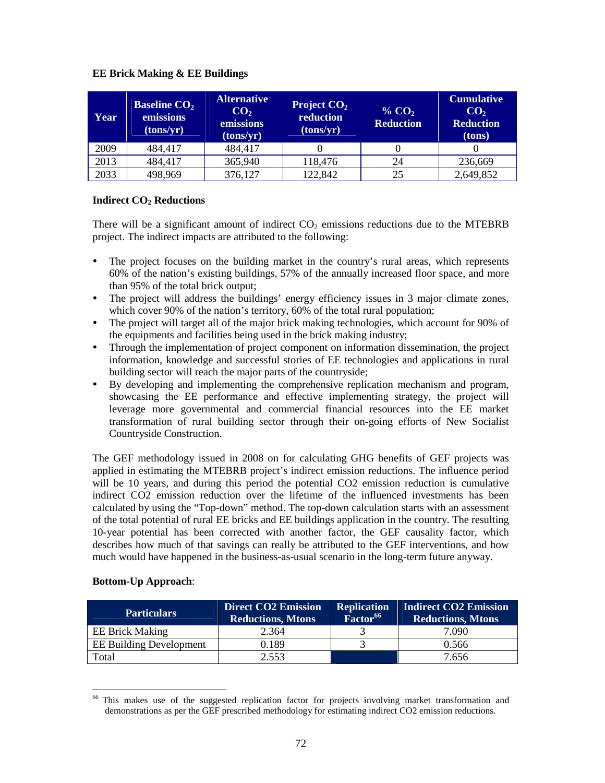### **EE Brick Making & EE Buildings**

| Year | <b>Baseline CO<sub>2</sub></b><br>emissions<br>(tons/yr) | <b>Alternative</b><br>CO <sub>2</sub><br>emissions<br>(tons/yr) | Project $CO2$<br>reduction<br>(tons/yr) | % $CO2$<br><b>Reduction</b> | <b>Cumulative</b><br>CO <sub>2</sub><br><b>Reduction</b><br>(tons) |
|------|----------------------------------------------------------|-----------------------------------------------------------------|-----------------------------------------|-----------------------------|--------------------------------------------------------------------|
| 2009 | 484,417                                                  | 484,417                                                         |                                         |                             |                                                                    |
| 2013 | 484,417                                                  | 365,940                                                         | 118,476                                 | 24                          | 236,669                                                            |
| 2033 | 498,969                                                  | 376,127                                                         | 122,842                                 | 25                          | 2,649,852                                                          |

#### **Indirect CO2 Reductions**

There will be a significant amount of indirect  $CO<sub>2</sub>$  emissions reductions due to the MTEBRB project. The indirect impacts are attributed to the following:

- The project focuses on the building market in the country's rural areas, which represents 60% of the nation's existing buildings, 57% of the annually increased floor space, and more than 95% of the total brick output;
- The project will address the buildings' energy efficiency issues in 3 major climate zones, which cover 90% of the nation's territory, 60% of the total rural population;
- The project will target all of the major brick making technologies, which account for 90% of the equipments and facilities being used in the brick making industry;
- Through the implementation of project component on information dissemination, the project information, knowledge and successful stories of EE technologies and applications in rural building sector will reach the major parts of the countryside;
- By developing and implementing the comprehensive replication mechanism and program, showcasing the EE performance and effective implementing strategy, the project will leverage more governmental and commercial financial resources into the EE market transformation of rural building sector through their on-going efforts of New Socialist Countryside Construction.

The GEF methodology issued in 2008 on for calculating GHG benefits of GEF projects was applied in estimating the MTEBRB project's indirect emission reductions. The influence period will be 10 years, and during this period the potential CO2 emission reduction is cumulative indirect CO2 emission reduction over the lifetime of the influenced investments has been calculated by using the "Top-down" method. The top-down calculation starts with an assessment of the total potential of rural EE bricks and EE buildings application in the country. The resulting 10-year potential has been corrected with another factor, the GEF causality factor, which describes how much of that savings can really be attributed to the GEF interventions, and how much would have happened in the business-as-usual scenario in the long-term future anyway.

### **Bottom-Up Approach**:

 $\ddot{\phantom{a}}$ 

| <b>Particulars</b>             | <b>Direct CO2 Emission</b><br><b>Reductions, Mtons</b> | <b>Replication</b><br>Factor <sup>66</sup> | Indirect CO2 Emission<br><b>Reductions, Mtons</b> |
|--------------------------------|--------------------------------------------------------|--------------------------------------------|---------------------------------------------------|
| <b>EE Brick Making</b>         | 2.364                                                  |                                            | 7.090                                             |
| <b>EE Building Development</b> | 0.189                                                  |                                            | 0.566                                             |
| Total                          | 2.553                                                  |                                            | 7.656                                             |

This makes use of the suggested replication factor for projects involving market transformation and demonstrations as per the GEF prescribed methodology for estimating indirect CO2 emission reductions.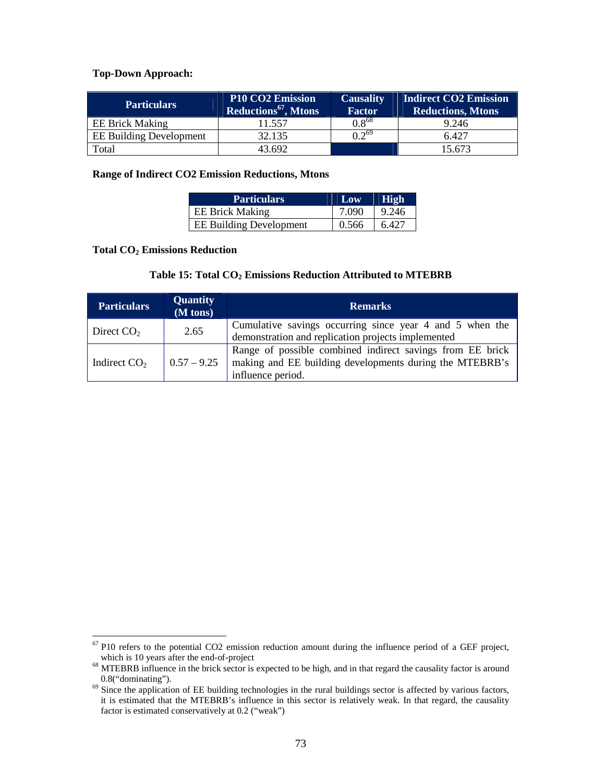### **Top-Down Approach:**

| <b>Particulars</b>             | <b>P10 CO2 Emission</b><br>Reductions <sup>67</sup> , Mtons | <b>Causality</b><br><b>Factor</b> | <b>Indirect CO2 Emission</b><br><b>Reductions, Mtons</b> |
|--------------------------------|-------------------------------------------------------------|-----------------------------------|----------------------------------------------------------|
| <b>EE Brick Making</b>         | 11.557                                                      | $0.8^{68}$                        | 9.246                                                    |
| <b>EE Building Development</b> | 32.135                                                      | $12^{69}$                         | 6.427                                                    |
| Total                          | 43.692                                                      |                                   | 15.673                                                   |

### **Range of Indirect CO2 Emission Reductions, Mtons**

| <b>Particulars</b>             | Low   | <b>High</b> |
|--------------------------------|-------|-------------|
| <b>EE Brick Making</b>         | 7.090 | 9.246       |
| <b>EE Building Development</b> | 0.566 | 6.427       |

### **Total CO2 Emissions Reduction**

### **Table 15: Total CO2 Emissions Reduction Attributed to MTEBRB**

| <b>Particulars</b> | <b>Quantity</b><br>$(M \text{ tons})$ | <b>Remarks</b>                                                                                                                            |
|--------------------|---------------------------------------|-------------------------------------------------------------------------------------------------------------------------------------------|
| Direct $CO2$       | 2.65                                  | Cumulative savings occurring since year 4 and 5 when the<br>demonstration and replication projects implemented                            |
| Indirect $CO2$     | $0.57 - 9.25$                         | Range of possible combined indirect savings from EE brick<br>making and EE building developments during the MTEBRB's<br>influence period. |

 $\overline{a}$  $67$  P10 refers to the potential CO2 emission reduction amount during the influence period of a GEF project, which is 10 years after the end-of-project

<sup>&</sup>lt;sup>68</sup> MTEBRB influence in the brick sector is expected to be high, and in that regard the causality factor is around 0.8("dominating").

 $69$  Since the application of EE building technologies in the rural buildings sector is affected by various factors, it is estimated that the MTEBRB's influence in this sector is relatively weak. In that regard, the causality factor is estimated conservatively at 0.2 ("weak")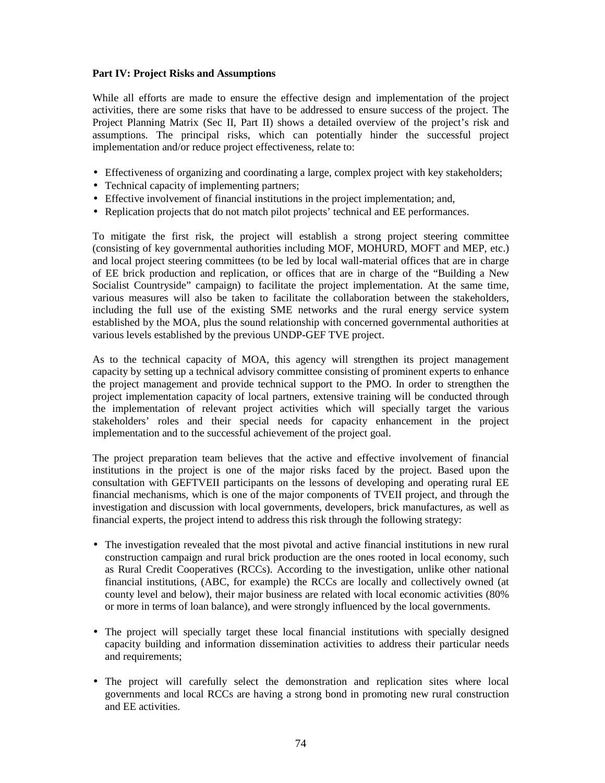### **Part IV: Project Risks and Assumptions**

While all efforts are made to ensure the effective design and implementation of the project activities, there are some risks that have to be addressed to ensure success of the project. The Project Planning Matrix (Sec II, Part II) shows a detailed overview of the project's risk and assumptions. The principal risks, which can potentially hinder the successful project implementation and/or reduce project effectiveness, relate to:

- Effectiveness of organizing and coordinating a large, complex project with key stakeholders;
- Technical capacity of implementing partners;
- Effective involvement of financial institutions in the project implementation; and,
- Replication projects that do not match pilot projects' technical and EE performances.

To mitigate the first risk, the project will establish a strong project steering committee (consisting of key governmental authorities including MOF, MOHURD, MOFT and MEP, etc.) and local project steering committees (to be led by local wall-material offices that are in charge of EE brick production and replication, or offices that are in charge of the "Building a New Socialist Countryside" campaign) to facilitate the project implementation. At the same time, various measures will also be taken to facilitate the collaboration between the stakeholders, including the full use of the existing SME networks and the rural energy service system established by the MOA, plus the sound relationship with concerned governmental authorities at various levels established by the previous UNDP-GEF TVE project.

As to the technical capacity of MOA, this agency will strengthen its project management capacity by setting up a technical advisory committee consisting of prominent experts to enhance the project management and provide technical support to the PMO. In order to strengthen the project implementation capacity of local partners, extensive training will be conducted through the implementation of relevant project activities which will specially target the various stakeholders' roles and their special needs for capacity enhancement in the project implementation and to the successful achievement of the project goal.

The project preparation team believes that the active and effective involvement of financial institutions in the project is one of the major risks faced by the project. Based upon the consultation with GEFTVEII participants on the lessons of developing and operating rural EE financial mechanisms, which is one of the major components of TVEII project, and through the investigation and discussion with local governments, developers, brick manufactures, as well as financial experts, the project intend to address this risk through the following strategy:

- The investigation revealed that the most pivotal and active financial institutions in new rural construction campaign and rural brick production are the ones rooted in local economy, such as Rural Credit Cooperatives (RCCs). According to the investigation, unlike other national financial institutions, (ABC, for example) the RCCs are locally and collectively owned (at county level and below), their major business are related with local economic activities (80% or more in terms of loan balance), and were strongly influenced by the local governments.
- The project will specially target these local financial institutions with specially designed capacity building and information dissemination activities to address their particular needs and requirements;
- The project will carefully select the demonstration and replication sites where local governments and local RCCs are having a strong bond in promoting new rural construction and EE activities.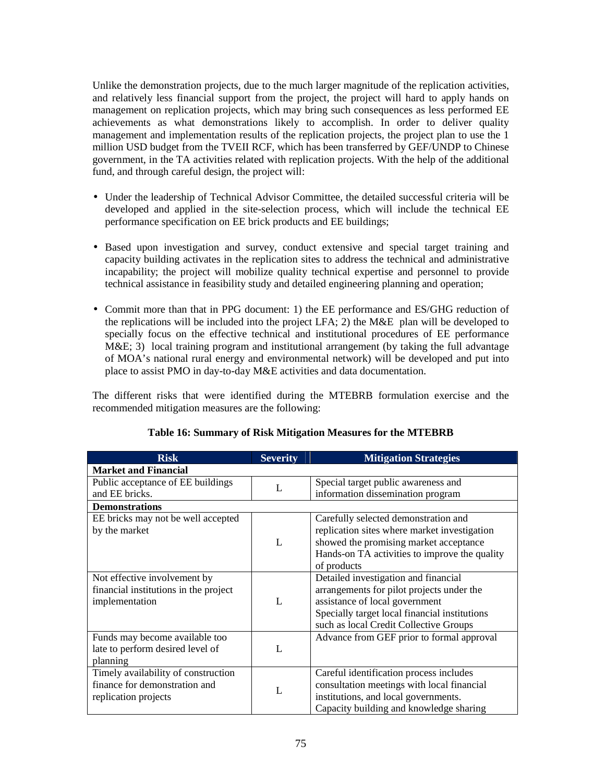Unlike the demonstration projects, due to the much larger magnitude of the replication activities, and relatively less financial support from the project, the project will hard to apply hands on management on replication projects, which may bring such consequences as less performed EE achievements as what demonstrations likely to accomplish. In order to deliver quality management and implementation results of the replication projects, the project plan to use the 1 million USD budget from the TVEII RCF, which has been transferred by GEF/UNDP to Chinese government, in the TA activities related with replication projects. With the help of the additional fund, and through careful design, the project will:

- Under the leadership of Technical Advisor Committee, the detailed successful criteria will be developed and applied in the site-selection process, which will include the technical EE performance specification on EE brick products and EE buildings;
- Based upon investigation and survey, conduct extensive and special target training and capacity building activates in the replication sites to address the technical and administrative incapability; the project will mobilize quality technical expertise and personnel to provide technical assistance in feasibility study and detailed engineering planning and operation;
- Commit more than that in PPG document: 1) the EE performance and ES/GHG reduction of the replications will be included into the project LFA; 2) the M&E plan will be developed to specially focus on the effective technical and institutional procedures of EE performance M&E; 3) local training program and institutional arrangement (by taking the full advantage of MOA's national rural energy and environmental network) will be developed and put into place to assist PMO in day-to-day M&E activities and data documentation.

The different risks that were identified during the MTEBRB formulation exercise and the recommended mitigation measures are the following:

| <b>Risk</b>                           | <b>Severity</b> | <b>Mitigation Strategies</b>                  |
|---------------------------------------|-----------------|-----------------------------------------------|
| <b>Market and Financial</b>           |                 |                                               |
| Public acceptance of EE buildings     | L               | Special target public awareness and           |
| and EE bricks.                        |                 | information dissemination program             |
| <b>Demonstrations</b>                 |                 |                                               |
| EE bricks may not be well accepted    |                 | Carefully selected demonstration and          |
| by the market                         |                 | replication sites where market investigation  |
|                                       | $\mathbf{I}$ .  | showed the promising market acceptance        |
|                                       |                 | Hands-on TA activities to improve the quality |
|                                       |                 | of products                                   |
| Not effective involvement by          |                 | Detailed investigation and financial          |
| financial institutions in the project |                 | arrangements for pilot projects under the     |
| implementation                        | $\mathbf{I}$ .  | assistance of local government                |
|                                       |                 | Specially target local financial institutions |
|                                       |                 | such as local Credit Collective Groups        |
| Funds may become available too        |                 | Advance from GEF prior to formal approval     |
| late to perform desired level of      | L               |                                               |
| planning                              |                 |                                               |
| Timely availability of construction   |                 | Careful identification process includes       |
| finance for demonstration and         |                 | consultation meetings with local financial    |
| replication projects                  |                 | institutions, and local governments.          |
|                                       |                 | Capacity building and knowledge sharing       |

### **Table 16: Summary of Risk Mitigation Measures for the MTEBRB**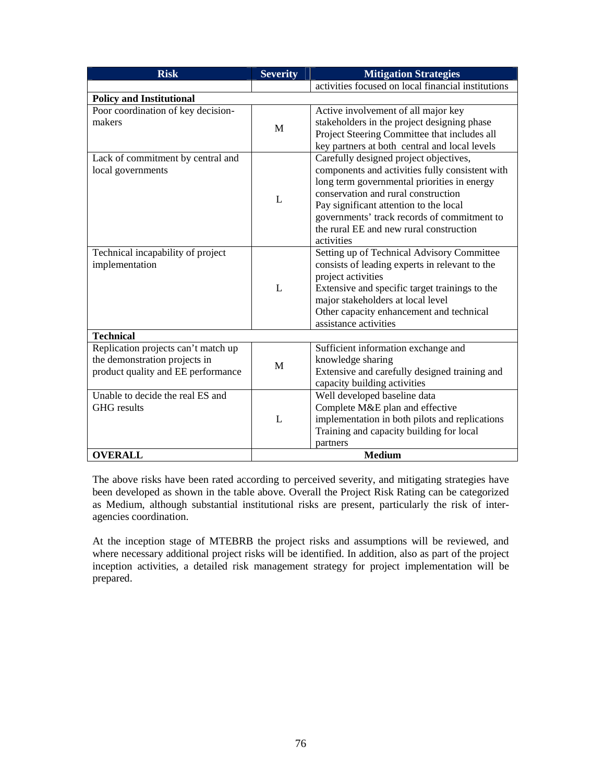| <b>Risk</b>                                                              | <b>Severity</b> | <b>Mitigation Strategies</b>                                                                                                                                                                                                                                                                                                      |
|--------------------------------------------------------------------------|-----------------|-----------------------------------------------------------------------------------------------------------------------------------------------------------------------------------------------------------------------------------------------------------------------------------------------------------------------------------|
|                                                                          |                 | activities focused on local financial institutions                                                                                                                                                                                                                                                                                |
| <b>Policy and Institutional</b>                                          |                 |                                                                                                                                                                                                                                                                                                                                   |
| Poor coordination of key decision-<br>makers                             | M               | Active involvement of all major key<br>stakeholders in the project designing phase<br>Project Steering Committee that includes all<br>key partners at both central and local levels                                                                                                                                               |
| Lack of commitment by central and<br>local governments                   | $\mathbf{L}$    | Carefully designed project objectives,<br>components and activities fully consistent with<br>long term governmental priorities in energy<br>conservation and rural construction<br>Pay significant attention to the local<br>governments' track records of commitment to<br>the rural EE and new rural construction<br>activities |
| Technical incapability of project<br>implementation                      | L               | Setting up of Technical Advisory Committee<br>consists of leading experts in relevant to the<br>project activities<br>Extensive and specific target trainings to the<br>major stakeholders at local level<br>Other capacity enhancement and technical<br>assistance activities                                                    |
| <b>Technical</b><br>Replication projects can't match up                  |                 | Sufficient information exchange and                                                                                                                                                                                                                                                                                               |
| the demonstration projects in<br>product quality and EE performance      | M               | knowledge sharing<br>Extensive and carefully designed training and<br>capacity building activities                                                                                                                                                                                                                                |
| Unable to decide the real ES and<br><b>GHG</b> results<br><b>OVERALL</b> | L               | Well developed baseline data<br>Complete M&E plan and effective<br>implementation in both pilots and replications<br>Training and capacity building for local<br>partners<br><b>Medium</b>                                                                                                                                        |
|                                                                          |                 |                                                                                                                                                                                                                                                                                                                                   |

The above risks have been rated according to perceived severity, and mitigating strategies have been developed as shown in the table above. Overall the Project Risk Rating can be categorized as Medium, although substantial institutional risks are present, particularly the risk of interagencies coordination.

At the inception stage of MTEBRB the project risks and assumptions will be reviewed, and where necessary additional project risks will be identified. In addition, also as part of the project inception activities, a detailed risk management strategy for project implementation will be prepared.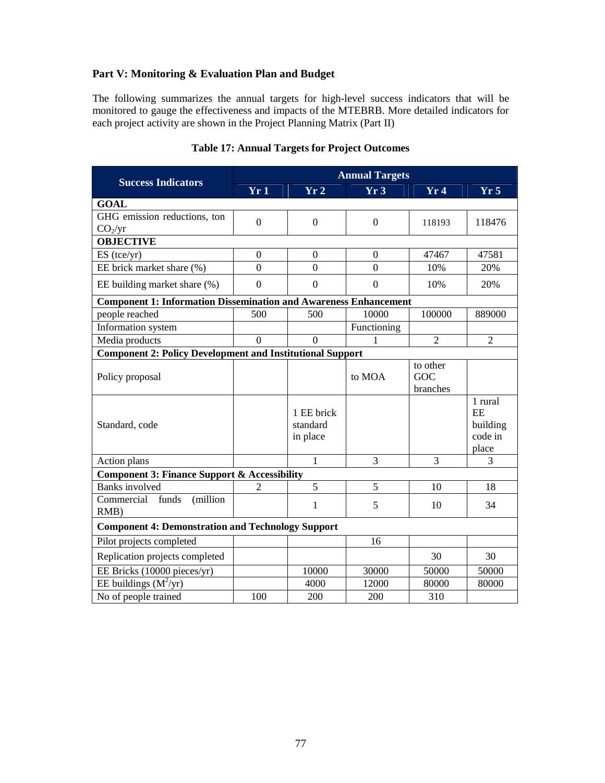### **Part V: Monitoring & Evaluation Plan and Budget**

The following summarizes the annual targets for high-level success indicators that will be monitored to gauge the effectiveness and impacts of the MTEBRB. More detailed indicators for each project activity are shown in the Project Planning Matrix (Part II)

|                                                                         | <b>Annual Targets</b> |                  |                  |                |                 |
|-------------------------------------------------------------------------|-----------------------|------------------|------------------|----------------|-----------------|
| <b>Success Indicators</b>                                               | Yr1                   | Yr2              | Yr3              | Yr4            | Yr <sub>5</sub> |
| <b>GOAL</b>                                                             |                       |                  |                  |                |                 |
| GHG emission reductions, ton                                            | $\overline{0}$        | $\overline{0}$   | $\overline{0}$   | 118193         | 118476          |
| CO <sub>2</sub> /yr                                                     |                       |                  |                  |                |                 |
| <b>OBJECTIVE</b>                                                        |                       |                  |                  |                |                 |
| $ES$ (tce/yr)                                                           | $\mathbf{0}$          | $\boldsymbol{0}$ | $\overline{0}$   | 47467          | 47581           |
| EE brick market share (%)                                               | $\theta$              | $\Omega$         | $\Omega$         | 10%            | 20%             |
| EE building market share (%)                                            | $\overline{0}$        | $\boldsymbol{0}$ | $\boldsymbol{0}$ | 10%            | 20%             |
| <b>Component 1: Information Dissemination and Awareness Enhancement</b> |                       |                  |                  |                |                 |
| people reached                                                          | 500                   | 500              | 10000            | 100000         | 889000          |
| Information system                                                      |                       |                  | Functioning      |                |                 |
| Media products                                                          | $\overline{0}$        | $\theta$         | 1                | $\overline{2}$ | $\overline{2}$  |
| <b>Component 2: Policy Development and Institutional Support</b>        |                       |                  |                  |                |                 |
|                                                                         |                       |                  |                  | to other       |                 |
| Policy proposal                                                         |                       |                  | to MOA           | GOC            |                 |
|                                                                         |                       |                  |                  | branches       |                 |
|                                                                         |                       | 1 EE brick       |                  |                | 1 rural<br>EE   |
| Standard, code                                                          |                       | standard         |                  |                | building        |
|                                                                         |                       | in place         |                  |                | code in         |
|                                                                         |                       |                  |                  |                | place           |
| Action plans                                                            |                       | $\mathbf{1}$     | 3                | $\overline{3}$ | 3               |
| <b>Component 3: Finance Support &amp; Accessibility</b>                 |                       |                  |                  |                |                 |
| <b>Banks</b> involved                                                   | $\overline{2}$        | 5                | 5                | 10             | 18              |
| Commercial<br>funds<br>(million                                         |                       | $\mathbf{1}$     | 5                | 10             | 34              |
| RMB)                                                                    |                       |                  |                  |                |                 |
| <b>Component 4: Demonstration and Technology Support</b>                |                       |                  |                  |                |                 |
| Pilot projects completed                                                |                       |                  | 16               |                |                 |
| Replication projects completed                                          |                       |                  |                  | 30             | 30              |
| EE Bricks (10000 pieces/yr)                                             |                       | 10000            | 30000            | 50000          | 50000           |
| EE buildings $(M^2/yr)$                                                 |                       | 4000             | 12000            | 80000          | 80000           |
| No of people trained                                                    | 100                   | 200              | 200              | 310            |                 |

### **Table 17: Annual Targets for Project Outcomes**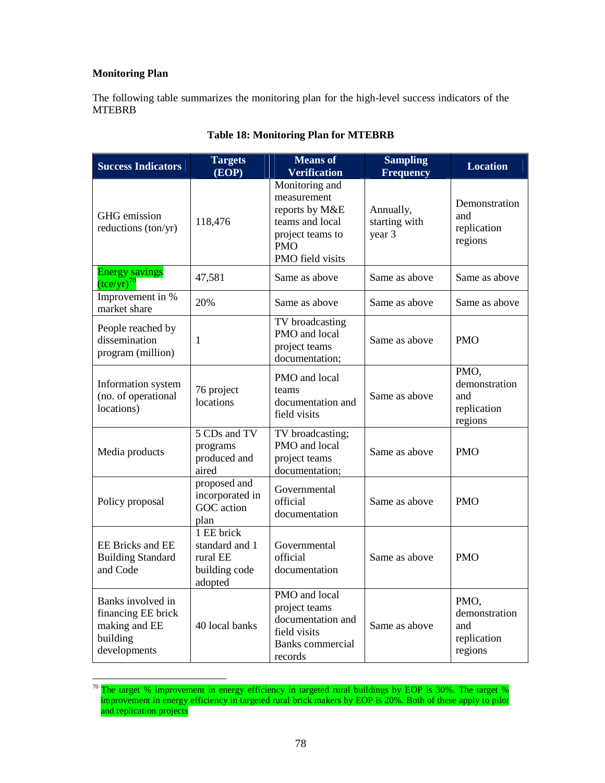### **Monitoring Plan**

The following table summarizes the monitoring plan for the high-level success indicators of the MTEBRB

| <b>Success Indicators</b>                                                            | <b>Targets</b><br>(EOP)                                              | <b>Means of</b><br><b>Verification</b>                                                                                   | <b>Sampling</b><br><b>Frequency</b>  | <b>Location</b>                                        |
|--------------------------------------------------------------------------------------|----------------------------------------------------------------------|--------------------------------------------------------------------------------------------------------------------------|--------------------------------------|--------------------------------------------------------|
| GHG emission<br>reductions (ton/yr)                                                  | 118,476                                                              | Monitoring and<br>measurement<br>reports by M&E<br>teams and local<br>project teams to<br><b>PMO</b><br>PMO field visits | Annually,<br>starting with<br>year 3 | Demonstration<br>and<br>replication<br>regions         |
| <b>Energy savings</b><br>$(\text{tce/yr})^{70}$                                      | 47,581                                                               | Same as above                                                                                                            | Same as above                        | Same as above                                          |
| Improvement in %<br>market share                                                     | 20%                                                                  | Same as above                                                                                                            | Same as above                        | Same as above                                          |
| People reached by<br>dissemination<br>program (million)                              | $\mathbf{1}$                                                         | TV broadcasting<br>PMO and local<br>project teams<br>documentation;                                                      | Same as above                        | <b>PMO</b>                                             |
| Information system<br>(no. of operational<br>locations)                              | 76 project<br>locations                                              | PMO and local<br>teams<br>documentation and<br>field visits                                                              | Same as above                        | PMO,<br>demonstration<br>and<br>replication<br>regions |
| Media products                                                                       | 5 CDs and TV<br>programs<br>produced and<br>aired                    | TV broadcasting;<br>PMO and local<br>project teams<br>documentation;                                                     | Same as above                        | <b>PMO</b>                                             |
| Policy proposal                                                                      | proposed and<br>incorporated in<br>GOC action<br>plan                | Governmental<br>official<br>documentation                                                                                | Same as above                        | <b>PMO</b>                                             |
| <b>EE Bricks and EE</b><br><b>Building Standard</b><br>and Code                      | 1 EE brick<br>standard and 1<br>rural EE<br>building code<br>adopted | Governmental<br>official<br>documentation                                                                                | Same as above                        | <b>PMO</b>                                             |
| Banks involved in<br>financing EE brick<br>making and EE<br>building<br>developments | 40 local banks                                                       | PMO and local<br>project teams<br>documentation and<br>field visits<br><b>Banks</b> commercial<br>records                | Same as above                        | PMO,<br>demonstration<br>and<br>replication<br>regions |

## **Table 18: Monitoring Plan for MTEBRB**

 $\overline{a}$ <sup>70</sup> The target % improvement in energy efficiency in targeted rural buildings by EOP is 30%. The target % improvement in energy efficiency in targeted rural brick makers by EOP is 20%. Both of these apply to pilot and replication projects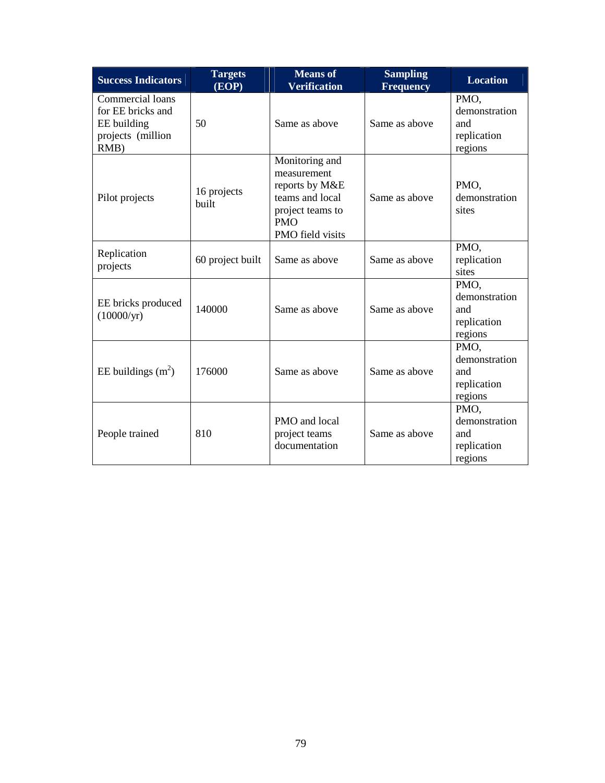| <b>Success Indicators</b>                                                            | <b>Targets</b><br>(EOP)     | <b>Means of</b><br><b>Verification</b>                                                                                   | <b>Sampling</b><br><b>Frequency</b> | <b>Location</b>                                        |
|--------------------------------------------------------------------------------------|-----------------------------|--------------------------------------------------------------------------------------------------------------------------|-------------------------------------|--------------------------------------------------------|
| Commercial loans<br>for EE bricks and<br>EE building<br>projects (million<br>$RMB$ ) | 50                          | Same as above                                                                                                            | Same as above                       | PMO,<br>demonstration<br>and<br>replication<br>regions |
| Pilot projects                                                                       | 16 projects<br><b>built</b> | Monitoring and<br>measurement<br>reports by M&E<br>teams and local<br>project teams to<br><b>PMO</b><br>PMO field visits | Same as above                       | PMO,<br>demonstration<br>sites                         |
| Replication<br>projects                                                              | 60 project built            | Same as above                                                                                                            | Same as above                       | PMO,<br>replication<br>sites                           |
| EE bricks produced<br>(10000/yr)                                                     | 140000                      | Same as above                                                                                                            | Same as above                       | PMO,<br>demonstration<br>and<br>replication<br>regions |
| EE buildings $(m2)$                                                                  | 176000                      | Same as above                                                                                                            | Same as above                       | PMO.<br>demonstration<br>and<br>replication<br>regions |
| People trained                                                                       | 810                         | PMO and local<br>project teams<br>documentation                                                                          | Same as above                       | PMO,<br>demonstration<br>and<br>replication<br>regions |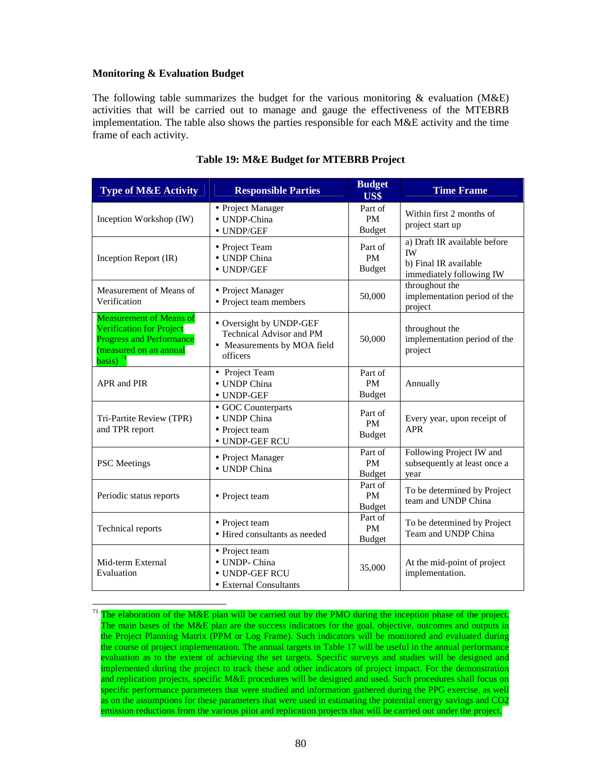### **Monitoring & Evaluation Budget**

 $\overline{a}$ 

The following table summarizes the budget for the various monitoring  $\&$  evaluation (M&E) activities that will be carried out to manage and gauge the effectiveness of the MTEBRB implementation. The table also shows the parties responsible for each M&E activity and the time frame of each activity.

| <b>Type of M&amp;E Activity</b>                                                                                                                                    | <b>Responsible Parties</b>                                                                            | <b>Budget</b><br>US\$                 | <b>Time Frame</b>                                                                              |
|--------------------------------------------------------------------------------------------------------------------------------------------------------------------|-------------------------------------------------------------------------------------------------------|---------------------------------------|------------------------------------------------------------------------------------------------|
| Inception Workshop (IW)                                                                                                                                            | • Project Manager<br>• UNDP-China<br>$\bullet$ UNDP/GEF                                               | Part of<br><b>PM</b><br><b>Budget</b> | Within first 2 months of<br>project start up                                                   |
| Inception Report (IR)                                                                                                                                              | • Project Team<br>• UNDP China<br>$\bullet$ UNDP/GEF                                                  | Part of<br>PM<br><b>Budget</b>        | a) Draft IR available before<br><b>IW</b><br>b) Final IR available<br>immediately following IW |
| Measurement of Means of<br>Verification                                                                                                                            | • Project Manager<br>• Project team members                                                           | 50,000                                | throughout the<br>implementation period of the<br>project                                      |
| <b>Measurement of Means of</b><br><b>Verification for Project</b><br><b>Progress and Performance</b><br>(measured on an annual<br>$\overline{basis}$ <sup>71</sup> | • Oversight by UNDP-GEF<br><b>Technical Advisor and PM</b><br>• Measurements by MOA field<br>officers | 50,000                                | throughout the<br>implementation period of the<br>project                                      |
| APR and PIR                                                                                                                                                        | • Project Team<br>• UNDP China<br>• UNDP-GEF                                                          | Part of<br><b>PM</b><br><b>Budget</b> | Annually                                                                                       |
| Tri-Partite Review (TPR)<br>and TPR report                                                                                                                         | • GOC Counterparts<br>• UNDP China<br>• Project team<br>· UNDP-GEF RCU                                | Part of<br><b>PM</b><br><b>Budget</b> | Every year, upon receipt of<br><b>APR</b>                                                      |
| <b>PSC</b> Meetings                                                                                                                                                | • Project Manager<br>• UNDP China                                                                     | Part of<br><b>PM</b><br><b>Budget</b> | Following Project IW and<br>subsequently at least once a<br>year                               |
| Periodic status reports                                                                                                                                            | • Project team                                                                                        | Part of<br><b>PM</b><br><b>Budget</b> | To be determined by Project<br>team and UNDP China                                             |
| Technical reports                                                                                                                                                  | • Project team<br>• Hired consultants as needed                                                       | Part of<br><b>PM</b><br><b>Budget</b> | To be determined by Project<br>Team and UNDP China                                             |
| Mid-term External<br>Evaluation                                                                                                                                    | • Project team<br>• UNDP- China<br>• UNDP-GEF RCU<br>• External Consultants                           | 35,000                                | At the mid-point of project<br>implementation.                                                 |

#### **Table 19: M&E Budget for MTEBRB Project**

 $71$  The elaboration of the M&E plan will be carried out by the PMO during the inception phase of the project. The main bases of the M&E plan are the success indicators for the goal, objective, outcomes and outputs in the Project Planning Matrix (PPM or Log Frame). Such indicators will be monitored and evaluated during the course of project implementation. The annual targets in Table 17 will be useful in the annual performance evaluation as to the extent of achieving the set targets. Specific surveys and studies will be designed and implemented during the project to track these and other indicators of project impact. For the demonstration and replication projects, specific M&E procedures will be designed and used. Such procedures shall focus on specific performance parameters that were studied and information gathered during the PPG exercise, as well as on the assumptions for these parameters that were used in estimating the potential energy savings and CO2 emission reductions from the various pilot and replication projects that will be carried out under the project.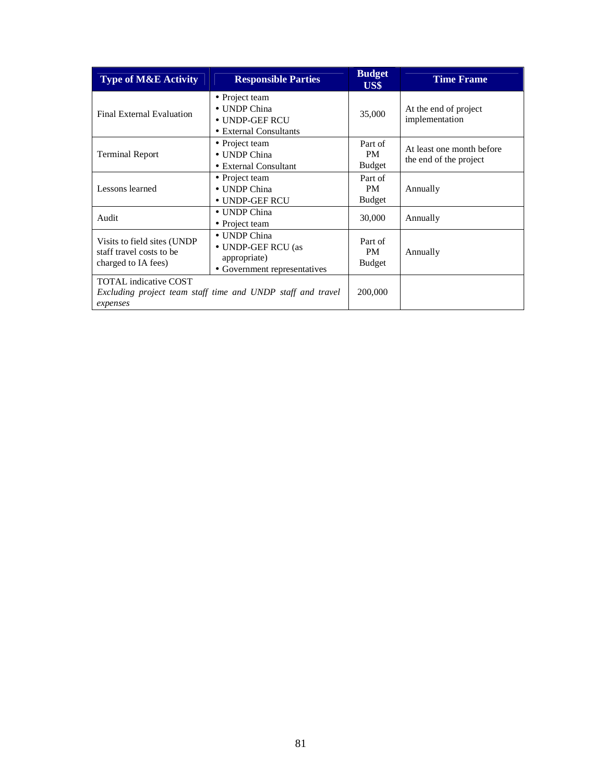| <b>Type of M&amp;E Activity</b>                                                                         | <b>Responsible Parties</b>                                                         | <b>Budget</b><br>US\$                 | <b>Time Frame</b>                                   |
|---------------------------------------------------------------------------------------------------------|------------------------------------------------------------------------------------|---------------------------------------|-----------------------------------------------------|
| Final External Evaluation                                                                               | • Project team<br>• UNDP China<br>• UNDP-GEF RCU<br>• External Consultants         | 35,000                                | At the end of project<br>implementation             |
| <b>Terminal Report</b>                                                                                  | • Project team<br>• UNDP China<br>• External Consultant                            | Part of<br>PM.<br><b>Budget</b>       | At least one month before<br>the end of the project |
| Lessons learned                                                                                         | • Project team<br>• UNDP China<br>• UNDP-GEF RCU                                   | Part of<br><b>PM</b><br><b>Budget</b> | Annually                                            |
| Audit                                                                                                   | • UNDP China<br>• Project team                                                     | 30,000                                | Annually                                            |
| Visits to field sites (UNDP)<br>staff travel costs to be<br>charged to IA fees)                         | • UNDP China<br>• UNDP-GEF RCU (as<br>appropriate)<br>• Government representatives | Part of<br><b>PM</b><br><b>Budget</b> | Annually                                            |
| <b>TOTAL</b> indicative COST<br>Excluding project team staff time and UNDP staff and travel<br>expenses |                                                                                    | 200,000                               |                                                     |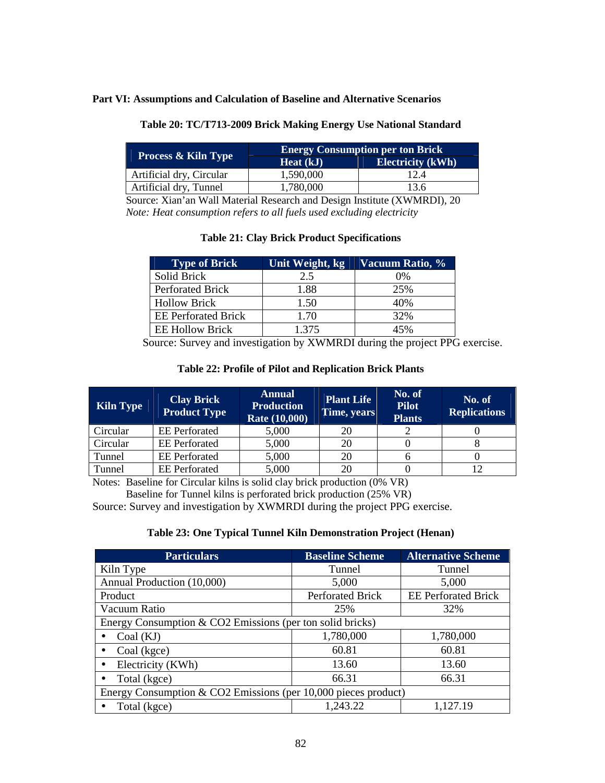#### **Part VI: Assumptions and Calculation of Baseline and Alternative Scenarios**

| <b>Process &amp; Kiln Type</b> | <b>Energy Consumption per ton Brick</b> |                          |  |  |
|--------------------------------|-----------------------------------------|--------------------------|--|--|
|                                | Heat (kJ)                               | <b>Electricity</b> (kWh) |  |  |
| Artificial dry, Circular       | 1,590,000                               | 12.4                     |  |  |
| Artificial dry, Tunnel         | 1,780,000                               | 13.6                     |  |  |

### **Table 20: TC/T713-2009 Brick Making Energy Use National Standard**

 Source: Xian'an Wall Material Research and Design Institute (XWMRDI), 20  *Note: Heat consumption refers to all fuels used excluding electricity* 

### **Table 21: Clay Brick Product Specifications**

| <b>Type of Brick</b>       | Unit Weight, kg | Vacuum Ratio, % |
|----------------------------|-----------------|-----------------|
| Solid Brick                | 2.5             | 0%              |
| <b>Perforated Brick</b>    | 1.88            | 25%             |
| <b>Hollow Brick</b>        | 1.50            | 40%             |
| <b>EE</b> Perforated Brick | 1.70            | 32%             |
| <b>EE Hollow Brick</b>     | 1.375           | 45%             |

Source: Survey and investigation by XWMRDI during the project PPG exercise.

| Table 22: Profile of Pilot and Replication Brick Plants |  |
|---------------------------------------------------------|--|
|---------------------------------------------------------|--|

| Kiln Type | <b>Clay Brick</b><br><b>Product Type</b> | <b>Annual</b><br><b>Production</b><br>Rate (10,000) | <b>Plant Life</b><br>Time, years | No. of<br><b>Pilot</b><br><b>Plants</b> | No. of<br><b>Replications</b> |
|-----------|------------------------------------------|-----------------------------------------------------|----------------------------------|-----------------------------------------|-------------------------------|
| Circular  | <b>EE</b> Perforated                     | 5,000                                               | 20                               |                                         |                               |
| Circular  | <b>EE</b> Perforated                     | 5,000                                               | 20                               |                                         |                               |
| Tunnel    | <b>EE</b> Perforated                     | 5,000                                               | 20                               |                                         |                               |
| Tunnel    | <b>EE</b> Perforated                     | 5,000                                               | 20                               |                                         |                               |

Notes: Baseline for Circular kilns is solid clay brick production (0% VR)

Baseline for Tunnel kilns is perforated brick production (25% VR)

Source: Survey and investigation by XWMRDI during the project PPG exercise.

### **Table 23: One Typical Tunnel Kiln Demonstration Project (Henan)**

| <b>Particulars</b>                                               | <b>Baseline Scheme</b> | <b>Alternative Scheme</b>  |  |
|------------------------------------------------------------------|------------------------|----------------------------|--|
| Kiln Type                                                        | Tunnel                 | Tunnel                     |  |
| Annual Production (10,000)                                       | 5,000                  | 5,000                      |  |
| Product                                                          | Perforated Brick       | <b>EE</b> Perforated Brick |  |
| Vacuum Ratio                                                     | 25%                    | 32%                        |  |
| Energy Consumption $& CO2$ Emissions (per ton solid bricks)      |                        |                            |  |
| Coal (KJ)                                                        | 1,780,000<br>1,780,000 |                            |  |
| Coal (kgce)                                                      | 60.81                  | 60.81                      |  |
| Electricity (KWh)                                                | 13.60                  | 13.60                      |  |
| Total (kgce)                                                     | 66.31                  | 66.31                      |  |
| Energy Consumption & CO2 Emissions (per $10,000$ pieces product) |                        |                            |  |
| Total (kgce)                                                     | 1,243.22               | 1,127.19                   |  |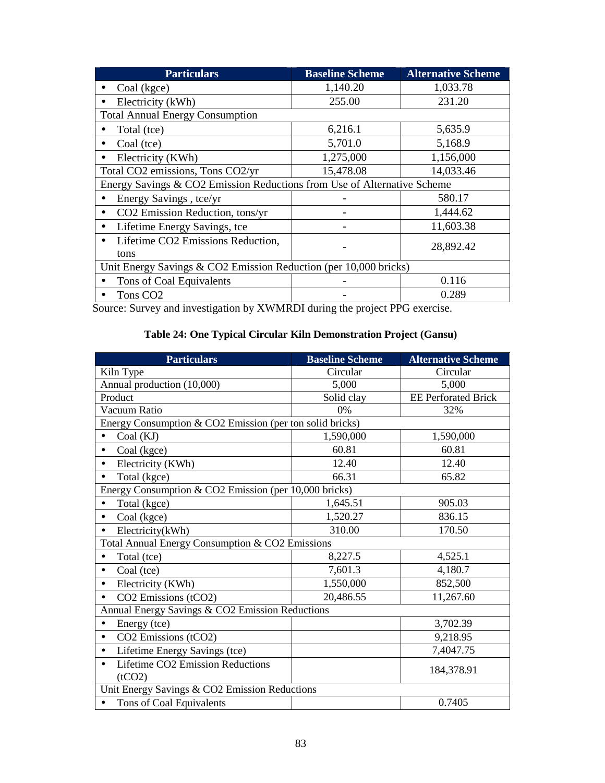| <b>Particulars</b>                                                      | <b>Baseline Scheme</b> | <b>Alternative Scheme</b> |  |  |
|-------------------------------------------------------------------------|------------------------|---------------------------|--|--|
| Coal (kgce)                                                             | 1,140.20               | 1,033.78                  |  |  |
| Electricity (kWh)                                                       | 255.00                 | 231.20                    |  |  |
| <b>Total Annual Energy Consumption</b>                                  |                        |                           |  |  |
| Total (tce)                                                             | 6,216.1                | 5,635.9                   |  |  |
| Coal (tce)                                                              | 5,701.0                | 5,168.9                   |  |  |
| Electricity (KWh)                                                       | 1,275,000              | 1,156,000                 |  |  |
| Total CO2 emissions, Tons CO2/yr                                        | 15,478.08              | 14,033.46                 |  |  |
| Energy Savings & CO2 Emission Reductions from Use of Alternative Scheme |                        |                           |  |  |
| Energy Savings, tce/yr                                                  |                        | 580.17                    |  |  |
| CO2 Emission Reduction, tons/yr                                         |                        | 1,444.62                  |  |  |
| Lifetime Energy Savings, tce                                            |                        | 11,603.38                 |  |  |
| Lifetime CO2 Emissions Reduction,                                       |                        | 28,892.42                 |  |  |
| tons                                                                    |                        |                           |  |  |
| Unit Energy Savings & CO2 Emission Reduction (per 10,000 bricks)        |                        |                           |  |  |
| Tons of Coal Equivalents                                                |                        | 0.116                     |  |  |
| Tons CO <sub>2</sub>                                                    |                        | 0.289                     |  |  |

Source: Survey and investigation by XWMRDI during the project PPG exercise.

# **Table 24: One Typical Circular Kiln Demonstration Project (Gansu)**

| <b>Particulars</b>                                                 | <b>Baseline Scheme</b> | <b>Alternative Scheme</b>  |  |  |
|--------------------------------------------------------------------|------------------------|----------------------------|--|--|
| Kiln Type                                                          | Circular               | Circular                   |  |  |
| Annual production (10,000)                                         | 5,000                  | 5,000                      |  |  |
| Product                                                            | Solid clay             | <b>EE Perforated Brick</b> |  |  |
| Vacuum Ratio                                                       | 0%                     | 32%                        |  |  |
| Energy Consumption & CO2 Emission (per ton solid bricks)           |                        |                            |  |  |
| Coal (KJ)                                                          | 1,590,000              | 1,590,000                  |  |  |
| Coal (kgce)<br>$\bullet$                                           | 60.81                  | 60.81                      |  |  |
| Electricity (KWh)<br>$\bullet$                                     | 12.40                  | 12.40                      |  |  |
| Total (kgce)                                                       | 66.31                  | 65.82                      |  |  |
| Energy Consumption & CO2 Emission (per $\overline{10,000}$ bricks) |                        |                            |  |  |
| Total (kgce)                                                       | 1,645.51               | 905.03                     |  |  |
| Coal (kgce)<br>$\bullet$                                           | 1,520.27               | 836.15                     |  |  |
| Electricity(kWh)<br>$\bullet$                                      | 310.00                 | 170.50                     |  |  |
| Total Annual Energy Consumption & CO2 Emissions                    |                        |                            |  |  |
| Total (tce)                                                        | 8,227.5                | 4,525.1                    |  |  |
| Coal (tce)<br>$\bullet$                                            | 7,601.3                | 4,180.7                    |  |  |
| Electricity (KWh)<br>$\bullet$                                     | 1,550,000              | 852,500                    |  |  |
| CO2 Emissions (tCO2)                                               | 20,486.55              | 11,267.60                  |  |  |
| Annual Energy Savings & CO2 Emission Reductions                    |                        |                            |  |  |
| Energy (tce)                                                       |                        | 3,702.39                   |  |  |
| CO2 Emissions (tCO2)<br>$\bullet$                                  |                        | 9,218.95                   |  |  |
| Lifetime Energy Savings (tce)<br>$\bullet$                         |                        | 7,4047.75                  |  |  |
| Lifetime CO2 Emission Reductions<br>(tCO2)                         |                        | 184,378.91                 |  |  |
| Unit Energy Savings & CO2 Emission Reductions                      |                        |                            |  |  |
| Tons of Coal Equivalents                                           |                        | 0.7405                     |  |  |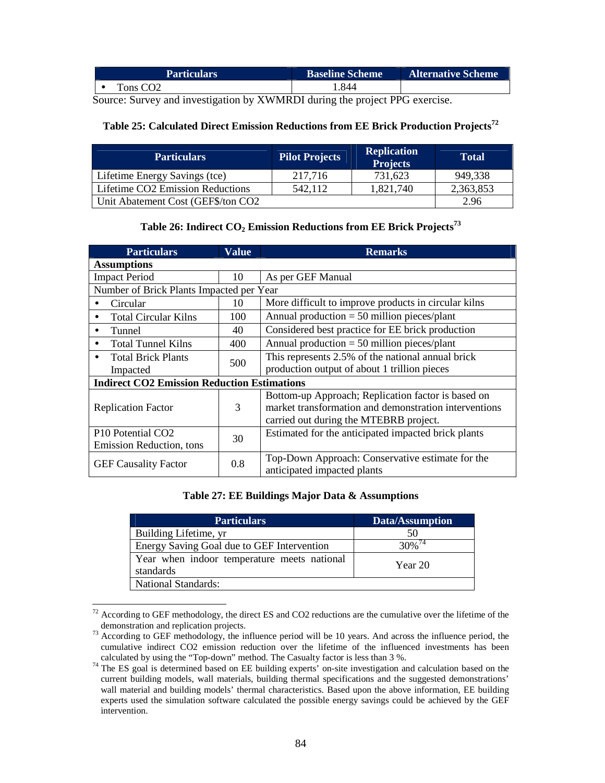| <b>Particulars</b> | <b>Baseline Scheme</b> | <b>Alternative Scheme</b> |
|--------------------|------------------------|---------------------------|
| `ons CO2           | .844                   |                           |

Source: Survey and investigation by XWMRDI during the project PPG exercise.

## **Table 25: Calculated Direct Emission Reductions from EE Brick Production Projects<sup>72</sup>**

| <b>Particulars</b>                 | <b>Pilot Projects</b> | <b>Replication</b><br><b>Projects</b> | <b>Total</b> |
|------------------------------------|-----------------------|---------------------------------------|--------------|
| Lifetime Energy Savings (tce)      | 217,716               | 731,623                               | 949,338      |
| Lifetime CO2 Emission Reductions   | 542,112               | 1,821,740                             | 2,363,853    |
| Unit Abatement Cost (GEF\$/ton CO2 |                       |                                       | 2.96         |

### **Table 26: Indirect CO2 Emission Reductions from EE Brick Projects<sup>73</sup>**

| <b>Particulars</b>                                 | <b>Value</b> | <b>Remarks</b>                                        |
|----------------------------------------------------|--------------|-------------------------------------------------------|
| <b>Assumptions</b>                                 |              |                                                       |
| <b>Impact Period</b>                               | 10           | As per GEF Manual                                     |
| Number of Brick Plants Impacted per Year           |              |                                                       |
| Circular                                           | 10           | More difficult to improve products in circular kilns  |
| <b>Total Circular Kilns</b><br>$\bullet$           | 100          | Annual production $= 50$ million pieces/plant         |
| Tunnel<br>$\bullet$                                | 40           | Considered best practice for EE brick production      |
| <b>Total Tunnel Kilns</b><br>$\bullet$             | 400          | Annual production $= 50$ million pieces/plant         |
| <b>Total Brick Plants</b><br>$\bullet$             |              | This represents 2.5% of the national annual brick     |
| Impacted                                           | 500          | production output of about 1 trillion pieces          |
| <b>Indirect CO2 Emission Reduction Estimations</b> |              |                                                       |
|                                                    |              | Bottom-up Approach; Replication factor is based on    |
| <b>Replication Factor</b>                          | 3            | market transformation and demonstration interventions |
|                                                    |              | carried out during the MTEBRB project.                |
| P <sub>10</sub> Potential CO <sub>2</sub>          | 30           | Estimated for the anticipated impacted brick plants   |
| Emission Reduction, tons                           |              |                                                       |
| 0.8                                                |              | Top-Down Approach: Conservative estimate for the      |
| <b>GEF Causality Factor</b>                        |              | anticipated impacted plants                           |

### **Table 27: EE Buildings Major Data & Assumptions**

| <b>Particulars</b>                                       | <b>Data/Assumption</b> |
|----------------------------------------------------------|------------------------|
| Building Lifetime, yr                                    | 50                     |
| Energy Saving Goal due to GEF Intervention               | $30\%$ <sup>74</sup>   |
| Year when indoor temperature meets national<br>standards | Year 20                |
| <b>National Standards:</b>                               |                        |

 $\overline{a}$  $72$  According to GEF methodology, the direct ES and CO2 reductions are the cumulative over the lifetime of the demonstration and replication projects.

 $73$  According to GEF methodology, the influence period will be 10 years. And across the influence period, the cumulative indirect CO2 emission reduction over the lifetime of the influenced investments has been calculated by using the "Top-down" method. The Casualty factor is less than 3 %.

<sup>&</sup>lt;sup>74</sup> The ES goal is determined based on EE building experts' on-site investigation and calculation based on the current building models, wall materials, building thermal specifications and the suggested demonstrations' wall material and building models' thermal characteristics. Based upon the above information, EE building experts used the simulation software calculated the possible energy savings could be achieved by the GEF intervention.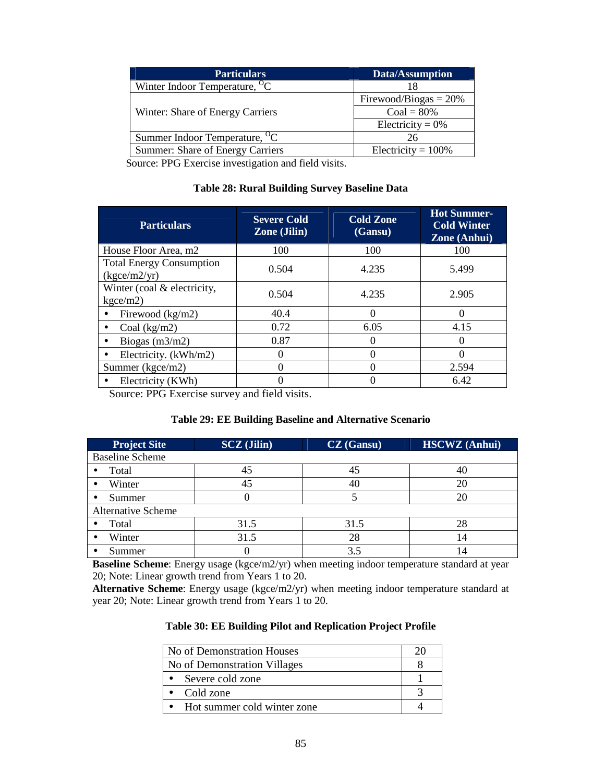| <b>Particulars</b>                        | Data/Assumption          |
|-------------------------------------------|--------------------------|
| Winter Indoor Temperature, <sup>O</sup> C |                          |
|                                           | Firewood/Biogas = $20\%$ |
| Winter: Share of Energy Carriers          | $Coal = 80\%$            |
|                                           | Electricity = $0\%$      |
| Summer Indoor Temperature, <sup>O</sup> C | 26                       |
| Summer: Share of Energy Carriers          | Electricity = $100\%$    |

Source: PPG Exercise investigation and field visits.

### **Table 28: Rural Building Survey Baseline Data**

| <b>Particulars</b>                                       | <b>Severe Cold</b><br><b>Zone</b> (Jilin) | <b>Cold Zone</b><br>(Gansu) | <b>Hot Summer-</b><br><b>Cold Winter</b><br>Zone (Anhui) |
|----------------------------------------------------------|-------------------------------------------|-----------------------------|----------------------------------------------------------|
| House Floor Area, m2                                     | 100                                       | 100                         | 100                                                      |
| <b>Total Energy Consumption</b><br>$(k\text{gce/m2/yr})$ | 0.504                                     | 4.235                       | 5.499                                                    |
| Winter (coal & electricity,<br>kgce/m2)                  | 0.504                                     | 4.235                       | 2.905                                                    |
| Firewood (kg/m2)                                         | 40.4                                      | $\Omega$                    | $\Omega$                                                 |
| Coal $(kg/m2)$                                           | 0.72                                      | 6.05                        | 4.15                                                     |
| Biogas $(m3/m2)$                                         | 0.87                                      |                             |                                                          |
| Electricity. (kWh/m2)                                    |                                           | 0                           |                                                          |
| Summer (kgce/m2)                                         |                                           | $\Omega$                    | 2.594                                                    |
| Electricity (KWh)                                        |                                           |                             | 6.42                                                     |

Source: PPG Exercise survey and field visits.

### **Table 29: EE Building Baseline and Alternative Scenario**

| <b>Project Site</b>       | <b>SCZ</b> (Jilin) | <b>CZ</b> (Gansu) | <b>HSCWZ</b> (Anhui) |
|---------------------------|--------------------|-------------------|----------------------|
| <b>Baseline Scheme</b>    |                    |                   |                      |
| Total                     | 45                 | 45                |                      |
| Winter                    | 45                 | 40                | 20                   |
| Summer                    |                    |                   | 20                   |
| <b>Alternative Scheme</b> |                    |                   |                      |
| Total                     | 31.5               | 31.5              | 28                   |
| Winter                    | 31.5               | 28                | $\overline{4}$       |
| Summer                    |                    | 3.5               |                      |

**Baseline Scheme**: Energy usage (kgce/m2/yr) when meeting indoor temperature standard at year 20; Note: Linear growth trend from Years 1 to 20.

**Alternative Scheme**: Energy usage (kgce/m2/yr) when meeting indoor temperature standard at year 20; Note: Linear growth trend from Years 1 to 20.

| No of Demonstration Houses   |  |  |  |
|------------------------------|--|--|--|
| No of Demonstration Villages |  |  |  |
| • Severe cold zone           |  |  |  |
| Cold zone                    |  |  |  |
| Hot summer cold winter zone  |  |  |  |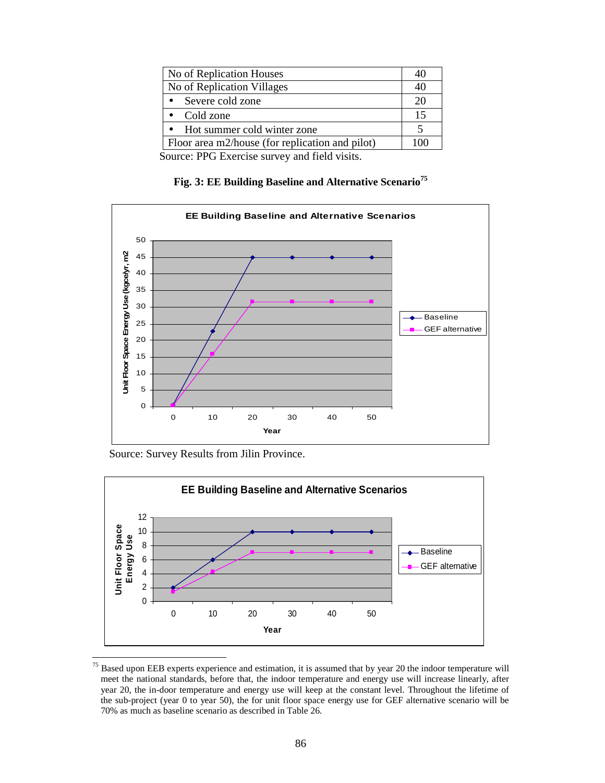| No of Replication Houses                        |    |
|-------------------------------------------------|----|
| No of Replication Villages                      |    |
| Severe cold zone                                |    |
| Cold zone                                       | 15 |
| Hot summer cold winter zone                     |    |
| Floor area m2/house (for replication and pilot) |    |

Source: PPG Exercise survey and field visits.

## **Fig. 3: EE Building Baseline and Alternative Scenario<sup>75</sup>**



Source: Survey Results from Jilin Province.



<sup>&</sup>lt;sup>75</sup> Based upon EEB experts experience and estimation, it is assumed that by year 20 the indoor temperature will meet the national standards, before that, the indoor temperature and energy use will increase linearly, after year 20, the in-door temperature and energy use will keep at the constant level. Throughout the lifetime of the sub-project (year 0 to year 50), the for unit floor space energy use for GEF alternative scenario will be 70% as much as baseline scenario as described in Table 26.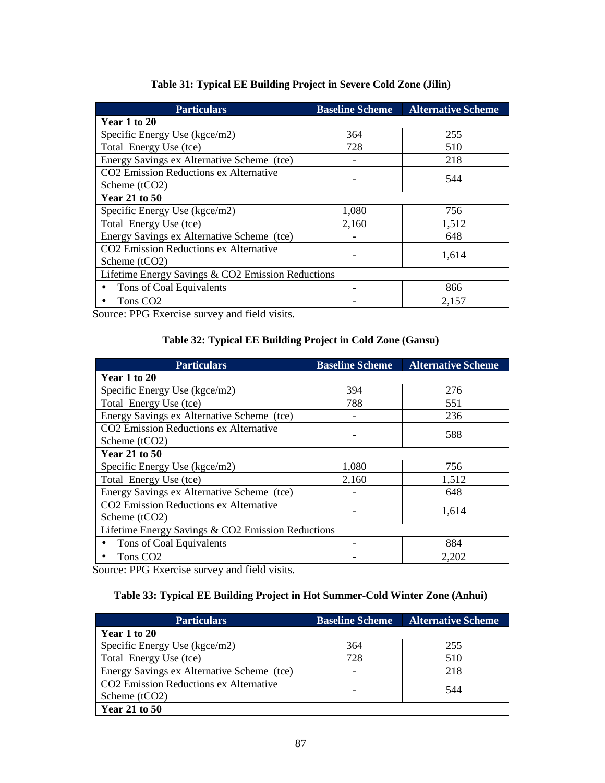| <b>Particulars</b>                                 | <b>Baseline Scheme</b> | <b>Alternative Scheme</b> |  |  |  |
|----------------------------------------------------|------------------------|---------------------------|--|--|--|
| Year 1 to 20                                       |                        |                           |  |  |  |
| Specific Energy Use (kgce/m2)                      | 364                    | 255                       |  |  |  |
| Total Energy Use (tce)                             | 728                    | 510                       |  |  |  |
| Energy Savings ex Alternative Scheme (tce)         |                        | 218                       |  |  |  |
| CO2 Emission Reductions ex Alternative             |                        | 544                       |  |  |  |
| Scheme (tCO2)                                      |                        |                           |  |  |  |
| <b>Year 21 to 50</b>                               |                        |                           |  |  |  |
| Specific Energy Use (kgce/m2)                      | 1,080                  | 756                       |  |  |  |
| Total Energy Use (tce)                             | 2,160                  | 1,512                     |  |  |  |
| Energy Savings ex Alternative Scheme (tce)         |                        | 648                       |  |  |  |
| CO <sub>2</sub> Emission Reductions ex Alternative |                        |                           |  |  |  |
| 1,614<br>Scheme (tCO2)                             |                        |                           |  |  |  |
| Lifetime Energy Savings & CO2 Emission Reductions  |                        |                           |  |  |  |
| Tons of Coal Equivalents                           |                        | 866                       |  |  |  |
| Tons CO <sub>2</sub>                               |                        | 2.157                     |  |  |  |

Source: PPG Exercise survey and field visits.

## **Table 32: Typical EE Building Project in Cold Zone (Gansu)**

| <b>Particulars</b>                                 | <b>Baseline Scheme</b> | <b>Alternative Scheme</b> |  |  |  |  |
|----------------------------------------------------|------------------------|---------------------------|--|--|--|--|
| Year 1 to 20                                       |                        |                           |  |  |  |  |
| Specific Energy Use (kgce/m2)                      | 394                    | 276                       |  |  |  |  |
| Total Energy Use (tce)                             | 788                    | 551                       |  |  |  |  |
| Energy Savings ex Alternative Scheme (tce)         |                        | 236                       |  |  |  |  |
| CO <sub>2</sub> Emission Reductions ex Alternative |                        | 588                       |  |  |  |  |
| Scheme (tCO2)                                      |                        |                           |  |  |  |  |
| <b>Year 21 to 50</b>                               |                        |                           |  |  |  |  |
| Specific Energy Use $(kgce/m2)$                    | 1,080                  | 756                       |  |  |  |  |
| Total Energy Use (tce)                             | 2,160                  | 1,512                     |  |  |  |  |
| Energy Savings ex Alternative Scheme (tce)         |                        | 648                       |  |  |  |  |
| CO <sub>2</sub> Emission Reductions ex Alternative |                        | 1,614                     |  |  |  |  |
| Scheme (tCO2)                                      |                        |                           |  |  |  |  |
| Lifetime Energy Savings & CO2 Emission Reductions  |                        |                           |  |  |  |  |
| Tons of Coal Equivalents                           |                        | 884                       |  |  |  |  |
| Tons CO <sub>2</sub>                               |                        | 2,202                     |  |  |  |  |

Source: PPG Exercise survey and field visits.

## **Table 33: Typical EE Building Project in Hot Summer-Cold Winter Zone (Anhui)**

| <b>Particulars</b>                         | <b>Baseline Scheme</b> | <b>Alternative Scheme</b> |
|--------------------------------------------|------------------------|---------------------------|
| Year 1 to 20                               |                        |                           |
| Specific Energy Use (kgce/m2)              | 364                    | 255                       |
| Total Energy Use (tce)                     | 728                    | 510                       |
| Energy Savings ex Alternative Scheme (tce) |                        | 218                       |
| CO2 Emission Reductions ex Alternative     |                        | 544                       |
| Scheme $(tCO2)$                            |                        |                           |
| <b>Year 21 to 50</b>                       |                        |                           |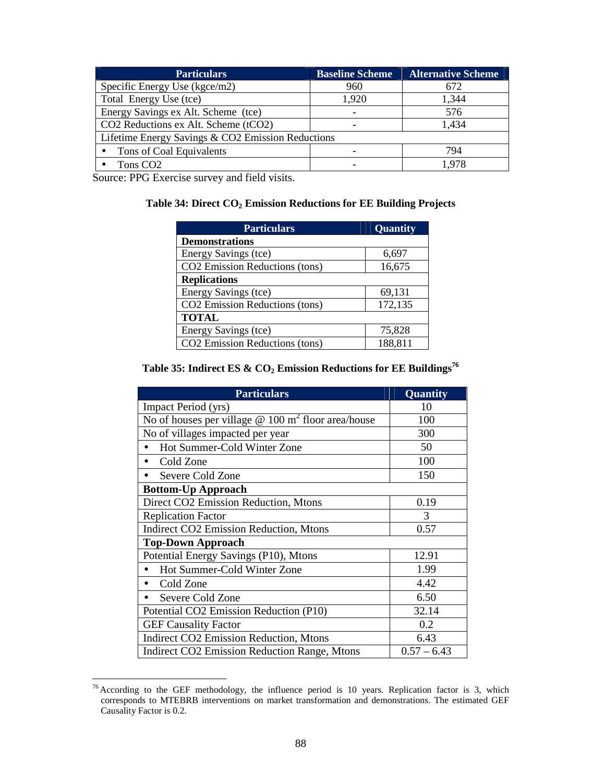| <b>Particulars</b>                                | <b>Baseline Scheme</b> | <b>Alternative Scheme</b> |  |  |  |
|---------------------------------------------------|------------------------|---------------------------|--|--|--|
| Specific Energy Use $(kgce/m2)$                   | 960                    | 672                       |  |  |  |
| Total Energy Use (tce)                            | 1,920                  | 1,344                     |  |  |  |
| Energy Savings ex Alt. Scheme (tce)               |                        | 576                       |  |  |  |
| CO2 Reductions ex Alt. Scheme (tCO2)              |                        | 1,434                     |  |  |  |
| Lifetime Energy Savings & CO2 Emission Reductions |                        |                           |  |  |  |
| Tons of Coal Equivalents                          |                        | 794                       |  |  |  |
| Tons CO <sub>2</sub>                              |                        | 1.978                     |  |  |  |

Source: PPG Exercise survey and field visits.

### **Table 34: Direct CO2 Emission Reductions for EE Building Projects**

| <b>Particulars</b>             | Quantity |  |  |  |  |
|--------------------------------|----------|--|--|--|--|
| <b>Demonstrations</b>          |          |  |  |  |  |
| Energy Savings (tce)           | 6,697    |  |  |  |  |
| CO2 Emission Reductions (tons) | 16,675   |  |  |  |  |
| <b>Replications</b>            |          |  |  |  |  |
| Energy Savings (tce)           | 69,131   |  |  |  |  |
| CO2 Emission Reductions (tons) | 172,135  |  |  |  |  |
| <b>TOTAL</b>                   |          |  |  |  |  |
| Energy Savings (tce)           | 75,828   |  |  |  |  |
| CO2 Emission Reductions (tons) | 188,811  |  |  |  |  |

# **Table 35: Indirect ES & CO2 Emission Reductions for EE Buildings<sup>76</sup>**

| <b>Particulars</b>                                                | <b>Quantity</b> |
|-------------------------------------------------------------------|-----------------|
| Impact Period (yrs)                                               | 10              |
| No of houses per village $@ 100 \frac{m^2}{m^2}$ floor area/house | 100             |
| No of villages impacted per year                                  | 300             |
| Hot Summer-Cold Winter Zone                                       | 50              |
| Cold Zone<br>$\bullet$                                            | 100             |
| Severe Cold Zone                                                  | 150             |
| <b>Bottom-Up Approach</b>                                         |                 |
| Direct CO2 Emission Reduction, Mtons                              | 0.19            |
| <b>Replication Factor</b>                                         | 3               |
| <b>Indirect CO2 Emission Reduction, Mtons</b>                     | 0.57            |
| <b>Top-Down Approach</b>                                          |                 |
| Potential Energy Savings (P10), Mtons                             | 12.91           |
| Hot Summer-Cold Winter Zone                                       | 1.99            |
| Cold Zone                                                         | 4.42            |
| Severe Cold Zone                                                  | 6.50            |
| Potential CO2 Emission Reduction (P10)                            | 32.14           |
| <b>GEF Causality Factor</b>                                       | 0.2             |
| <b>Indirect CO2 Emission Reduction, Mtons</b>                     | 6.43            |
| <b>Indirect CO2 Emission Reduction Range, Mtons</b>               | $0.57 - 6.43$   |

 $\overline{a}$  $76$  According to the GEF methodology, the influence period is 10 years. Replication factor is 3, which corresponds to MTEBRB interventions on market transformation and demonstrations. The estimated GEF Causality Factor is 0.2.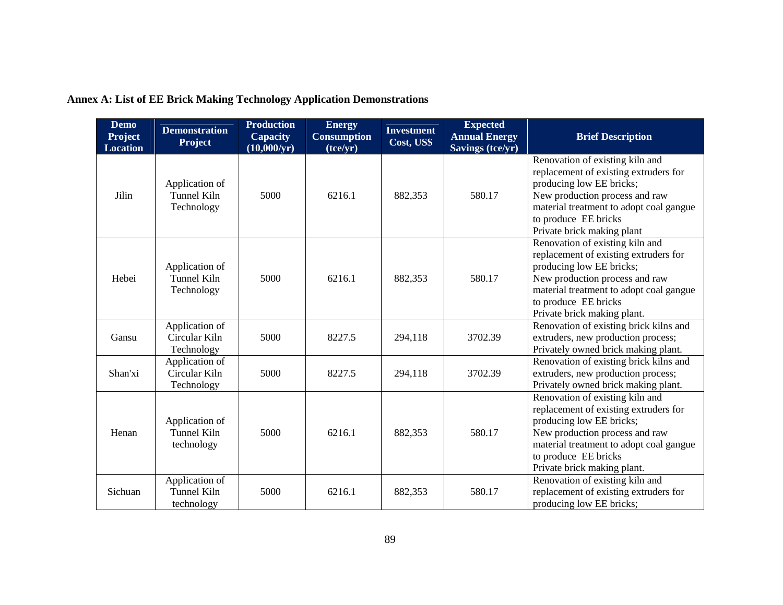| <b>Demo</b><br><b>Project</b><br><b>Location</b> | <b>Demonstration</b><br><b>Project</b>             | <b>Production</b><br><b>Capacity</b><br>$(10,000/\text{yr})$ | <b>Energy</b><br><b>Consumption</b><br>(tce/yr) | <b>Investment</b><br>Cost, US\$ | <b>Expected</b><br><b>Annual Energy</b><br><b>Savings (tce/yr)</b> | <b>Brief Description</b>                                                                                                                                                                                                                 |
|--------------------------------------------------|----------------------------------------------------|--------------------------------------------------------------|-------------------------------------------------|---------------------------------|--------------------------------------------------------------------|------------------------------------------------------------------------------------------------------------------------------------------------------------------------------------------------------------------------------------------|
| Jilin                                            | Application of<br>Tunnel Kiln<br>Technology        | 5000                                                         | 6216.1                                          | 882,353                         | 580.17                                                             | Renovation of existing kiln and<br>replacement of existing extruders for<br>producing low EE bricks;<br>New production process and raw<br>material treatment to adopt coal gangue<br>to produce EE bricks<br>Private brick making plant  |
| Hebei                                            | Application of<br>Tunnel Kiln<br>Technology        | 5000                                                         | 6216.1                                          | 882,353                         | 580.17                                                             | Renovation of existing kiln and<br>replacement of existing extruders for<br>producing low EE bricks;<br>New production process and raw<br>material treatment to adopt coal gangue<br>to produce EE bricks<br>Private brick making plant. |
| Gansu                                            | Application of<br>Circular Kiln<br>Technology      | 5000                                                         | 8227.5                                          | 294,118                         | 3702.39                                                            | Renovation of existing brick kilns and<br>extruders, new production process;<br>Privately owned brick making plant.                                                                                                                      |
| Shan'xi                                          | Application of<br>Circular Kiln<br>Technology      | 5000                                                         | 8227.5                                          | 294,118                         | 3702.39                                                            | Renovation of existing brick kilns and<br>extruders, new production process;<br>Privately owned brick making plant.                                                                                                                      |
| Henan                                            | Application of<br><b>Tunnel Kiln</b><br>technology | 5000                                                         | 6216.1                                          | 882,353                         | 580.17                                                             | Renovation of existing kiln and<br>replacement of existing extruders for<br>producing low EE bricks;<br>New production process and raw<br>material treatment to adopt coal gangue<br>to produce EE bricks<br>Private brick making plant. |
| Sichuan                                          | Application of<br>Tunnel Kiln<br>technology        | 5000                                                         | 6216.1                                          | 882,353                         | 580.17                                                             | Renovation of existing kiln and<br>replacement of existing extruders for<br>producing low EE bricks;                                                                                                                                     |

**Annex A: List of EE Brick Making Technology Application Demonstrations**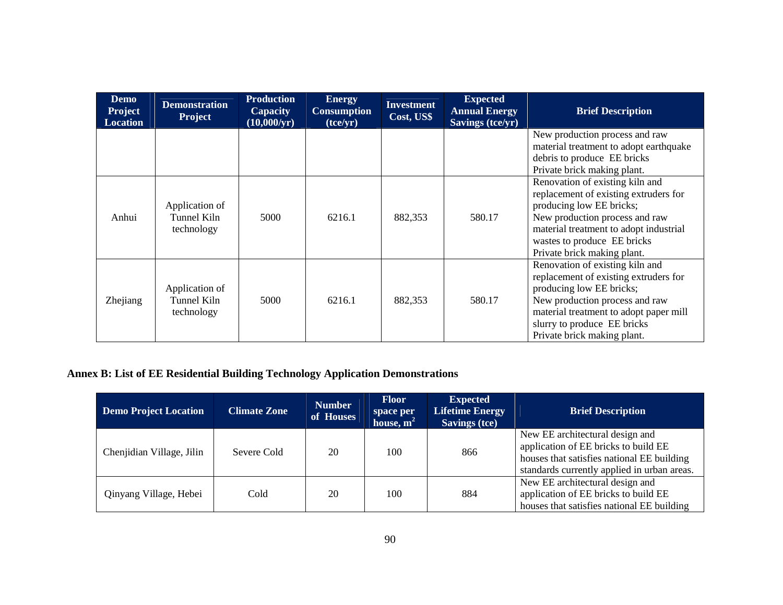| <b>Demo</b><br><b>Project</b><br><b>Location</b> | <b>Demonstration</b><br><b>Project</b>      | <b>Production</b><br><b>Capacity</b><br>$(10,000/\text{yr})$ | <b>Energy</b><br><b>Consumption</b><br>(tce/yr) | <b>Investment</b><br>Cost, US\$ | <b>Expected</b><br><b>Annual Energy</b><br>Savings (tce/yr) | <b>Brief Description</b>                                                                                                                                                                                                                       |
|--------------------------------------------------|---------------------------------------------|--------------------------------------------------------------|-------------------------------------------------|---------------------------------|-------------------------------------------------------------|------------------------------------------------------------------------------------------------------------------------------------------------------------------------------------------------------------------------------------------------|
|                                                  |                                             |                                                              |                                                 |                                 |                                                             | New production process and raw<br>material treatment to adopt earthquake<br>debris to produce EE bricks<br>Private brick making plant.                                                                                                         |
| Anhui                                            | Application of<br>Tunnel Kiln<br>technology | 5000                                                         | 6216.1                                          | 882,353                         | 580.17                                                      | Renovation of existing kiln and<br>replacement of existing extruders for<br>producing low EE bricks;<br>New production process and raw<br>material treatment to adopt industrial<br>wastes to produce EE bricks<br>Private brick making plant. |
| Zhejiang                                         | Application of<br>Tunnel Kiln<br>technology | 5000                                                         | 6216.1                                          | 882,353                         | 580.17                                                      | Renovation of existing kiln and<br>replacement of existing extruders for<br>producing low EE bricks;<br>New production process and raw<br>material treatment to adopt paper mill<br>slurry to produce EE bricks<br>Private brick making plant. |

## **Annex B: List of EE Residential Building Technology Application Demonstrations**

| <b>Demo Project Location</b> | <b>Climate Zone</b> | <b>Number</b><br>of Houses | <b>Floor</b><br>space per<br>house, $m2$ | <b>Expected</b><br><b>Lifetime Energy</b><br><b>Savings (tce)</b> | <b>Brief Description</b>                                                                                                                                             |
|------------------------------|---------------------|----------------------------|------------------------------------------|-------------------------------------------------------------------|----------------------------------------------------------------------------------------------------------------------------------------------------------------------|
| Chenjidian Village, Jilin    | Severe Cold         | 20                         | 100                                      | 866                                                               | New EE architectural design and<br>application of EE bricks to build EE<br>houses that satisfies national EE building<br>standards currently applied in urban areas. |
| Qinyang Village, Hebei       | Cold                | 20                         | 100                                      | 884                                                               | New EE architectural design and<br>application of EE bricks to build EE<br>houses that satisfies national EE building                                                |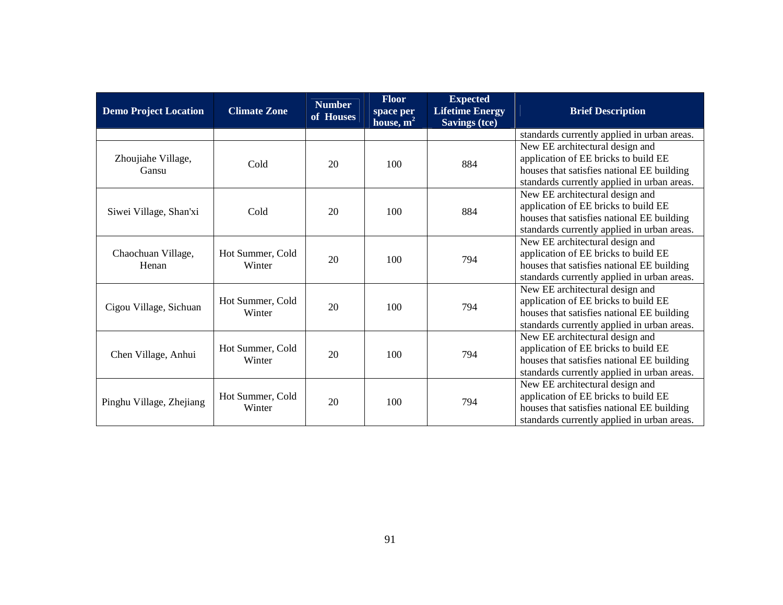| <b>Demo Project Location</b> | <b>Climate Zone</b>        | <b>Number</b><br>of Houses | Floor<br>space per<br>house, $m^2$ | <b>Expected</b><br><b>Lifetime Energy</b><br><b>Savings (tce)</b> | <b>Brief Description</b>                                                                                                                                             |
|------------------------------|----------------------------|----------------------------|------------------------------------|-------------------------------------------------------------------|----------------------------------------------------------------------------------------------------------------------------------------------------------------------|
|                              |                            |                            |                                    |                                                                   | standards currently applied in urban areas.                                                                                                                          |
| Zhoujiahe Village,<br>Gansu  | Cold                       | 20                         | 100                                | 884                                                               | New EE architectural design and<br>application of EE bricks to build EE<br>houses that satisfies national EE building<br>standards currently applied in urban areas. |
| Siwei Village, Shan'xi       | Cold                       | 20                         | 100                                | 884                                                               | New EE architectural design and<br>application of EE bricks to build EE<br>houses that satisfies national EE building<br>standards currently applied in urban areas. |
| Chaochuan Village,<br>Henan  | Hot Summer, Cold<br>Winter | 20                         | 100                                | 794                                                               | New EE architectural design and<br>application of EE bricks to build EE<br>houses that satisfies national EE building<br>standards currently applied in urban areas. |
| Cigou Village, Sichuan       | Hot Summer, Cold<br>Winter | 20                         | 100                                | 794                                                               | New EE architectural design and<br>application of EE bricks to build EE<br>houses that satisfies national EE building<br>standards currently applied in urban areas. |
| Chen Village, Anhui          | Hot Summer, Cold<br>Winter | 20                         | 100                                | 794                                                               | New EE architectural design and<br>application of EE bricks to build EE<br>houses that satisfies national EE building<br>standards currently applied in urban areas. |
| Pinghu Village, Zhejiang     | Hot Summer, Cold<br>Winter | 20                         | 100                                | 794                                                               | New EE architectural design and<br>application of EE bricks to build EE<br>houses that satisfies national EE building<br>standards currently applied in urban areas. |